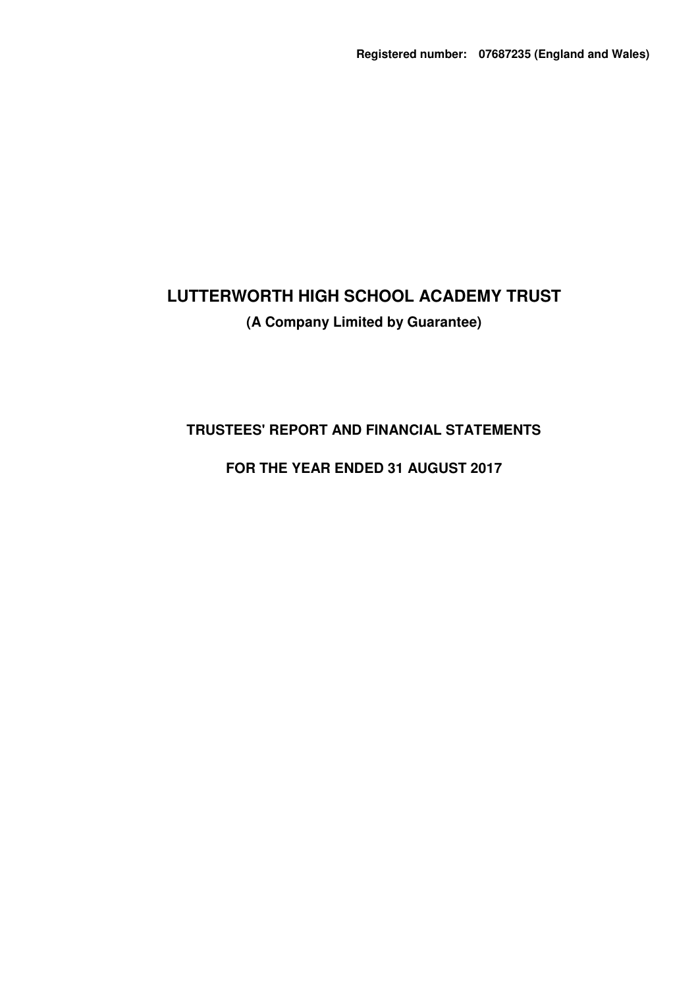# **TRUSTEES' REPORT AND FINANCIAL STATEMENTS**

# **FOR THE YEAR ENDED 31 AUGUST 2017**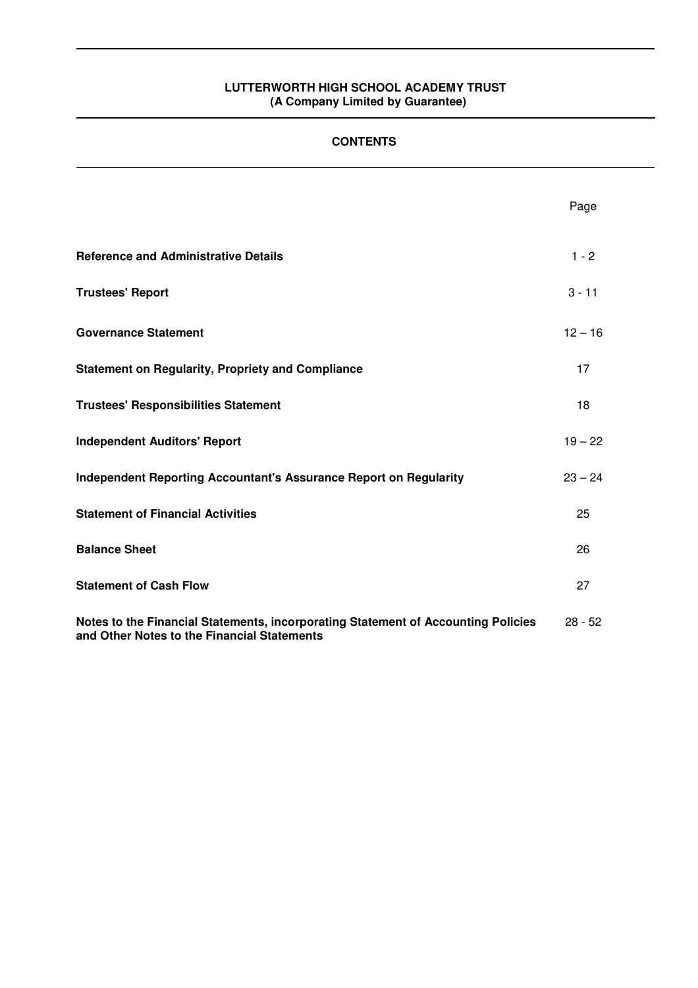# **CONTENTS**

|                                                                                                                                  | Page      |
|----------------------------------------------------------------------------------------------------------------------------------|-----------|
| <b>Reference and Administrative Details</b>                                                                                      | $1 - 2$   |
| <b>Trustees' Report</b>                                                                                                          | $3 - 11$  |
| <b>Governance Statement</b>                                                                                                      | $12 - 16$ |
| <b>Statement on Regularity, Propriety and Compliance</b>                                                                         | 17        |
| <b>Trustees' Responsibilities Statement</b>                                                                                      | 18        |
| <b>Independent Auditors' Report</b>                                                                                              | $19 - 22$ |
| <b>Independent Reporting Accountant's Assurance Report on Regularity</b>                                                         | $23 - 24$ |
| <b>Statement of Financial Activities</b>                                                                                         | 25        |
| <b>Balance Sheet</b>                                                                                                             | 26        |
| <b>Statement of Cash Flow</b>                                                                                                    | 27        |
| Notes to the Financial Statements, incorporating Statement of Accounting Policies<br>and Other Notes to the Financial Statements | $28 - 52$ |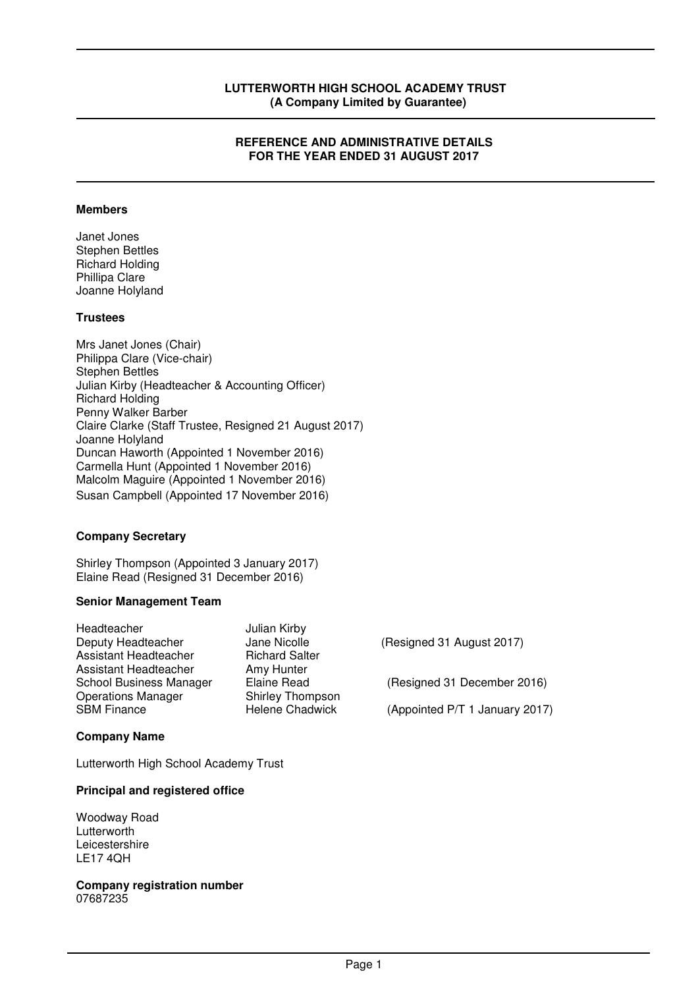#### **REFERENCE AND ADMINISTRATIVE DETAILS FOR THE YEAR ENDED 31 AUGUST 2017**

#### **Members**

Janet Jones Stephen Bettles Richard Holding Phillipa Clare Joanne Holyland

#### **Trustees**

Mrs Janet Jones (Chair) Philippa Clare (Vice-chair) Stephen Bettles Julian Kirby (Headteacher & Accounting Officer) Richard Holding Penny Walker Barber Claire Clarke (Staff Trustee, Resigned 21 August 2017) Joanne Holyland Duncan Haworth (Appointed 1 November 2016) Carmella Hunt (Appointed 1 November 2016) Malcolm Maguire (Appointed 1 November 2016) Susan Campbell (Appointed 17 November 2016)

#### **Company Secretary**

Shirley Thompson (Appointed 3 January 2017) Elaine Read (Resigned 31 December 2016)

#### **Senior Management Team**

| Headteacher               | Julian Kirby            |                                |
|---------------------------|-------------------------|--------------------------------|
| Deputy Headteacher        | Jane Nicolle            | (Resigned 31 August 2017)      |
| Assistant Headteacher     | <b>Richard Salter</b>   |                                |
| Assistant Headteacher     | Amy Hunter              |                                |
| School Business Manager   | Elaine Read             | (Resigned 31 December 2016)    |
| <b>Operations Manager</b> | <b>Shirley Thompson</b> |                                |
| <b>SBM Finance</b>        | <b>Helene Chadwick</b>  | (Appointed P/T 1 January 2017) |
|                           |                         |                                |

# Lutterworth High School Academy Trust

#### **Principal and registered office**

Woodway Road **Lutterworth** Leicestershire LE17 4QH

**Company Name** 

**Company registration number**  07687235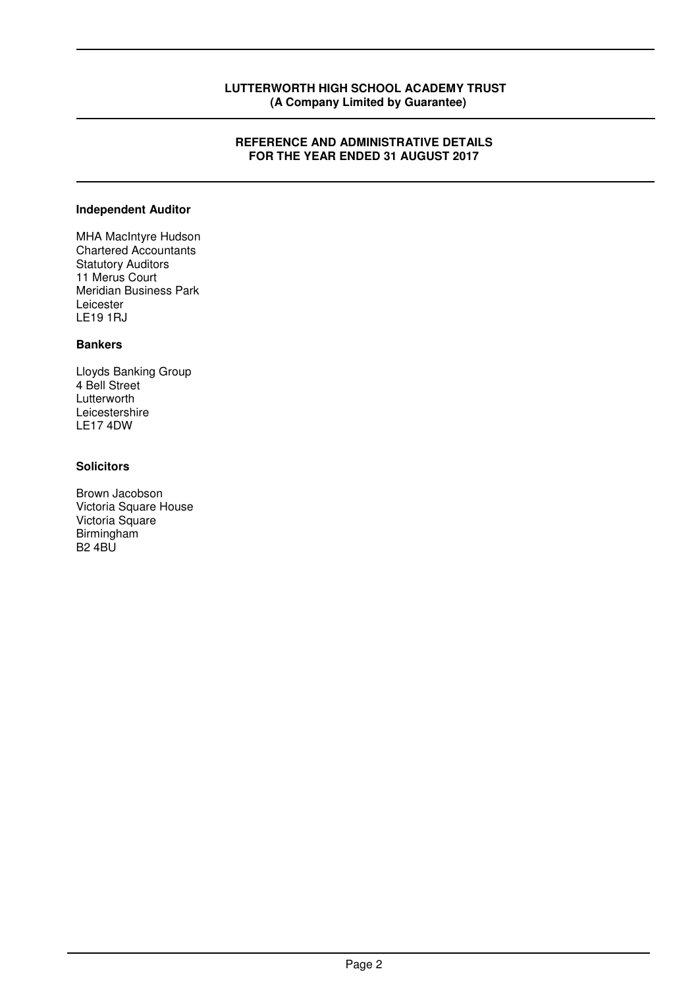#### **REFERENCE AND ADMINISTRATIVE DETAILS FOR THE YEAR ENDED 31 AUGUST 2017**

#### **Independent Auditor**

MHA MacIntyre Hudson Chartered Accountants Statutory Auditors 11 Merus Court Meridian Business Park Leicester LE19 1RJ

# **Bankers**

Lloyds Banking Group 4 Bell Street Lutterworth Leicestershire LE17 4DW

# **Solicitors**

Brown Jacobson Victoria Square House Victoria Square Birmingham B2 4BU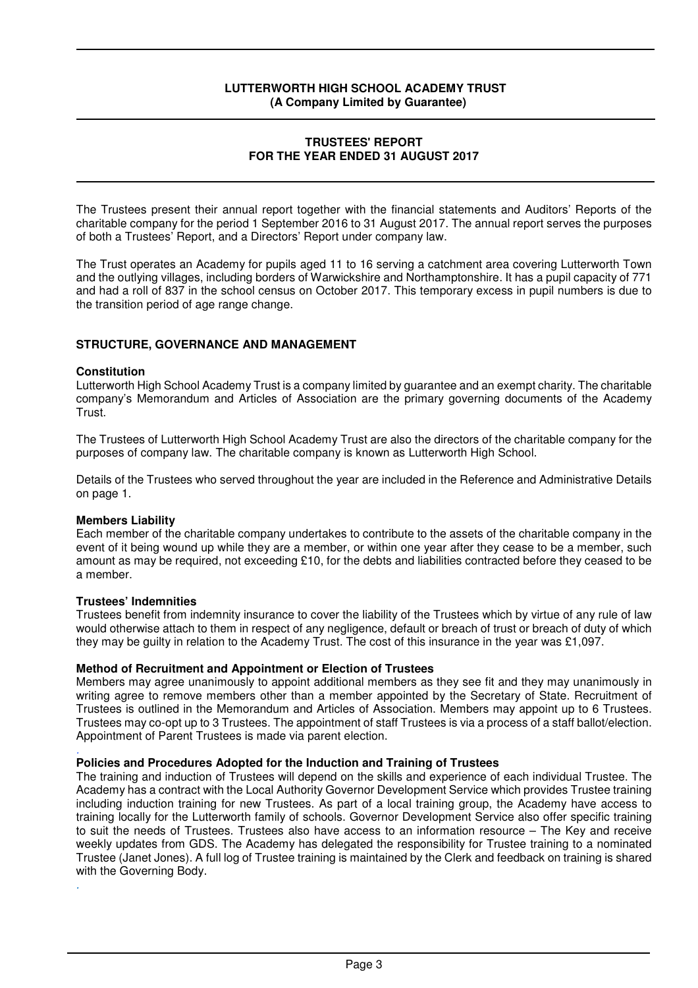#### **TRUSTEES' REPORT FOR THE YEAR ENDED 31 AUGUST 2017**

The Trustees present their annual report together with the financial statements and Auditors' Reports of the charitable company for the period 1 September 2016 to 31 August 2017. The annual report serves the purposes of both a Trustees' Report, and a Directors' Report under company law.

The Trust operates an Academy for pupils aged 11 to 16 serving a catchment area covering Lutterworth Town and the outlying villages, including borders of Warwickshire and Northamptonshire. It has a pupil capacity of 771 and had a roll of 837 in the school census on October 2017. This temporary excess in pupil numbers is due to the transition period of age range change.

# **STRUCTURE, GOVERNANCE AND MANAGEMENT**

#### **Constitution**

Lutterworth High School Academy Trust is a company limited by guarantee and an exempt charity. The charitable company's Memorandum and Articles of Association are the primary governing documents of the Academy Trust.

The Trustees of Lutterworth High School Academy Trust are also the directors of the charitable company for the purposes of company law. The charitable company is known as Lutterworth High School.

Details of the Trustees who served throughout the year are included in the Reference and Administrative Details on page 1.

#### **Members Liability**

Each member of the charitable company undertakes to contribute to the assets of the charitable company in the event of it being wound up while they are a member, or within one year after they cease to be a member, such amount as may be required, not exceeding £10, for the debts and liabilities contracted before they ceased to be a member.

#### **Trustees' Indemnities**

Trustees benefit from indemnity insurance to cover the liability of the Trustees which by virtue of any rule of law would otherwise attach to them in respect of any negligence, default or breach of trust or breach of duty of which they may be guilty in relation to the Academy Trust. The cost of this insurance in the year was £1,097.

#### **Method of Recruitment and Appointment or Election of Trustees**

Members may agree unanimously to appoint additional members as they see fit and they may unanimously in writing agree to remove members other than a member appointed by the Secretary of State. Recruitment of Trustees is outlined in the Memorandum and Articles of Association. Members may appoint up to 6 Trustees. Trustees may co-opt up to 3 Trustees. The appointment of staff Trustees is via a process of a staff ballot/election. Appointment of Parent Trustees is made via parent election. .

### **Policies and Procedures Adopted for the Induction and Training of Trustees**

The training and induction of Trustees will depend on the skills and experience of each individual Trustee. The Academy has a contract with the Local Authority Governor Development Service which provides Trustee training including induction training for new Trustees. As part of a local training group, the Academy have access to training locally for the Lutterworth family of schools. Governor Development Service also offer specific training to suit the needs of Trustees. Trustees also have access to an information resource – The Key and receive weekly updates from GDS. The Academy has delegated the responsibility for Trustee training to a nominated Trustee (Janet Jones). A full log of Trustee training is maintained by the Clerk and feedback on training is shared with the Governing Body. .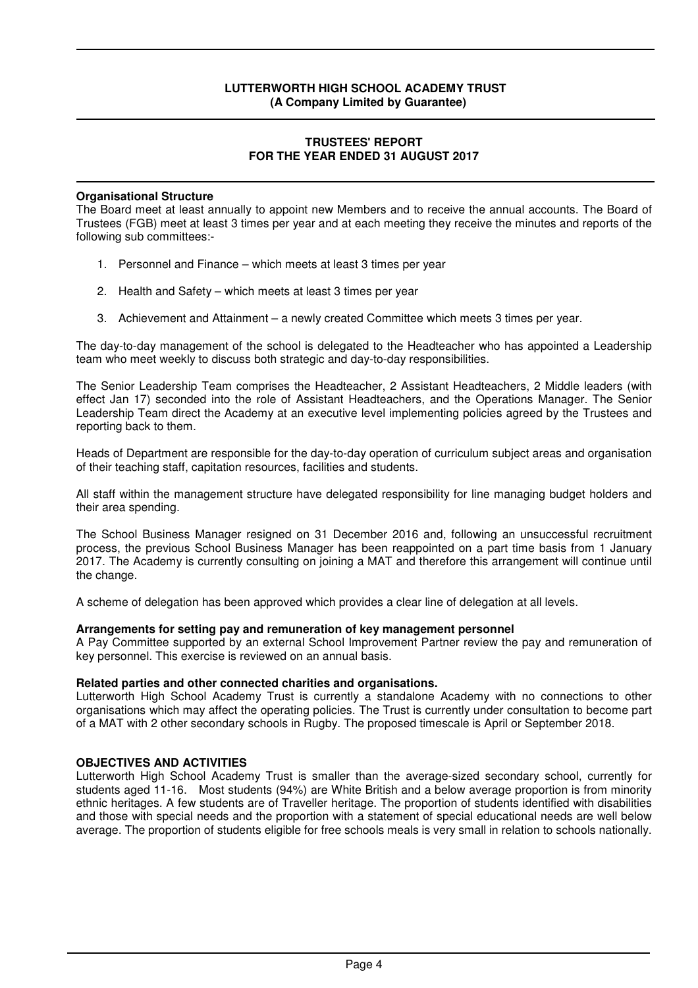#### **TRUSTEES' REPORT FOR THE YEAR ENDED 31 AUGUST 2017**

#### **Organisational Structure**

The Board meet at least annually to appoint new Members and to receive the annual accounts. The Board of Trustees (FGB) meet at least 3 times per year and at each meeting they receive the minutes and reports of the following sub committees:-

- 1. Personnel and Finance which meets at least 3 times per year
- 2. Health and Safety which meets at least 3 times per year
- 3. Achievement and Attainment a newly created Committee which meets 3 times per year.

The day-to-day management of the school is delegated to the Headteacher who has appointed a Leadership team who meet weekly to discuss both strategic and day-to-day responsibilities.

The Senior Leadership Team comprises the Headteacher, 2 Assistant Headteachers, 2 Middle leaders (with effect Jan 17) seconded into the role of Assistant Headteachers, and the Operations Manager. The Senior Leadership Team direct the Academy at an executive level implementing policies agreed by the Trustees and reporting back to them.

Heads of Department are responsible for the day-to-day operation of curriculum subject areas and organisation of their teaching staff, capitation resources, facilities and students.

All staff within the management structure have delegated responsibility for line managing budget holders and their area spending.

The School Business Manager resigned on 31 December 2016 and, following an unsuccessful recruitment process, the previous School Business Manager has been reappointed on a part time basis from 1 January 2017. The Academy is currently consulting on joining a MAT and therefore this arrangement will continue until the change.

A scheme of delegation has been approved which provides a clear line of delegation at all levels.

#### **Arrangements for setting pay and remuneration of key management personnel**

A Pay Committee supported by an external School Improvement Partner review the pay and remuneration of key personnel. This exercise is reviewed on an annual basis.

#### **Related parties and other connected charities and organisations.**

Lutterworth High School Academy Trust is currently a standalone Academy with no connections to other organisations which may affect the operating policies. The Trust is currently under consultation to become part of a MAT with 2 other secondary schools in Rugby. The proposed timescale is April or September 2018.

#### **OBJECTIVES AND ACTIVITIES**

Lutterworth High School Academy Trust is smaller than the average-sized secondary school, currently for students aged 11-16. Most students (94%) are White British and a below average proportion is from minority ethnic heritages. A few students are of Traveller heritage. The proportion of students identified with disabilities and those with special needs and the proportion with a statement of special educational needs are well below average. The proportion of students eligible for free schools meals is very small in relation to schools nationally.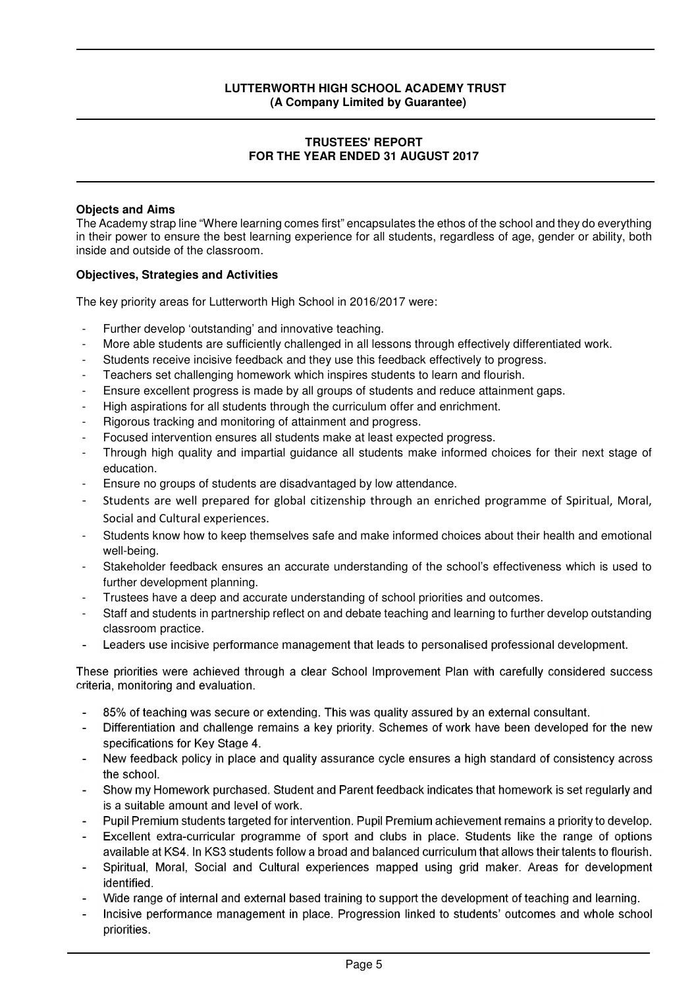#### **TRUSTEES' REPORT FOR THE YEAR ENDED 31 AUGUST 2017**

### **Objects and Aims**

The Academy strap line "Where learning comes first" encapsulates the ethos of the school and they do everything in their power to ensure the best learning experience for all students, regardless of age, gender or ability, both inside and outside of the classroom.

# **Objectives, Strategies and Activities**

The key priority areas for Lutterworth High School in 2016/2017 were:

- Further develop 'outstanding' and innovative teaching.
- More able students are sufficiently challenged in all lessons through effectively differentiated work.
- Students receive incisive feedback and they use this feedback effectively to progress.
- Teachers set challenging homework which inspires students to learn and flourish.
- Ensure excellent progress is made by all groups of students and reduce attainment gaps.
- High aspirations for all students through the curriculum offer and enrichment.
- Rigorous tracking and monitoring of attainment and progress.
- Focused intervention ensures all students make at least expected progress.
- Through high quality and impartial guidance all students make informed choices for their next stage of education.
- Ensure no groups of students are disadvantaged by low attendance.
- Students are well prepared for global citizenship through an enriched programme of Spiritual, Moral, Social and Cultural experiences.
- Students know how to keep themselves safe and make informed choices about their health and emotional well-being.
- Stakeholder feedback ensures an accurate understanding of the school's effectiveness which is used to further development planning.
- Trustees have a deep and accurate understanding of school priorities and outcomes.
- Staff and students in partnership reflect on and debate teaching and learning to further develop outstanding classroom practice.
- Leaders use incisive performance management that leads to personalised professional development.

These priorities were achieved through a clear School Improvement Plan with carefully considered success criteria, monitoring and evaluation.

- 85% of teaching was secure or extending. This was quality assured by an external consultant.
- Differentiation and challenge remains a key priority. Schemes of work have been developed for the new specifications for Key Stage 4.
- New feedback policy in place and quality assurance cycle ensures a high standard of consistency across the school.
- Show my Homework purchased. Student and Parent feedback indicates that homework is set regularly and is a suitable amount and level of work.
- Pupil Premium students targeted for intervention. Pupil Premium achievement remains a priority to develop.
- Excellent extra-curricular programme of sport and clubs in place. Students like the range of options available at KS4. In KS3 students follow a broad and balanced curriculum that allows their talents to flourish.
- Spiritual, Moral, Social and Cultural experiences mapped using grid maker. Areas for development identified.
- Wide range of internal and external based training to support the development of teaching and learning.
- Incisive performance management in place. Progression linked to students' outcomes and whole school priorities.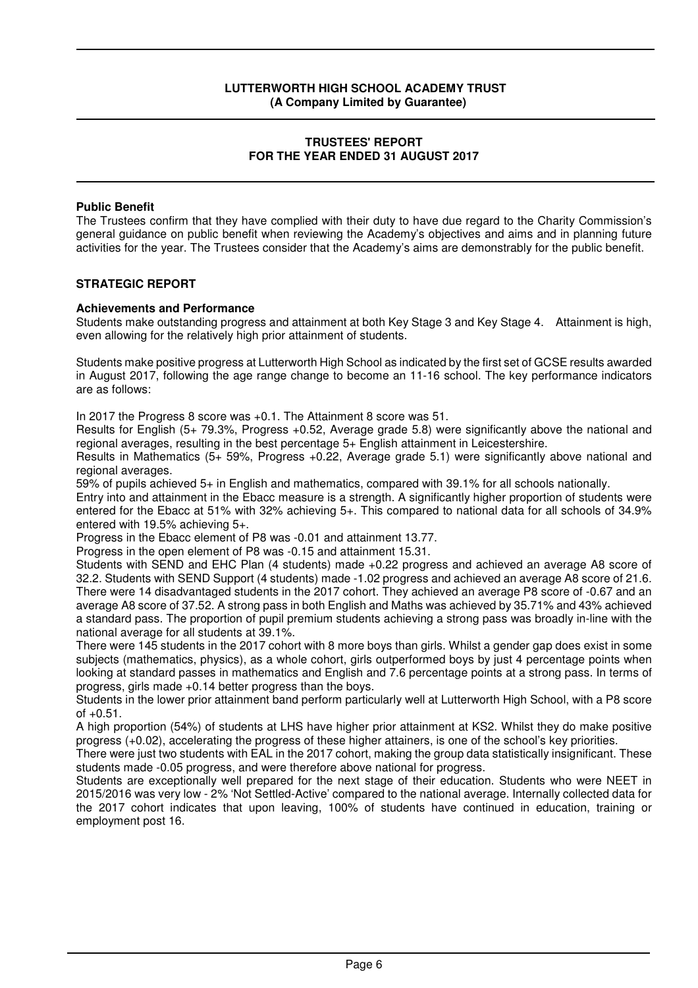#### **TRUSTEES' REPORT FOR THE YEAR ENDED 31 AUGUST 2017**

#### **Public Benefit**

The Trustees confirm that they have complied with their duty to have due regard to the Charity Commission's general guidance on public benefit when reviewing the Academy's objectives and aims and in planning future activities for the year. The Trustees consider that the Academy's aims are demonstrably for the public benefit.

#### **STRATEGIC REPORT**

#### **Achievements and Performance**

Students make outstanding progress and attainment at both Key Stage 3 and Key Stage 4. Attainment is high, even allowing for the relatively high prior attainment of students.

Students make positive progress at Lutterworth High School as indicated by the first set of GCSE results awarded in August 2017, following the age range change to become an 11-16 school. The key performance indicators are as follows:

In 2017 the Progress 8 score was +0.1. The Attainment 8 score was 51.

Results for English (5+ 79.3%, Progress +0.52, Average grade 5.8) were significantly above the national and regional averages, resulting in the best percentage 5+ English attainment in Leicestershire.

Results in Mathematics (5+ 59%, Progress +0.22, Average grade 5.1) were significantly above national and regional averages.

59% of pupils achieved 5+ in English and mathematics, compared with 39.1% for all schools nationally.

Entry into and attainment in the Ebacc measure is a strength. A significantly higher proportion of students were entered for the Ebacc at 51% with 32% achieving 5+. This compared to national data for all schools of 34.9% entered with 19.5% achieving 5+.

Progress in the Ebacc element of P8 was -0.01 and attainment 13.77.

Progress in the open element of P8 was -0.15 and attainment 15.31.

Students with SEND and EHC Plan (4 students) made +0.22 progress and achieved an average A8 score of 32.2. Students with SEND Support (4 students) made -1.02 progress and achieved an average A8 score of 21.6. There were 14 disadvantaged students in the 2017 cohort. They achieved an average P8 score of -0.67 and an average A8 score of 37.52. A strong pass in both English and Maths was achieved by 35.71% and 43% achieved a standard pass. The proportion of pupil premium students achieving a strong pass was broadly in-line with the national average for all students at 39.1%.

There were 145 students in the 2017 cohort with 8 more boys than girls. Whilst a gender gap does exist in some subjects (mathematics, physics), as a whole cohort, girls outperformed boys by just 4 percentage points when looking at standard passes in mathematics and English and 7.6 percentage points at a strong pass. In terms of progress, girls made +0.14 better progress than the boys.

Students in the lower prior attainment band perform particularly well at Lutterworth High School, with a P8 score  $of +0.51.$ 

A high proportion (54%) of students at LHS have higher prior attainment at KS2. Whilst they do make positive progress (+0.02), accelerating the progress of these higher attainers, is one of the school's key priorities.

There were just two students with EAL in the 2017 cohort, making the group data statistically insignificant. These students made -0.05 progress, and were therefore above national for progress.

Students are exceptionally well prepared for the next stage of their education. Students who were NEET in 2015/2016 was very low - 2% 'Not Settled-Active' compared to the national average. Internally collected data for the 2017 cohort indicates that upon leaving, 100% of students have continued in education, training or employment post 16.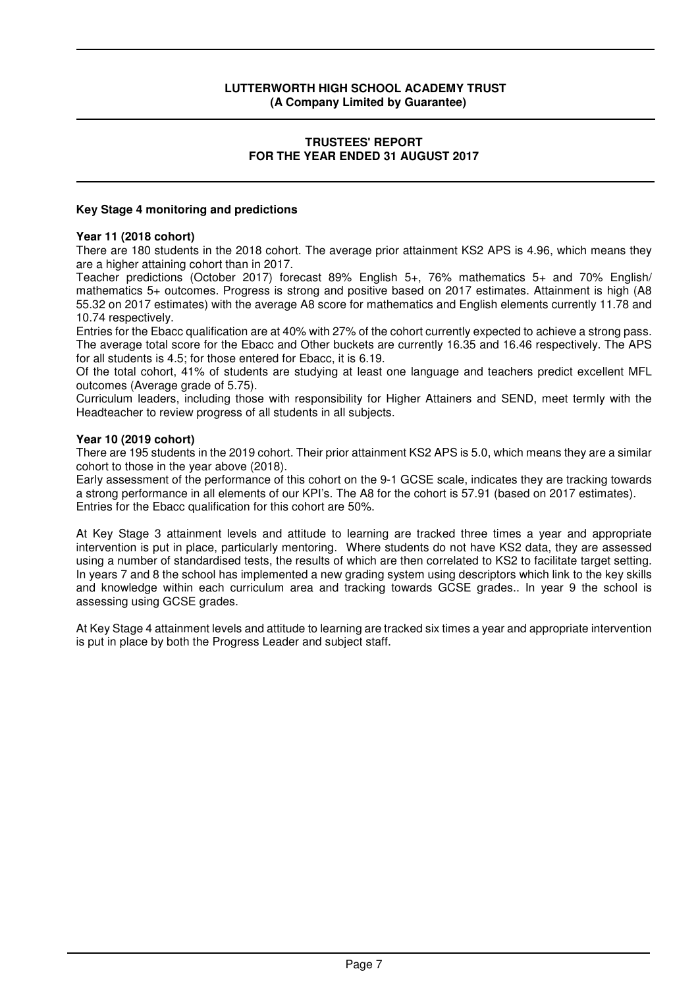#### **TRUSTEES' REPORT FOR THE YEAR ENDED 31 AUGUST 2017**

### **Key Stage 4 monitoring and predictions**

#### **Year 11 (2018 cohort)**

There are 180 students in the 2018 cohort. The average prior attainment KS2 APS is 4.96, which means they are a higher attaining cohort than in 2017.

Teacher predictions (October 2017) forecast 89% English 5+, 76% mathematics 5+ and 70% English/ mathematics 5+ outcomes. Progress is strong and positive based on 2017 estimates. Attainment is high (A8 55.32 on 2017 estimates) with the average A8 score for mathematics and English elements currently 11.78 and 10.74 respectively.

Entries for the Ebacc qualification are at 40% with 27% of the cohort currently expected to achieve a strong pass. The average total score for the Ebacc and Other buckets are currently 16.35 and 16.46 respectively. The APS for all students is 4.5; for those entered for Ebacc, it is 6.19.

Of the total cohort, 41% of students are studying at least one language and teachers predict excellent MFL outcomes (Average grade of 5.75).

Curriculum leaders, including those with responsibility for Higher Attainers and SEND, meet termly with the Headteacher to review progress of all students in all subjects.

#### **Year 10 (2019 cohort)**

There are 195 students in the 2019 cohort. Their prior attainment KS2 APS is 5.0, which means they are a similar cohort to those in the year above (2018).

Early assessment of the performance of this cohort on the 9-1 GCSE scale, indicates they are tracking towards a strong performance in all elements of our KPI's. The A8 for the cohort is 57.91 (based on 2017 estimates). Entries for the Ebacc qualification for this cohort are 50%.

At Key Stage 3 attainment levels and attitude to learning are tracked three times a year and appropriate intervention is put in place, particularly mentoring. Where students do not have KS2 data, they are assessed using a number of standardised tests, the results of which are then correlated to KS2 to facilitate target setting. In years 7 and 8 the school has implemented a new grading system using descriptors which link to the key skills and knowledge within each curriculum area and tracking towards GCSE grades.. In year 9 the school is assessing using GCSE grades.

At Key Stage 4 attainment levels and attitude to learning are tracked six times a year and appropriate intervention is put in place by both the Progress Leader and subject staff.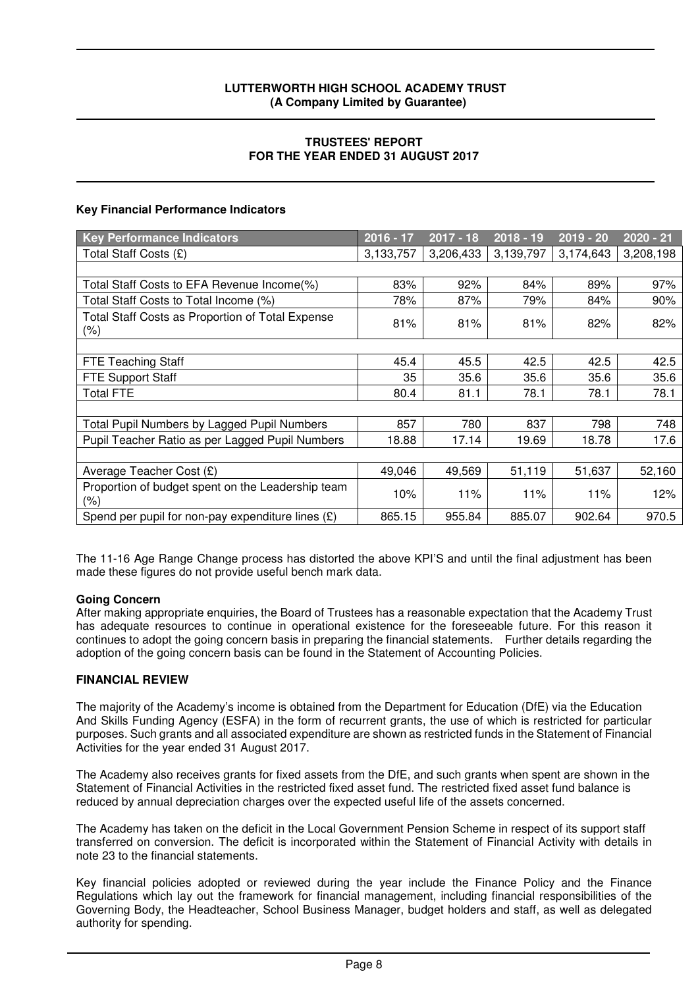### **TRUSTEES' REPORT FOR THE YEAR ENDED 31 AUGUST 2017**

# **Key Financial Performance Indicators**

| <b>Key Performance Indicators</b>                        | $2016 - 17$ | $2017 - 18$ | $2018 - 19$ | $2019 - 20$ | $2020 - 21$ |
|----------------------------------------------------------|-------------|-------------|-------------|-------------|-------------|
| Total Staff Costs (£)                                    | 3,133,757   | 3,206,433   | 3,139,797   | 3,174,643   | 3,208,198   |
|                                                          |             |             |             |             |             |
| Total Staff Costs to EFA Revenue Income(%)               | 83%         | 92%         | 84%         | 89%         | 97%         |
| Total Staff Costs to Total Income (%)                    | 78%         | 87%         | 79%         | 84%         | 90%         |
| Total Staff Costs as Proportion of Total Expense<br>(%)  | 81%         | 81%         | 81%         | 82%         | 82%         |
|                                                          |             |             |             |             |             |
| <b>FTE Teaching Staff</b>                                | 45.4        | 45.5        | 42.5        | 42.5        | 42.5        |
| <b>FTE Support Staff</b>                                 | 35          | 35.6        | 35.6        | 35.6        | 35.6        |
| <b>Total FTE</b>                                         | 80.4        | 81.1        | 78.1        | 78.1        | 78.1        |
|                                                          |             |             |             |             |             |
| Total Pupil Numbers by Lagged Pupil Numbers              | 857         | 780         | 837         | 798         | 748         |
| Pupil Teacher Ratio as per Lagged Pupil Numbers          | 18.88       | 17.14       | 19.69       | 18.78       | 17.6        |
|                                                          |             |             |             |             |             |
| Average Teacher Cost (£)                                 | 49,046      | 49,569      | 51,119      | 51,637      | 52,160      |
| Proportion of budget spent on the Leadership team<br>(%) | 10%         | 11%         | 11%         | 11%         | 12%         |
| Spend per pupil for non-pay expenditure lines $(E)$      | 865.15      | 955.84      | 885.07      | 902.64      | 970.5       |

The 11-16 Age Range Change process has distorted the above KPI'S and until the final adjustment has been made these figures do not provide useful bench mark data.

#### **Going Concern**

After making appropriate enquiries, the Board of Trustees has a reasonable expectation that the Academy Trust has adequate resources to continue in operational existence for the foreseeable future. For this reason it continues to adopt the going concern basis in preparing the financial statements. Further details regarding the adoption of the going concern basis can be found in the Statement of Accounting Policies.

# **FINANCIAL REVIEW**

The majority of the Academy's income is obtained from the Department for Education (DfE) via the Education And Skills Funding Agency (ESFA) in the form of recurrent grants, the use of which is restricted for particular purposes. Such grants and all associated expenditure are shown as restricted funds in the Statement of Financial Activities for the year ended 31 August 2017.

The Academy also receives grants for fixed assets from the DfE, and such grants when spent are shown in the Statement of Financial Activities in the restricted fixed asset fund. The restricted fixed asset fund balance is reduced by annual depreciation charges over the expected useful life of the assets concerned.

The Academy has taken on the deficit in the Local Government Pension Scheme in respect of its support staff transferred on conversion. The deficit is incorporated within the Statement of Financial Activity with details in note 23 to the financial statements.

Key financial policies adopted or reviewed during the year include the Finance Policy and the Finance Regulations which lay out the framework for financial management, including financial responsibilities of the Governing Body, the Headteacher, School Business Manager, budget holders and staff, as well as delegated authority for spending.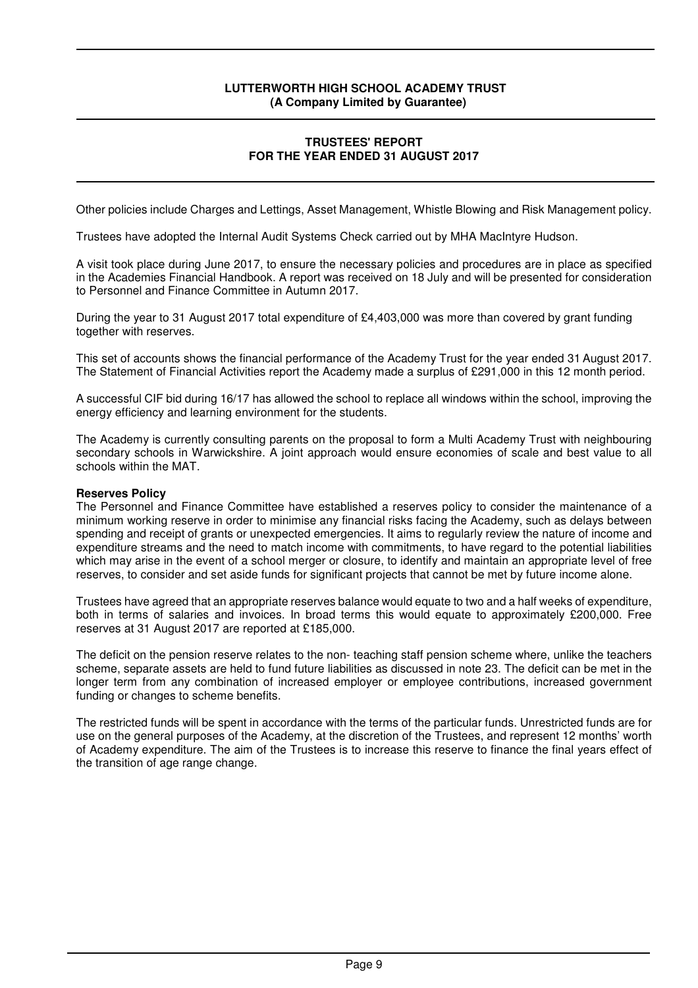### **TRUSTEES' REPORT FOR THE YEAR ENDED 31 AUGUST 2017**

Other policies include Charges and Lettings, Asset Management, Whistle Blowing and Risk Management policy.

Trustees have adopted the Internal Audit Systems Check carried out by MHA MacIntyre Hudson.

A visit took place during June 2017, to ensure the necessary policies and procedures are in place as specified in the Academies Financial Handbook. A report was received on 18 July and will be presented for consideration to Personnel and Finance Committee in Autumn 2017.

During the year to 31 August 2017 total expenditure of £4,403,000 was more than covered by grant funding together with reserves.

This set of accounts shows the financial performance of the Academy Trust for the year ended 31 August 2017. The Statement of Financial Activities report the Academy made a surplus of £291,000 in this 12 month period.

A successful CIF bid during 16/17 has allowed the school to replace all windows within the school, improving the energy efficiency and learning environment for the students.

The Academy is currently consulting parents on the proposal to form a Multi Academy Trust with neighbouring secondary schools in Warwickshire. A joint approach would ensure economies of scale and best value to all schools within the MAT.

#### **Reserves Policy**

The Personnel and Finance Committee have established a reserves policy to consider the maintenance of a minimum working reserve in order to minimise any financial risks facing the Academy, such as delays between spending and receipt of grants or unexpected emergencies. It aims to regularly review the nature of income and expenditure streams and the need to match income with commitments, to have regard to the potential liabilities which may arise in the event of a school merger or closure, to identify and maintain an appropriate level of free reserves, to consider and set aside funds for significant projects that cannot be met by future income alone.

Trustees have agreed that an appropriate reserves balance would equate to two and a half weeks of expenditure, both in terms of salaries and invoices. In broad terms this would equate to approximately £200,000. Free reserves at 31 August 2017 are reported at £185,000.

The deficit on the pension reserve relates to the non- teaching staff pension scheme where, unlike the teachers scheme, separate assets are held to fund future liabilities as discussed in note 23. The deficit can be met in the longer term from any combination of increased employer or employee contributions, increased government funding or changes to scheme benefits.

The restricted funds will be spent in accordance with the terms of the particular funds. Unrestricted funds are for use on the general purposes of the Academy, at the discretion of the Trustees, and represent 12 months' worth of Academy expenditure. The aim of the Trustees is to increase this reserve to finance the final years effect of the transition of age range change.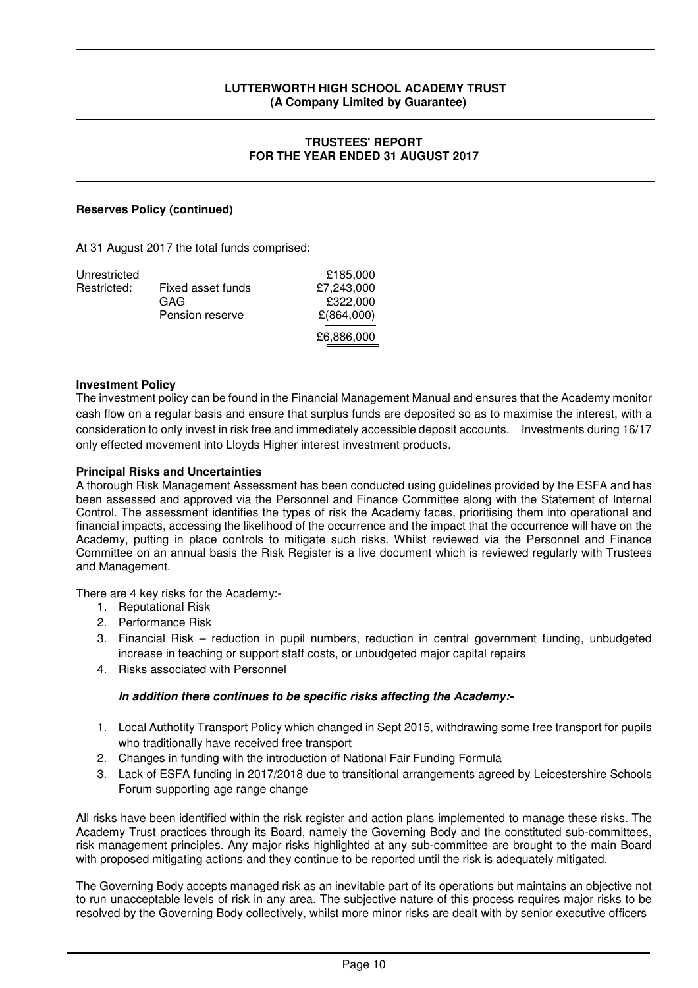### **TRUSTEES' REPORT FOR THE YEAR ENDED 31 AUGUST 2017**

# **Reserves Policy (continued)**

At 31 August 2017 the total funds comprised:

| Unrestricted |                   | £185,000   |
|--------------|-------------------|------------|
| Restricted:  | Fixed asset funds | £7.243.000 |
|              | GAG               | £322.000   |
|              | Pension reserve   | £(864,000) |
|              |                   | £6,886,000 |

#### **Investment Policy**

The investment policy can be found in the Financial Management Manual and ensures that the Academy monitor cash flow on a regular basis and ensure that surplus funds are deposited so as to maximise the interest, with a consideration to only invest in risk free and immediately accessible deposit accounts. Investments during 16/17 only effected movement into Lloyds Higher interest investment products.

#### **Principal Risks and Uncertainties**

A thorough Risk Management Assessment has been conducted using guidelines provided by the ESFA and has been assessed and approved via the Personnel and Finance Committee along with the Statement of Internal Control. The assessment identifies the types of risk the Academy faces, prioritising them into operational and financial impacts, accessing the likelihood of the occurrence and the impact that the occurrence will have on the Academy, putting in place controls to mitigate such risks. Whilst reviewed via the Personnel and Finance Committee on an annual basis the Risk Register is a live document which is reviewed regularly with Trustees and Management.

There are 4 key risks for the Academy:-

- 1. Reputational Risk
- 2. Performance Risk
- 3. Financial Risk reduction in pupil numbers, reduction in central government funding, unbudgeted increase in teaching or support staff costs, or unbudgeted major capital repairs
- 4. Risks associated with Personnel

#### **In addition there continues to be specific risks affecting the Academy:-**

- 1. Local Authotity Transport Policy which changed in Sept 2015, withdrawing some free transport for pupils who traditionally have received free transport
- 2. Changes in funding with the introduction of National Fair Funding Formula
- 3. Lack of ESFA funding in 2017/2018 due to transitional arrangements agreed by Leicestershire Schools Forum supporting age range change

All risks have been identified within the risk register and action plans implemented to manage these risks. The Academy Trust practices through its Board, namely the Governing Body and the constituted sub-committees, risk management principles. Any major risks highlighted at any sub-committee are brought to the main Board with proposed mitigating actions and they continue to be reported until the risk is adequately mitigated.

The Governing Body accepts managed risk as an inevitable part of its operations but maintains an objective not to run unacceptable levels of risk in any area. The subjective nature of this process requires major risks to be resolved by the Governing Body collectively, whilst more minor risks are dealt with by senior executive officers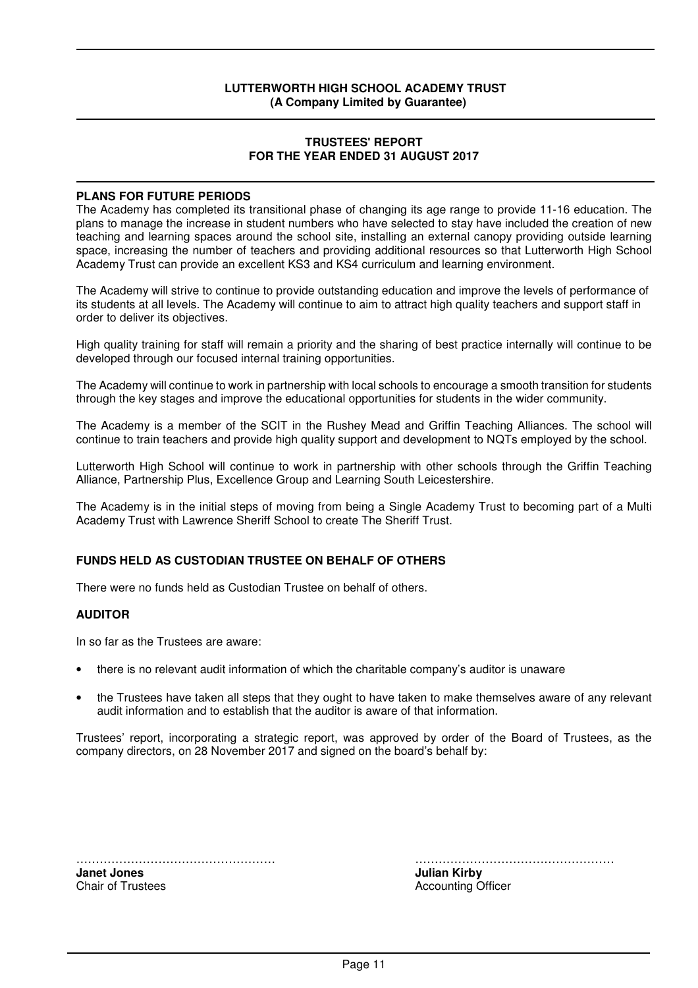#### **TRUSTEES' REPORT FOR THE YEAR ENDED 31 AUGUST 2017**

#### **PLANS FOR FUTURE PERIODS**

The Academy has completed its transitional phase of changing its age range to provide 11-16 education. The plans to manage the increase in student numbers who have selected to stay have included the creation of new teaching and learning spaces around the school site, installing an external canopy providing outside learning space, increasing the number of teachers and providing additional resources so that Lutterworth High School Academy Trust can provide an excellent KS3 and KS4 curriculum and learning environment.

The Academy will strive to continue to provide outstanding education and improve the levels of performance of its students at all levels. The Academy will continue to aim to attract high quality teachers and support staff in order to deliver its objectives.

High quality training for staff will remain a priority and the sharing of best practice internally will continue to be developed through our focused internal training opportunities.

The Academy will continue to work in partnership with local schools to encourage a smooth transition for students through the key stages and improve the educational opportunities for students in the wider community.

The Academy is a member of the SCIT in the Rushey Mead and Griffin Teaching Alliances. The school will continue to train teachers and provide high quality support and development to NQTs employed by the school.

Lutterworth High School will continue to work in partnership with other schools through the Griffin Teaching Alliance, Partnership Plus, Excellence Group and Learning South Leicestershire.

The Academy is in the initial steps of moving from being a Single Academy Trust to becoming part of a Multi Academy Trust with Lawrence Sheriff School to create The Sheriff Trust.

#### **FUNDS HELD AS CUSTODIAN TRUSTEE ON BEHALF OF OTHERS**

There were no funds held as Custodian Trustee on behalf of others.

#### **AUDITOR**

In so far as the Trustees are aware:

- there is no relevant audit information of which the charitable company's auditor is unaware
- the Trustees have taken all steps that they ought to have taken to make themselves aware of any relevant audit information and to establish that the auditor is aware of that information.

Trustees' report, incorporating a strategic report, was approved by order of the Board of Trustees, as the company directors, on 28 November 2017 and signed on the board's behalf by:

…………………………………………… …………………………………………… **Janet Jones Julian Kirby Julian Kirby Julian Kirby** 

Chair of Trustees **Accounting Officer** Accounting Officer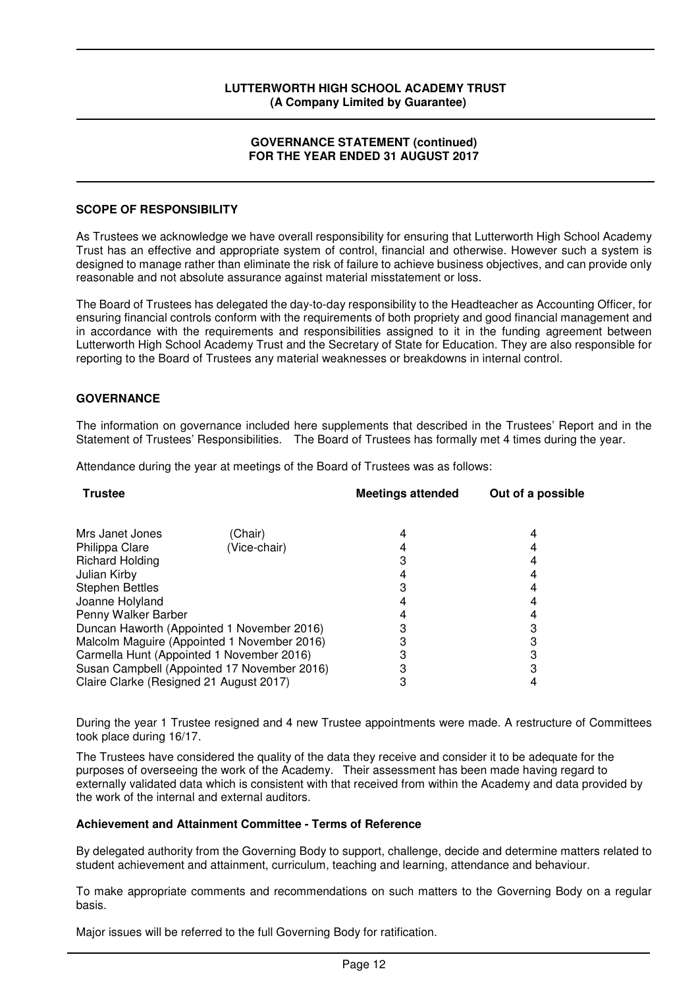#### **GOVERNANCE STATEMENT (continued) FOR THE YEAR ENDED 31 AUGUST 2017**

#### **SCOPE OF RESPONSIBILITY**

As Trustees we acknowledge we have overall responsibility for ensuring that Lutterworth High School Academy Trust has an effective and appropriate system of control, financial and otherwise. However such a system is designed to manage rather than eliminate the risk of failure to achieve business objectives, and can provide only reasonable and not absolute assurance against material misstatement or loss.

The Board of Trustees has delegated the day-to-day responsibility to the Headteacher as Accounting Officer, for ensuring financial controls conform with the requirements of both propriety and good financial management and in accordance with the requirements and responsibilities assigned to it in the funding agreement between Lutterworth High School Academy Trust and the Secretary of State for Education. They are also responsible for reporting to the Board of Trustees any material weaknesses or breakdowns in internal control.

# **GOVERNANCE**

The information on governance included here supplements that described in the Trustees' Report and in the Statement of Trustees' Responsibilities. The Board of Trustees has formally met 4 times during the year.

Attendance during the year at meetings of the Board of Trustees was as follows:

| <b>Trustee</b>                          |                                             | <b>Meetings attended</b> | Out of a possible |
|-----------------------------------------|---------------------------------------------|--------------------------|-------------------|
| Mrs Janet Jones                         | (Chair)                                     |                          |                   |
| Philippa Clare                          | (Vice-chair)                                |                          |                   |
| <b>Richard Holding</b>                  |                                             |                          |                   |
| Julian Kirby                            |                                             |                          |                   |
| <b>Stephen Bettles</b>                  |                                             |                          |                   |
| Joanne Holyland                         |                                             |                          |                   |
| Penny Walker Barber                     |                                             |                          |                   |
|                                         | Duncan Haworth (Appointed 1 November 2016)  |                          |                   |
|                                         | Malcolm Maguire (Appointed 1 November 2016) |                          |                   |
|                                         | Carmella Hunt (Appointed 1 November 2016)   |                          |                   |
|                                         | Susan Campbell (Appointed 17 November 2016) |                          |                   |
| Claire Clarke (Resigned 21 August 2017) |                                             |                          |                   |

During the year 1 Trustee resigned and 4 new Trustee appointments were made. A restructure of Committees took place during 16/17.

The Trustees have considered the quality of the data they receive and consider it to be adequate for the purposes of overseeing the work of the Academy. Their assessment has been made having regard to externally validated data which is consistent with that received from within the Academy and data provided by the work of the internal and external auditors.

#### **Achievement and Attainment Committee - Terms of Reference**

By delegated authority from the Governing Body to support, challenge, decide and determine matters related to student achievement and attainment, curriculum, teaching and learning, attendance and behaviour.

To make appropriate comments and recommendations on such matters to the Governing Body on a regular basis.

Major issues will be referred to the full Governing Body for ratification.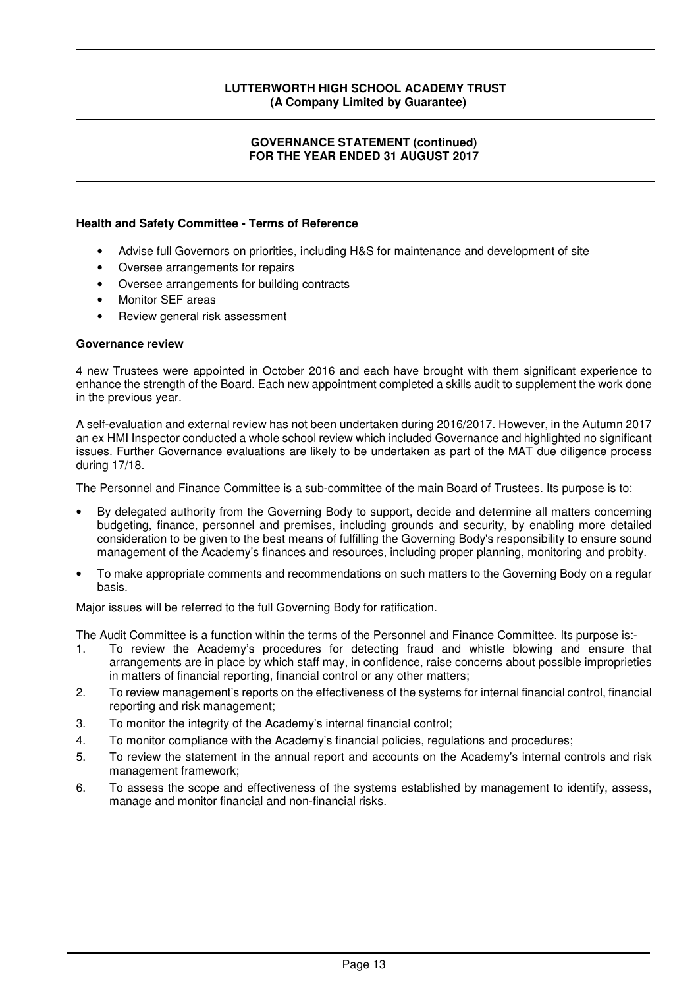### **GOVERNANCE STATEMENT (continued) FOR THE YEAR ENDED 31 AUGUST 2017**

#### **Health and Safety Committee - Terms of Reference**

- Advise full Governors on priorities, including H&S for maintenance and development of site
- Oversee arrangements for repairs
- Oversee arrangements for building contracts
- Monitor SEF areas
- Review general risk assessment

#### **Governance review**

4 new Trustees were appointed in October 2016 and each have brought with them significant experience to enhance the strength of the Board. Each new appointment completed a skills audit to supplement the work done in the previous year.

A self-evaluation and external review has not been undertaken during 2016/2017. However, in the Autumn 2017 an ex HMI Inspector conducted a whole school review which included Governance and highlighted no significant issues. Further Governance evaluations are likely to be undertaken as part of the MAT due diligence process during 17/18.

The Personnel and Finance Committee is a sub-committee of the main Board of Trustees. Its purpose is to:

- By delegated authority from the Governing Body to support, decide and determine all matters concerning budgeting, finance, personnel and premises, including grounds and security, by enabling more detailed consideration to be given to the best means of fulfilling the Governing Body's responsibility to ensure sound management of the Academy's finances and resources, including proper planning, monitoring and probity.
- To make appropriate comments and recommendations on such matters to the Governing Body on a regular basis.

Major issues will be referred to the full Governing Body for ratification.

The Audit Committee is a function within the terms of the Personnel and Finance Committee. Its purpose is:-

- 1. To review the Academy's procedures for detecting fraud and whistle blowing and ensure that arrangements are in place by which staff may, in confidence, raise concerns about possible improprieties in matters of financial reporting, financial control or any other matters;
- 2. To review management's reports on the effectiveness of the systems for internal financial control, financial reporting and risk management;
- 3. To monitor the integrity of the Academy's internal financial control;
- 4. To monitor compliance with the Academy's financial policies, regulations and procedures;
- 5. To review the statement in the annual report and accounts on the Academy's internal controls and risk management framework;
- 6. To assess the scope and effectiveness of the systems established by management to identify, assess, manage and monitor financial and non-financial risks.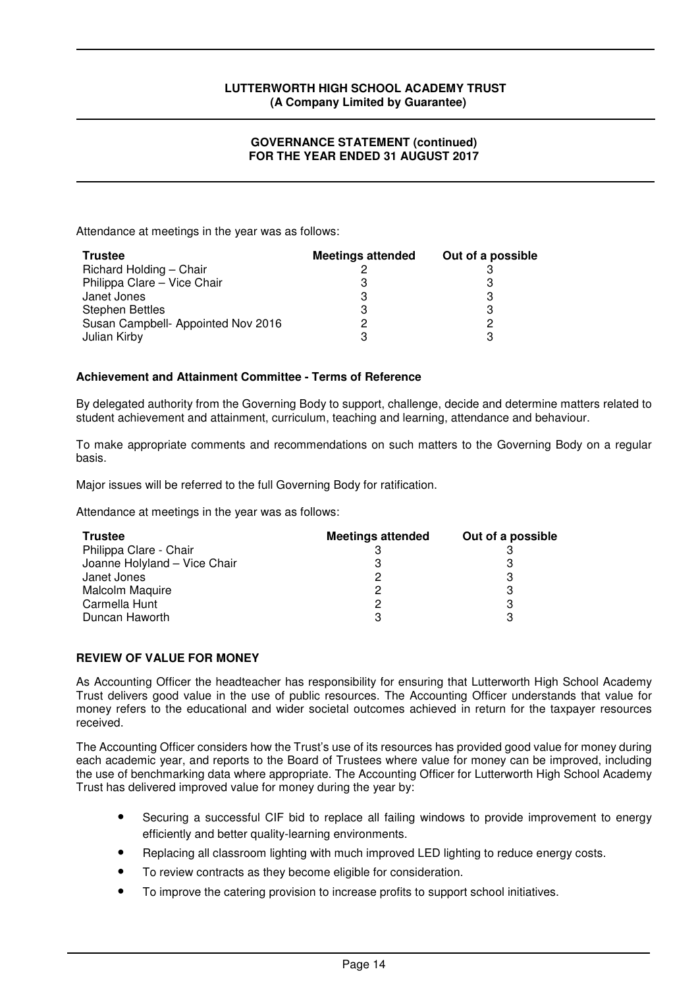### **GOVERNANCE STATEMENT (continued) FOR THE YEAR ENDED 31 AUGUST 2017**

Attendance at meetings in the year was as follows:

| <b>Trustee</b>                     | <b>Meetings attended</b> | Out of a possible |
|------------------------------------|--------------------------|-------------------|
| Richard Holding - Chair            |                          |                   |
| Philippa Clare - Vice Chair        | З                        |                   |
| Janet Jones                        | 3                        | 3                 |
| <b>Stephen Bettles</b>             | 3                        | 3                 |
| Susan Campbell- Appointed Nov 2016 | 2                        |                   |
| Julian Kirby                       | 3                        |                   |

# **Achievement and Attainment Committee - Terms of Reference**

By delegated authority from the Governing Body to support, challenge, decide and determine matters related to student achievement and attainment, curriculum, teaching and learning, attendance and behaviour.

To make appropriate comments and recommendations on such matters to the Governing Body on a regular basis.

Major issues will be referred to the full Governing Body for ratification.

Attendance at meetings in the year was as follows:

| <b>Trustee</b>               | <b>Meetings attended</b> | Out of a possible |
|------------------------------|--------------------------|-------------------|
| Philippa Clare - Chair       |                          |                   |
| Joanne Holyland - Vice Chair |                          |                   |
| Janet Jones                  | 2                        | 3                 |
| Malcolm Maquire              | 2                        | 3                 |
| Carmella Hunt                | 2                        | 3                 |
| Duncan Haworth               | 3                        |                   |

#### **REVIEW OF VALUE FOR MONEY**

As Accounting Officer the headteacher has responsibility for ensuring that Lutterworth High School Academy Trust delivers good value in the use of public resources. The Accounting Officer understands that value for money refers to the educational and wider societal outcomes achieved in return for the taxpayer resources received.

The Accounting Officer considers how the Trust's use of its resources has provided good value for money during each academic year, and reports to the Board of Trustees where value for money can be improved, including the use of benchmarking data where appropriate. The Accounting Officer for Lutterworth High School Academy Trust has delivered improved value for money during the year by:

- Securing a successful CIF bid to replace all failing windows to provide improvement to energy efficiently and better quality-learning environments.
- Replacing all classroom lighting with much improved LED lighting to reduce energy costs.
- To review contracts as they become eligible for consideration.
- To improve the catering provision to increase profits to support school initiatives.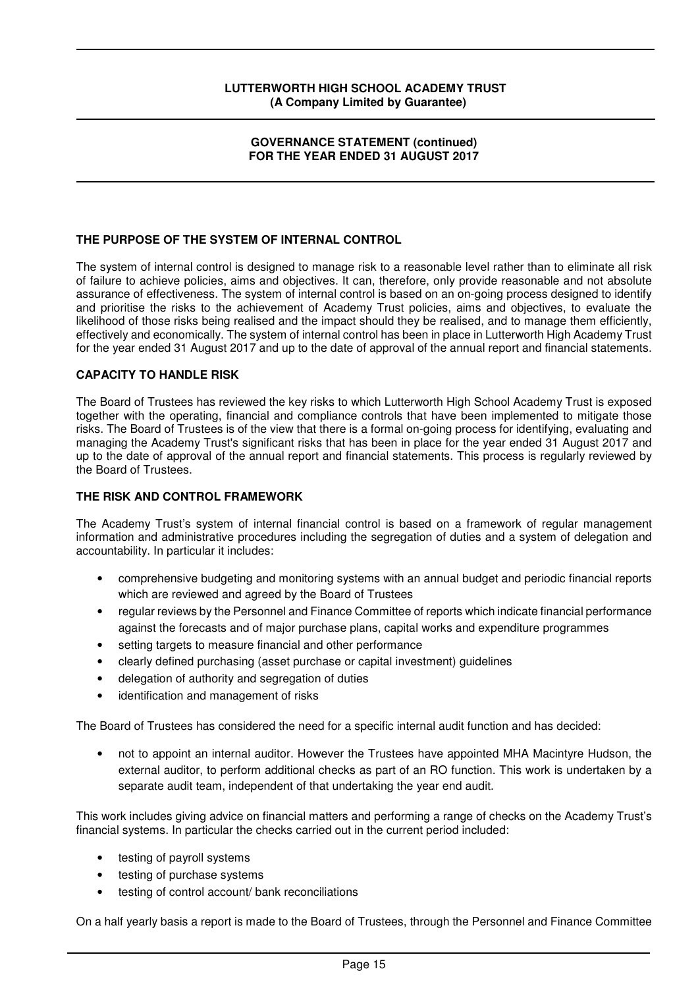#### **GOVERNANCE STATEMENT (continued) FOR THE YEAR ENDED 31 AUGUST 2017**

# **THE PURPOSE OF THE SYSTEM OF INTERNAL CONTROL**

The system of internal control is designed to manage risk to a reasonable level rather than to eliminate all risk of failure to achieve policies, aims and objectives. It can, therefore, only provide reasonable and not absolute assurance of effectiveness. The system of internal control is based on an on-going process designed to identify and prioritise the risks to the achievement of Academy Trust policies, aims and objectives, to evaluate the likelihood of those risks being realised and the impact should they be realised, and to manage them efficiently, effectively and economically. The system of internal control has been in place in Lutterworth High Academy Trust for the year ended 31 August 2017 and up to the date of approval of the annual report and financial statements.

# **CAPACITY TO HANDLE RISK**

The Board of Trustees has reviewed the key risks to which Lutterworth High School Academy Trust is exposed together with the operating, financial and compliance controls that have been implemented to mitigate those risks. The Board of Trustees is of the view that there is a formal on-going process for identifying, evaluating and managing the Academy Trust's significant risks that has been in place for the year ended 31 August 2017 and up to the date of approval of the annual report and financial statements. This process is regularly reviewed by the Board of Trustees.

#### **THE RISK AND CONTROL FRAMEWORK**

The Academy Trust's system of internal financial control is based on a framework of regular management information and administrative procedures including the segregation of duties and a system of delegation and accountability. In particular it includes:

- comprehensive budgeting and monitoring systems with an annual budget and periodic financial reports which are reviewed and agreed by the Board of Trustees
- regular reviews by the Personnel and Finance Committee of reports which indicate financial performance against the forecasts and of major purchase plans, capital works and expenditure programmes
- setting targets to measure financial and other performance
- clearly defined purchasing (asset purchase or capital investment) guidelines
- delegation of authority and segregation of duties
- identification and management of risks

The Board of Trustees has considered the need for a specific internal audit function and has decided:

• not to appoint an internal auditor. However the Trustees have appointed MHA Macintyre Hudson, the external auditor, to perform additional checks as part of an RO function. This work is undertaken by a separate audit team, independent of that undertaking the year end audit.

This work includes giving advice on financial matters and performing a range of checks on the Academy Trust's financial systems. In particular the checks carried out in the current period included:

- testing of payroll systems
- testing of purchase systems
- testing of control account/ bank reconciliations

On a half yearly basis a report is made to the Board of Trustees, through the Personnel and Finance Committee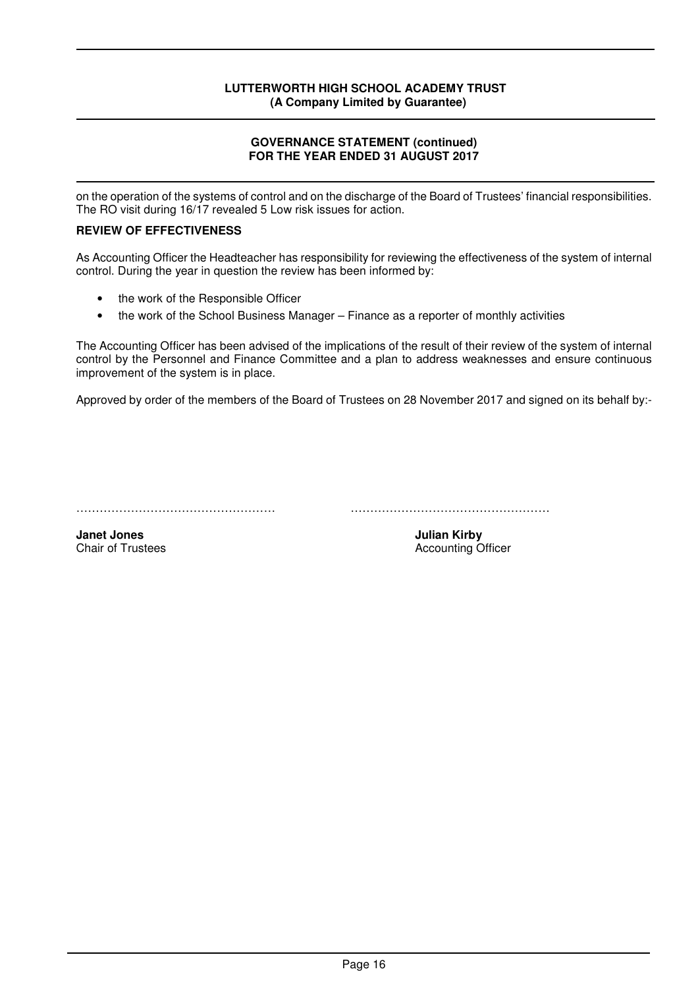# **GOVERNANCE STATEMENT (continued) FOR THE YEAR ENDED 31 AUGUST 2017**

on the operation of the systems of control and on the discharge of the Board of Trustees' financial responsibilities. The RO visit during 16/17 revealed 5 Low risk issues for action.

# **REVIEW OF EFFECTIVENESS**

As Accounting Officer the Headteacher has responsibility for reviewing the effectiveness of the system of internal control. During the year in question the review has been informed by:

- the work of the Responsible Officer
- the work of the School Business Manager Finance as a reporter of monthly activities

The Accounting Officer has been advised of the implications of the result of their review of the system of internal control by the Personnel and Finance Committee and a plan to address weaknesses and ensure continuous improvement of the system is in place.

Approved by order of the members of the Board of Trustees on 28 November 2017 and signed on its behalf by:-

…………………………………………… ……………………………………………

**Janet Jones 3. Example 2. All 2. All 2. All 2. All 2. All 2. Accounting O**<br> **Julian Kirby** Chair of Trustees **Accounting O** 

**Accounting Officer**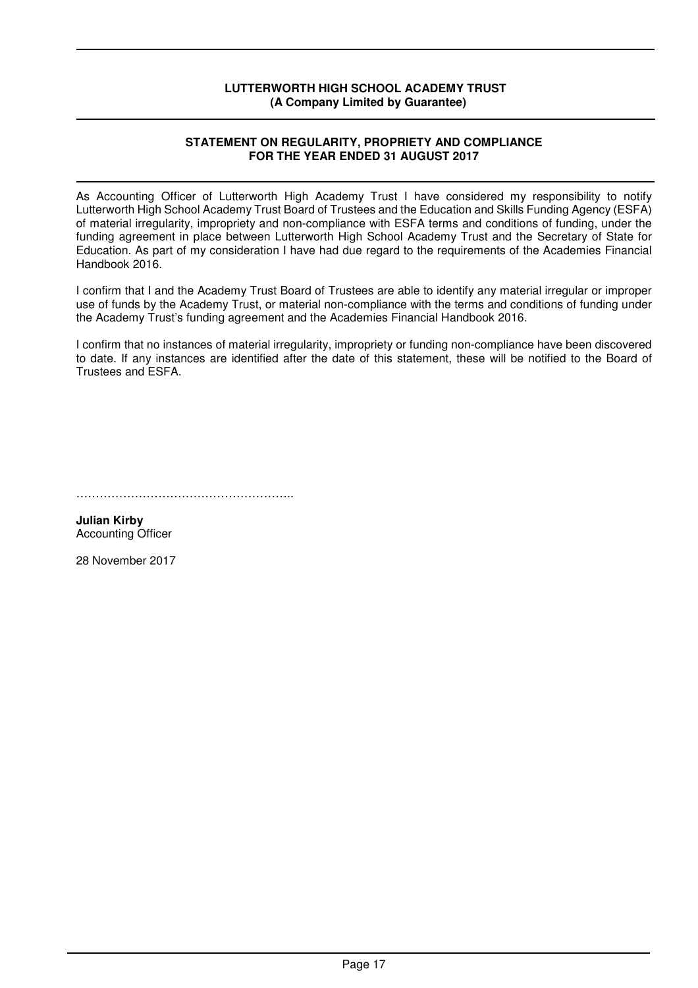### **STATEMENT ON REGULARITY, PROPRIETY AND COMPLIANCE FOR THE YEAR ENDED 31 AUGUST 2017**

As Accounting Officer of Lutterworth High Academy Trust I have considered my responsibility to notify Lutterworth High School Academy Trust Board of Trustees and the Education and Skills Funding Agency (ESFA) of material irregularity, impropriety and non-compliance with ESFA terms and conditions of funding, under the funding agreement in place between Lutterworth High School Academy Trust and the Secretary of State for Education. As part of my consideration I have had due regard to the requirements of the Academies Financial Handbook 2016.

I confirm that I and the Academy Trust Board of Trustees are able to identify any material irregular or improper use of funds by the Academy Trust, or material non-compliance with the terms and conditions of funding under the Academy Trust's funding agreement and the Academies Financial Handbook 2016.

I confirm that no instances of material irregularity, impropriety or funding non-compliance have been discovered to date. If any instances are identified after the date of this statement, these will be notified to the Board of Trustees and ESFA.

………………………………………………..

**Julian Kirby**  Accounting Officer

28 November 2017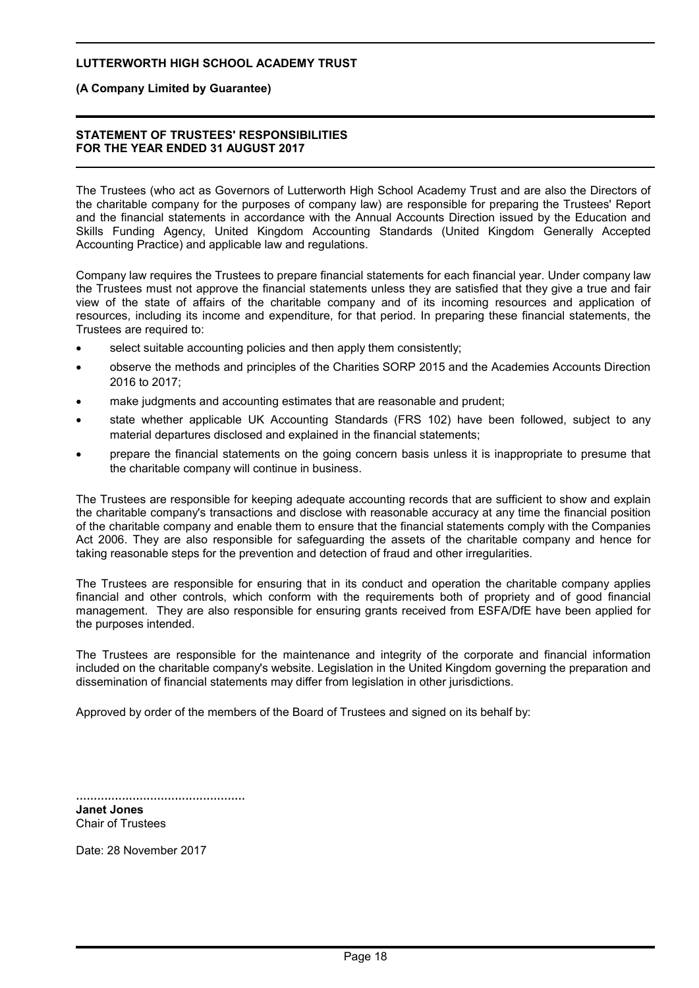#### **(A Company Limited by Guarantee)**

#### **STATEMENT OF TRUSTEES' RESPONSIBILITIES FOR THE YEAR ENDED 31 AUGUST 2017**

The Trustees (who act as Governors of Lutterworth High School Academy Trust and are also the Directors of the charitable company for the purposes of company law) are responsible for preparing the Trustees' Report and the financial statements in accordance with the Annual Accounts Direction issued by the Education and Skills Funding Agency, United Kingdom Accounting Standards (United Kingdom Generally Accepted Accounting Practice) and applicable law and regulations.

Company law requires the Trustees to prepare financial statements for each financial year. Under company law the Trustees must not approve the financial statements unless they are satisfied that they give a true and fair view of the state of affairs of the charitable company and of its incoming resources and application of resources, including its income and expenditure, for that period. In preparing these financial statements, the Trustees are required to:

- select suitable accounting policies and then apply them consistently;
- observe the methods and principles of the Charities SORP 2015 and the Academies Accounts Direction 2016 to 2017;
- make judgments and accounting estimates that are reasonable and prudent;
- state whether applicable UK Accounting Standards (FRS 102) have been followed, subject to any material departures disclosed and explained in the financial statements;
- prepare the financial statements on the going concern basis unless it is inappropriate to presume that the charitable company will continue in business.

The Trustees are responsible for keeping adequate accounting records that are sufficient to show and explain the charitable company's transactions and disclose with reasonable accuracy at any time the financial position of the charitable company and enable them to ensure that the financial statements comply with the Companies Act 2006. They are also responsible for safeguarding the assets of the charitable company and hence for taking reasonable steps for the prevention and detection of fraud and other irregularities.

The Trustees are responsible for ensuring that in its conduct and operation the charitable company applies financial and other controls, which conform with the requirements both of propriety and of good financial management. They are also responsible for ensuring grants received from ESFA/DfE have been applied for the purposes intended.

The Trustees are responsible for the maintenance and integrity of the corporate and financial information included on the charitable company's website. Legislation in the United Kingdom governing the preparation and dissemination of financial statements may differ from legislation in other jurisdictions.

Approved by order of the members of the Board of Trustees and signed on its behalf by:

................................................

**Janet Jones** Chair of Trustees

Date: 28 November 2017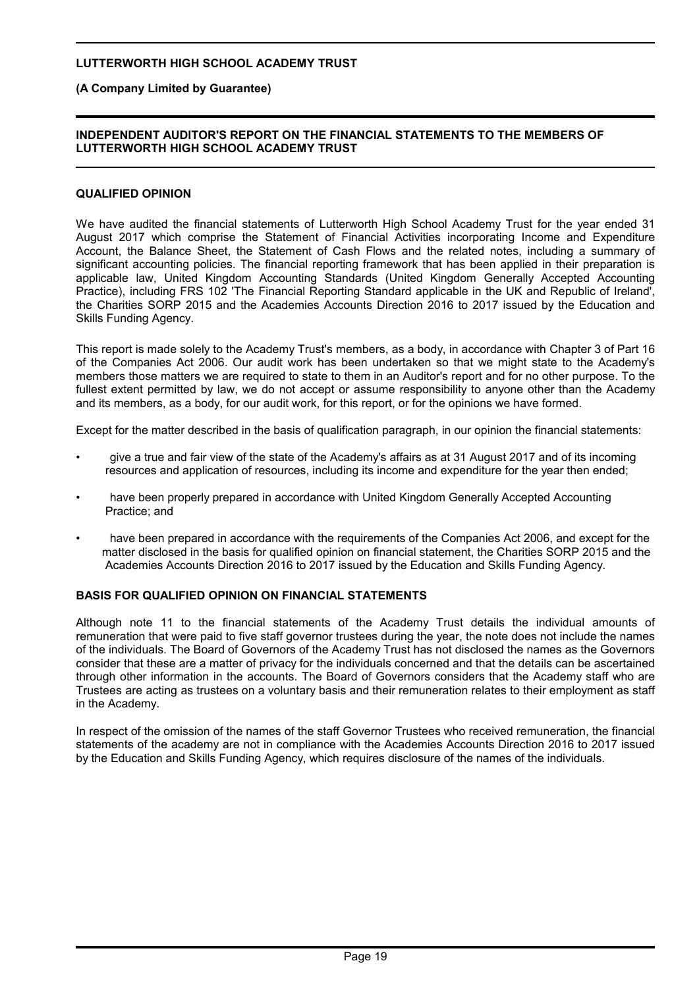### **(A Company Limited by Guarantee)**

#### **INDEPENDENT AUDITOR'S REPORT ON THE FINANCIAL STATEMENTS TO THE MEMBERS OF LUTTERWORTH HIGH SCHOOL ACADEMY TRUST**

#### **QUALIFIED OPINION**

We have audited the financial statements of Lutterworth High School Academy Trust for the year ended 31 August 2017 which comprise the Statement of Financial Activities incorporating Income and Expenditure Account, the Balance Sheet, the Statement of Cash Flows and the related notes, including a summary of significant accounting policies. The financial reporting framework that has been applied in their preparation is applicable law, United Kingdom Accounting Standards (United Kingdom Generally Accepted Accounting Practice), including FRS 102 'The Financial Reporting Standard applicable in the UK and Republic of Ireland', the Charities SORP 2015 and the Academies Accounts Direction 2016 to 2017 issued by the Education and Skills Funding Agency.

This report is made solely to the Academy Trust's members, as a body, in accordance with Chapter 3 of Part 16 of the Companies Act 2006. Our audit work has been undertaken so that we might state to the Academy's members those matters we are required to state to them in an Auditor's report and for no other purpose. To the fullest extent permitted by law, we do not accept or assume responsibility to anyone other than the Academy and its members, as a body, for our audit work, for this report, or for the opinions we have formed.

Except for the matter described in the basis of qualification paragraph, in our opinion the financial statements:

- give a true and fair view of the state of the Academy's affairs as at 31 August 2017 and of its incoming resources and application of resources, including its income and expenditure for the year then ended;
- have been properly prepared in accordance with United Kingdom Generally Accepted Accounting Practice; and
- have been prepared in accordance with the requirements of the Companies Act 2006, and except for the matter disclosed in the basis for qualified opinion on financial statement, the Charities SORP 2015 and the Academies Accounts Direction 2016 to 2017 issued by the Education and Skills Funding Agency.

#### **BASIS FOR QUALIFIED OPINION ON FINANCIAL STATEMENTS**

Although note 11 to the financial statements of the Academy Trust details the individual amounts of remuneration that were paid to five staff governor trustees during the year, the note does not include the names of the individuals. The Board of Governors of the Academy Trust has not disclosed the names as the Governors consider that these are a matter of privacy for the individuals concerned and that the details can be ascertained through other information in the accounts. The Board of Governors considers that the Academy staff who are Trustees are acting as trustees on a voluntary basis and their remuneration relates to their employment as staff in the Academy.

In respect of the omission of the names of the staff Governor Trustees who received remuneration, the financial statements of the academy are not in compliance with the Academies Accounts Direction 2016 to 2017 issued by the Education and Skills Funding Agency, which requires disclosure of the names of the individuals.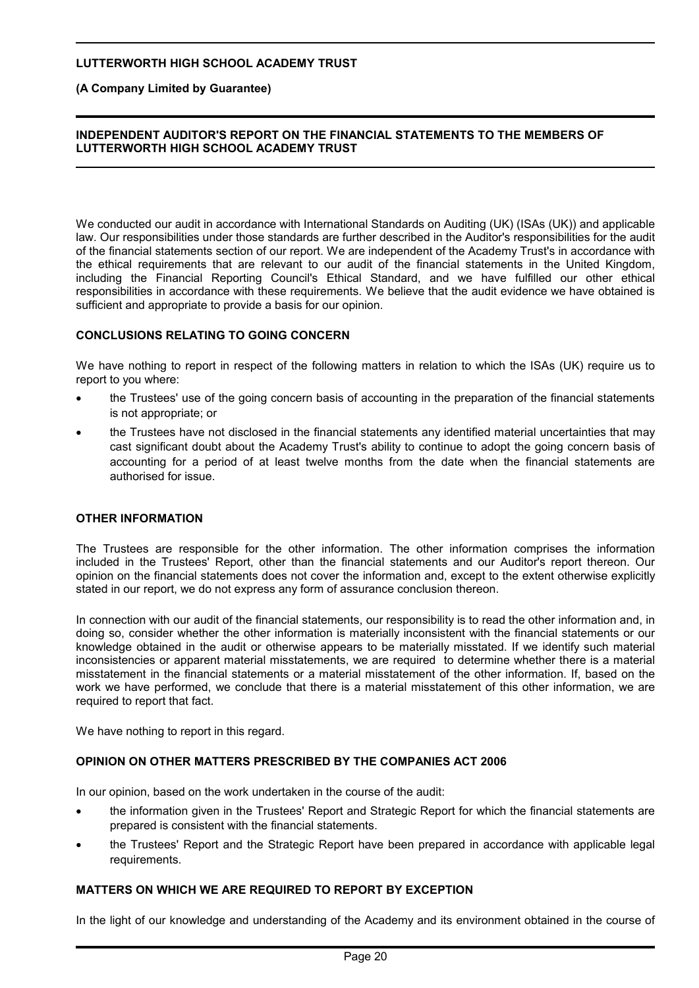# **(A Company Limited by Guarantee)**

#### **INDEPENDENT AUDITOR'S REPORT ON THE FINANCIAL STATEMENTS TO THE MEMBERS OF LUTTERWORTH HIGH SCHOOL ACADEMY TRUST**

We conducted our audit in accordance with International Standards on Auditing (UK) (ISAs (UK)) and applicable law. Our responsibilities under those standards are further described in the Auditor's responsibilities for the audit of the financial statements section of our report. We are independent of the Academy Trust's in accordance with the ethical requirements that are relevant to our audit of the financial statements in the United Kingdom, including the Financial Reporting Council's Ethical Standard, and we have fulfilled our other ethical responsibilities in accordance with these requirements. We believe that the audit evidence we have obtained is sufficient and appropriate to provide a basis for our opinion.

#### **CONCLUSIONS RELATING TO GOING CONCERN**

We have nothing to report in respect of the following matters in relation to which the ISAs (UK) require us to report to you where:

- the Trustees' use of the going concern basis of accounting in the preparation of the financial statements is not appropriate; or
- the Trustees have not disclosed in the financial statements any identified material uncertainties that may cast significant doubt about the Academy Trust's ability to continue to adopt the going concern basis of accounting for a period of at least twelve months from the date when the financial statements are authorised for issue.

#### **OTHER INFORMATION**

The Trustees are responsible for the other information. The other information comprises the information included in the Trustees' Report, other than the financial statements and our Auditor's report thereon. Our opinion on the financial statements does not cover the information and, except to the extent otherwise explicitly stated in our report, we do not express any form of assurance conclusion thereon.

In connection with our audit of the financial statements, our responsibility is to read the other information and, in doing so, consider whether the other information is materially inconsistent with the financial statements or our knowledge obtained in the audit or otherwise appears to be materially misstated. If we identify such material inconsistencies or apparent material misstatements, we are required to determine whether there is a material misstatement in the financial statements or a material misstatement of the other information. If, based on the work we have performed, we conclude that there is a material misstatement of this other information, we are required to report that fact.

We have nothing to report in this regard.

#### **OPINION ON OTHER MATTERS PRESCRIBED BY THE COMPANIES ACT 2006**

In our opinion, based on the work undertaken in the course of the audit:

- the information given in the Trustees' Report and Strategic Report for which the financial statements are prepared is consistent with the financial statements.
- the Trustees' Report and the Strategic Report have been prepared in accordance with applicable legal requirements.

#### **MATTERS ON WHICH WE ARE REQUIRED TO REPORT BY EXCEPTION**

In the light of our knowledge and understanding of the Academy and its environment obtained in the course of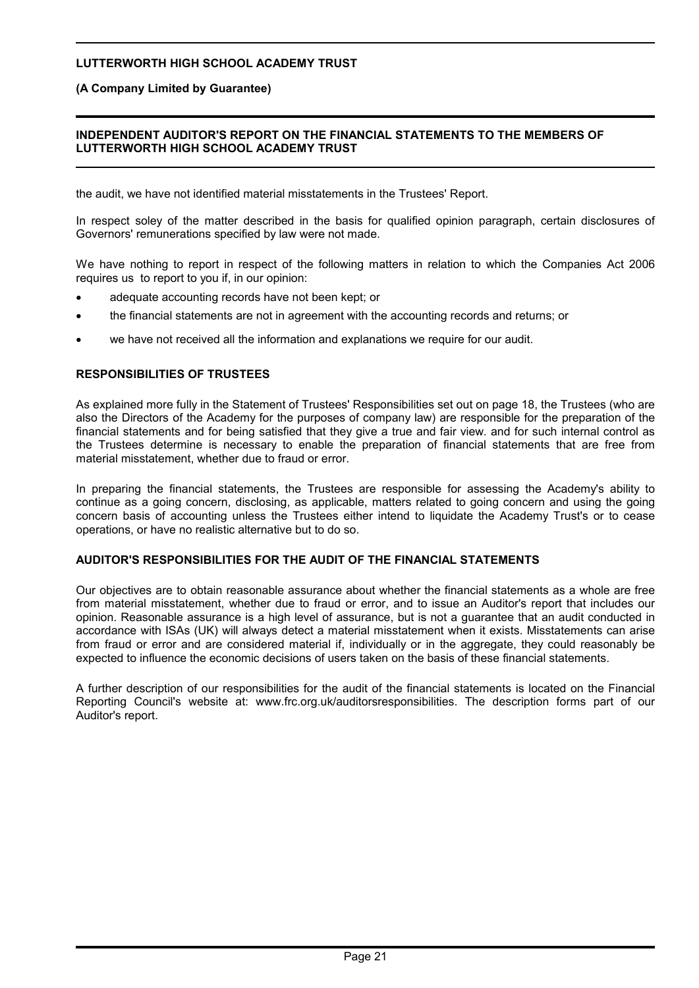# **(A Company Limited by Guarantee)**

### **INDEPENDENT AUDITOR'S REPORT ON THE FINANCIAL STATEMENTS TO THE MEMBERS OF LUTTERWORTH HIGH SCHOOL ACADEMY TRUST**

the audit, we have not identified material misstatements in the Trustees' Report.

In respect soley of the matter described in the basis for qualified opinion paragraph, certain disclosures of Governors' remunerations specified by law were not made.

We have nothing to report in respect of the following matters in relation to which the Companies Act 2006 requires us to report to you if, in our opinion:

- adequate accounting records have not been kept; or
- the financial statements are not in agreement with the accounting records and returns; or
- we have not received all the information and explanations we require for our audit.

# **RESPONSIBILITIES OF TRUSTEES**

As explained more fully in the Statement of Trustees' Responsibilities set out on page 18, the Trustees (who are also the Directors of the Academy for the purposes of company law) are responsible for the preparation of the financial statements and for being satisfied that they give a true and fair view. and for such internal control as the Trustees determine is necessary to enable the preparation of financial statements that are free from material misstatement, whether due to fraud or error.

In preparing the financial statements, the Trustees are responsible for assessing the Academy's ability to continue as a going concern, disclosing, as applicable, matters related to going concern and using the going concern basis of accounting unless the Trustees either intend to liquidate the Academy Trust's or to cease operations, or have no realistic alternative but to do so.

# **AUDITOR'S RESPONSIBILITIES FOR THE AUDIT OF THE FINANCIAL STATEMENTS**

Our objectives are to obtain reasonable assurance about whether the financial statements as a whole are free from material misstatement, whether due to fraud or error, and to issue an Auditor's report that includes our opinion. Reasonable assurance is a high level of assurance, but is not a guarantee that an audit conducted in accordance with ISAs (UK) will always detect a material misstatement when it exists. Misstatements can arise from fraud or error and are considered material if, individually or in the aggregate, they could reasonably be expected to influence the economic decisions of users taken on the basis of these financial statements.

A further description of our responsibilities for the audit of the financial statements is located on the Financial Reporting Council's website at: www.frc.org.uk/auditorsresponsibilities. The description forms part of our Auditor's report.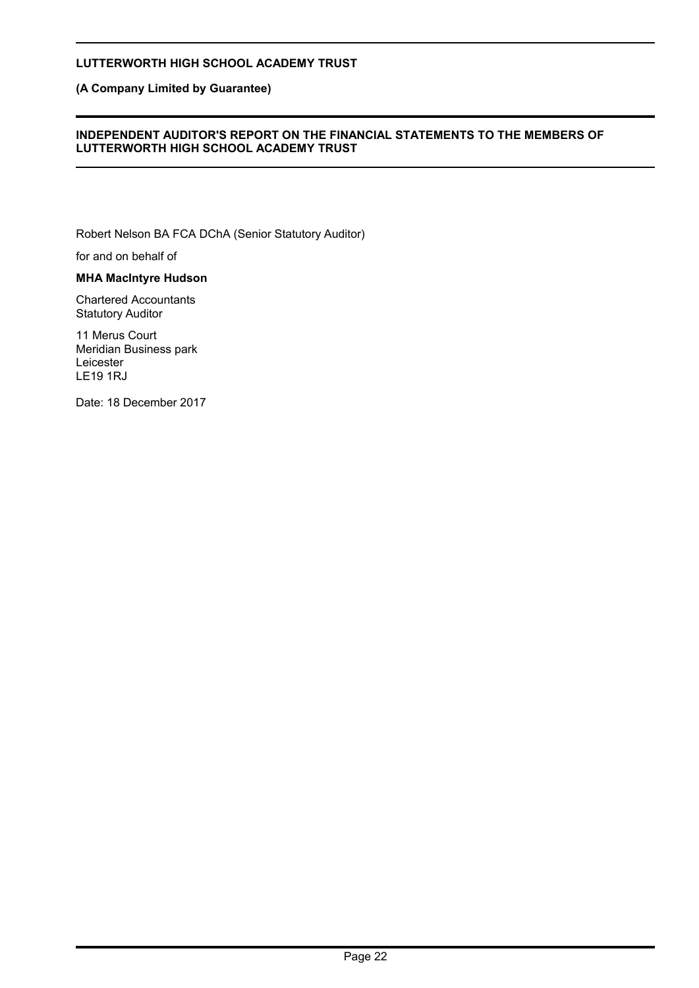# **(A Company Limited by Guarantee)**

#### **INDEPENDENT AUDITOR'S REPORT ON THE FINANCIAL STATEMENTS TO THE MEMBERS OF LUTTERWORTH HIGH SCHOOL ACADEMY TRUST**

Robert Nelson BA FCA DChA (Senior Statutory Auditor)

for and on behalf of

#### **MHA MacIntyre Hudson**

Chartered Accountants Statutory Auditor

11 Merus Court Meridian Business park Leicester LE19 1RJ

Date: 18 December 2017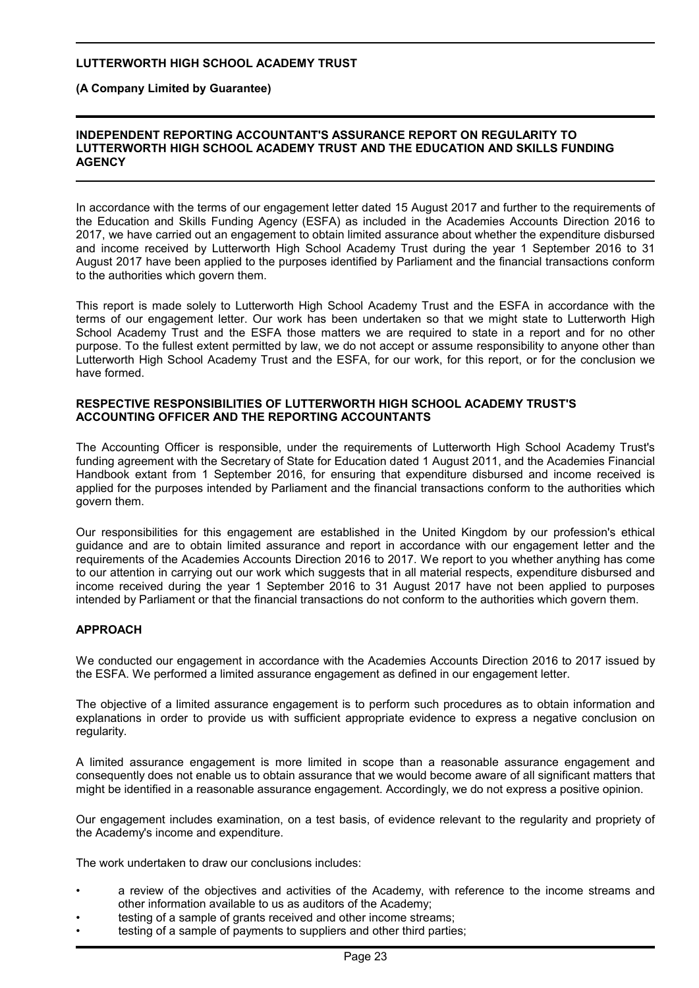**(A Company Limited by Guarantee)**

#### **INDEPENDENT REPORTING ACCOUNTANT'S ASSURANCE REPORT ON REGULARITY TO LUTTERWORTH HIGH SCHOOL ACADEMY TRUST AND THE EDUCATION AND SKILLS FUNDING AGENCY**

In accordance with the terms of our engagement letter dated 15 August 2017 and further to the requirements of the Education and Skills Funding Agency (ESFA) as included in the Academies Accounts Direction 2016 to 2017, we have carried out an engagement to obtain limited assurance about whether the expenditure disbursed and income received by Lutterworth High School Academy Trust during the year 1 September 2016 to 31 August 2017 have been applied to the purposes identified by Parliament and the financial transactions conform to the authorities which govern them.

This report is made solely to Lutterworth High School Academy Trust and the ESFA in accordance with the terms of our engagement letter. Our work has been undertaken so that we might state to Lutterworth High School Academy Trust and the ESFA those matters we are required to state in a report and for no other purpose. To the fullest extent permitted by law, we do not accept or assume responsibility to anyone other than Lutterworth High School Academy Trust and the ESFA, for our work, for this report, or for the conclusion we have formed.

#### **RESPECTIVE RESPONSIBILITIES OF LUTTERWORTH HIGH SCHOOL ACADEMY TRUST'S ACCOUNTING OFFICER AND THE REPORTING ACCOUNTANTS**

The Accounting Officer is responsible, under the requirements of Lutterworth High School Academy Trust's funding agreement with the Secretary of State for Education dated 1 August 2011, and the Academies Financial Handbook extant from 1 September 2016, for ensuring that expenditure disbursed and income received is applied for the purposes intended by Parliament and the financial transactions conform to the authorities which govern them.

Our responsibilities for this engagement are established in the United Kingdom by our profession's ethical guidance and are to obtain limited assurance and report in accordance with our engagement letter and the requirements of the Academies Accounts Direction 2016 to 2017. We report to you whether anything has come to our attention in carrying out our work which suggests that in all material respects, expenditure disbursed and income received during the year 1 September 2016 to 31 August 2017 have not been applied to purposes intended by Parliament or that the financial transactions do not conform to the authorities which govern them.

# **APPROACH**

We conducted our engagement in accordance with the Academies Accounts Direction 2016 to 2017 issued by the ESFA. We performed a limited assurance engagement as defined in our engagement letter.

The objective of a limited assurance engagement is to perform such procedures as to obtain information and explanations in order to provide us with sufficient appropriate evidence to express a negative conclusion on regularity.

A limited assurance engagement is more limited in scope than a reasonable assurance engagement and consequently does not enable us to obtain assurance that we would become aware of all significant matters that might be identified in a reasonable assurance engagement. Accordingly, we do not express a positive opinion.

Our engagement includes examination, on a test basis, of evidence relevant to the regularity and propriety of the Academy's income and expenditure.

The work undertaken to draw our conclusions includes:

- a review of the objectives and activities of the Academy, with reference to the income streams and other information available to us as auditors of the Academy;
- testing of a sample of grants received and other income streams;
- testing of a sample of payments to suppliers and other third parties;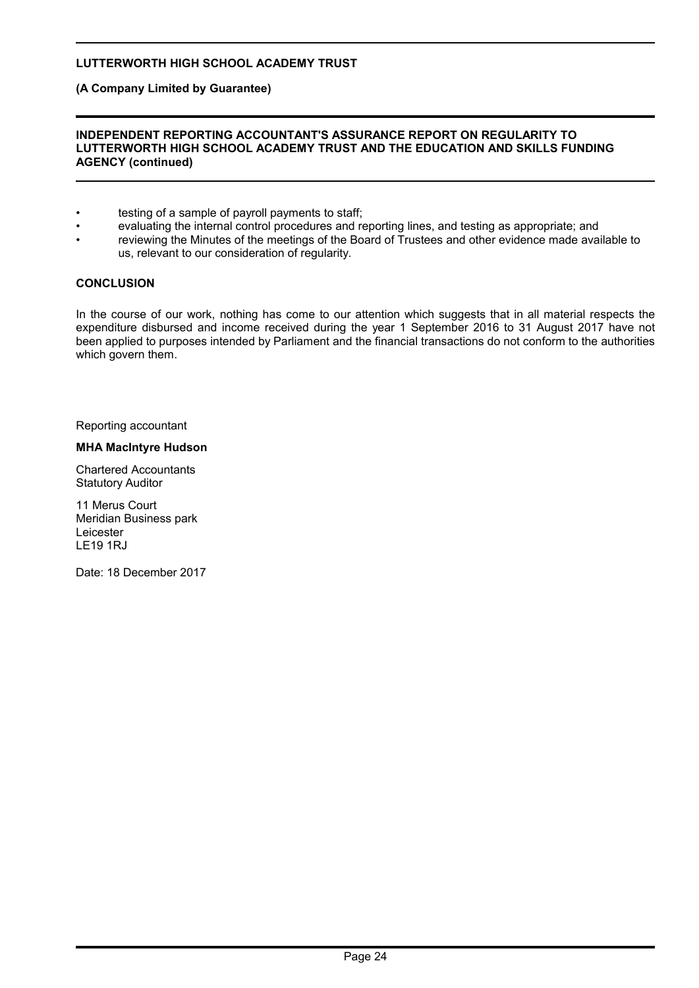**(A Company Limited by Guarantee)**

#### **INDEPENDENT REPORTING ACCOUNTANT'S ASSURANCE REPORT ON REGULARITY TO LUTTERWORTH HIGH SCHOOL ACADEMY TRUST AND THE EDUCATION AND SKILLS FUNDING AGENCY (continued)**

- testing of a sample of payroll payments to staff;
- evaluating the internal control procedures and reporting lines, and testing as appropriate; and
- reviewing the Minutes of the meetings of the Board of Trustees and other evidence made available to us, relevant to our consideration of regularity.

#### **CONCLUSION**

In the course of our work, nothing has come to our attention which suggests that in all material respects the expenditure disbursed and income received during the year 1 September 2016 to 31 August 2017 have not been applied to purposes intended by Parliament and the financial transactions do not conform to the authorities which govern them.

Reporting accountant

#### **MHA MacIntyre Hudson**

Chartered Accountants Statutory Auditor

11 Merus Court Meridian Business park Leicester LE19 1RJ

Date: 18 December 2017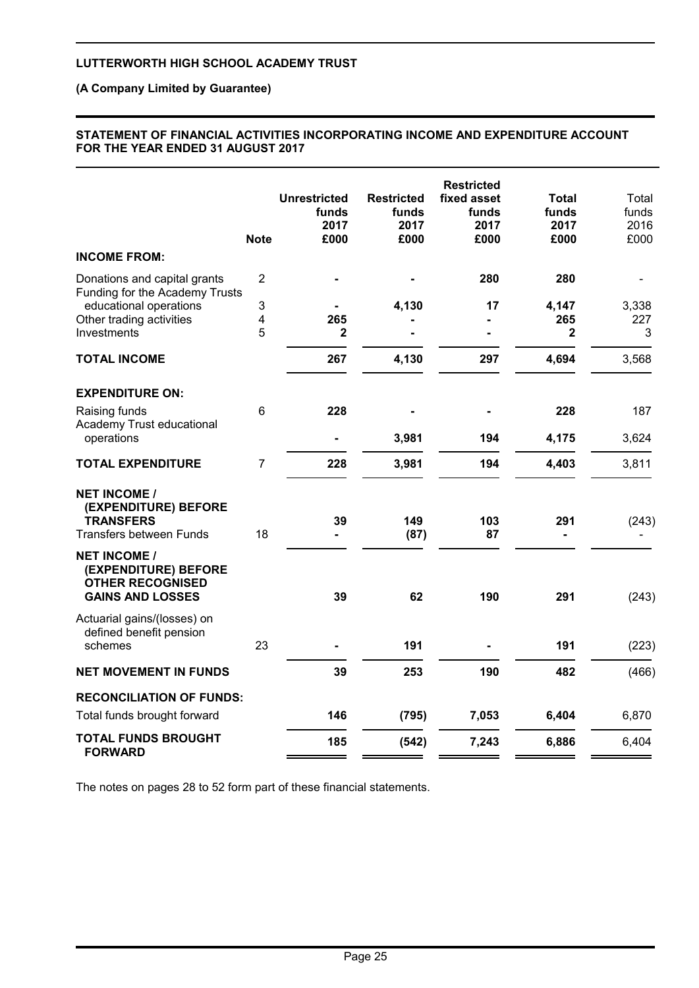# **(A Company Limited by Guarantee)**

#### **STATEMENT OF FINANCIAL ACTIVITIES INCORPORATING INCOME AND EXPENDITURE ACCOUNT FOR THE YEAR ENDED 31 AUGUST 2017**

|                                                                                                                                     | <b>Note</b>                   | <b>Unrestricted</b><br>funds<br>2017<br>£000 | <b>Restricted</b><br>funds<br>2017<br>£000 | <b>Restricted</b><br>fixed asset<br>funds<br>2017<br>£000 | Total<br>funds<br>2017<br>£000 | Total<br>funds<br>2016<br>£000 |
|-------------------------------------------------------------------------------------------------------------------------------------|-------------------------------|----------------------------------------------|--------------------------------------------|-----------------------------------------------------------|--------------------------------|--------------------------------|
| <b>INCOME FROM:</b>                                                                                                                 |                               |                                              |                                            |                                                           |                                |                                |
| Donations and capital grants<br>Funding for the Academy Trusts<br>educational operations<br>Other trading activities<br>Investments | $\overline{2}$<br>3<br>4<br>5 | 265<br>2                                     | 4,130                                      | 280<br>17                                                 | 280<br>4,147<br>265<br>2       | 3,338<br>227<br>3              |
| <b>TOTAL INCOME</b>                                                                                                                 |                               | 267                                          | 4,130                                      | 297                                                       | 4,694                          | 3,568                          |
| <b>EXPENDITURE ON:</b><br>Raising funds                                                                                             | 6                             | 228                                          |                                            |                                                           | 228                            | 187                            |
| Academy Trust educational<br>operations                                                                                             |                               |                                              | 3,981                                      | 194                                                       | 4,175                          | 3,624                          |
| <b>TOTAL EXPENDITURE</b>                                                                                                            | $\overline{7}$                | 228                                          | 3,981                                      | 194                                                       | 4,403                          | 3,811                          |
| <b>NET INCOME /</b><br>(EXPENDITURE) BEFORE<br><b>TRANSFERS</b><br><b>Transfers between Funds</b>                                   | 18                            | 39                                           | 149<br>(87)                                | 103<br>87                                                 | 291                            | (243)                          |
| <b>NET INCOME /</b><br>(EXPENDITURE) BEFORE<br><b>OTHER RECOGNISED</b><br><b>GAINS AND LOSSES</b>                                   |                               | 39                                           | 62                                         | 190                                                       | 291                            | (243)                          |
| Actuarial gains/(losses) on<br>defined benefit pension<br>schemes                                                                   | 23                            |                                              | 191                                        |                                                           | 191                            | (223)                          |
| <b>NET MOVEMENT IN FUNDS</b>                                                                                                        |                               | 39                                           | 253                                        | 190                                                       | 482                            | (466)                          |
| <b>RECONCILIATION OF FUNDS:</b><br>Total funds brought forward                                                                      |                               | 146                                          | (795)                                      | 7,053                                                     | 6,404                          | 6,870                          |
| <b>TOTAL FUNDS BROUGHT</b><br><b>FORWARD</b>                                                                                        |                               | 185                                          | (542)                                      | 7,243                                                     | 6,886                          | 6,404                          |
|                                                                                                                                     |                               |                                              |                                            |                                                           |                                |                                |

The notes on pages 28 to 52 form part of these financial statements.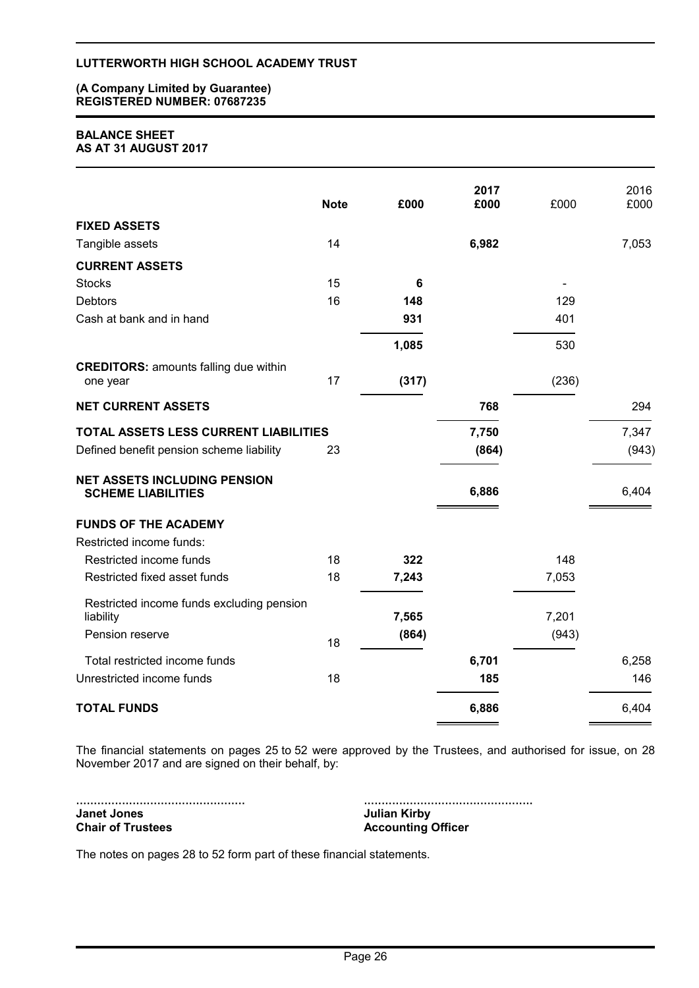#### **(A Company Limited by Guarantee) REGISTERED NUMBER: 07687235**

#### **BALANCE SHEET AS AT 31 AUGUST 2017**

|                                                                  | <b>Note</b> | £000  | 2017<br>£000 | £000  | 2016<br>£000 |
|------------------------------------------------------------------|-------------|-------|--------------|-------|--------------|
| <b>FIXED ASSETS</b>                                              |             |       |              |       |              |
| Tangible assets                                                  | 14          |       | 6,982        |       | 7,053        |
| <b>CURRENT ASSETS</b>                                            |             |       |              |       |              |
| <b>Stocks</b>                                                    | 15          | 6     |              |       |              |
| <b>Debtors</b>                                                   | 16          | 148   |              | 129   |              |
| Cash at bank and in hand                                         |             | 931   |              | 401   |              |
|                                                                  |             | 1,085 |              | 530   |              |
| <b>CREDITORS: amounts falling due within</b><br>one year         | 17          | (317) |              | (236) |              |
| <b>NET CURRENT ASSETS</b>                                        |             |       | 768          |       | 294          |
| TOTAL ASSETS LESS CURRENT LIABILITIES                            |             |       | 7,750        |       | 7,347        |
| Defined benefit pension scheme liability                         | 23          |       | (864)        |       | (943)        |
| <b>NET ASSETS INCLUDING PENSION</b><br><b>SCHEME LIABILITIES</b> |             |       | 6,886        |       | 6,404        |
| <b>FUNDS OF THE ACADEMY</b>                                      |             |       |              |       |              |
| Restricted income funds:                                         |             |       |              |       |              |
| Restricted income funds                                          | 18          | 322   |              | 148   |              |
| Restricted fixed asset funds                                     | 18          | 7,243 |              | 7,053 |              |
| Restricted income funds excluding pension                        |             |       |              |       |              |
| liability                                                        |             | 7,565 |              | 7,201 |              |
| Pension reserve                                                  | 18          | (864) |              | (943) |              |
| Total restricted income funds                                    |             |       | 6,701        |       | 6,258        |
| Unrestricted income funds                                        | 18          |       | 185          |       | 146          |
| <b>TOTAL FUNDS</b>                                               |             |       | 6,886        |       | 6,404        |

The financial statements on pages 25 to 52 were approved by the Trustees, and authorised for issue, on 28 November 2017 and are signed on their behalf, by:

................................................ **Janet Jones Chair of Trustees**

................................................ **Julian Kirby Accounting Officer**

The notes on pages 28 to 52 form part of these financial statements.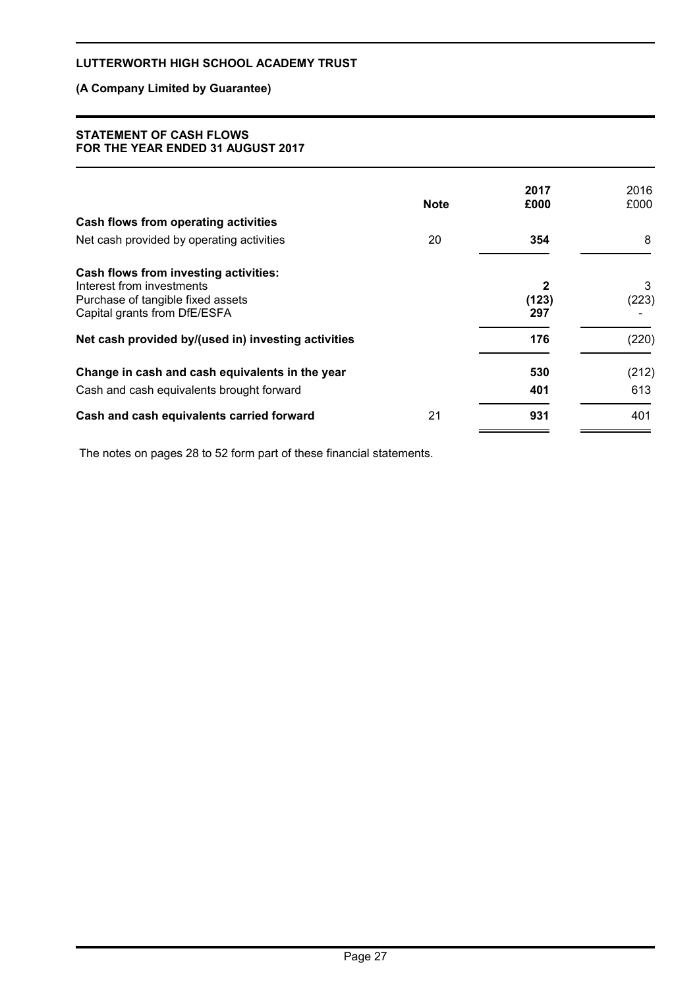# **(A Company Limited by Guarantee)**

#### **STATEMENT OF CASH FLOWS FOR THE YEAR ENDED 31 AUGUST 2017**

|                                                     | <b>Note</b> | 2017<br>£000 | 2016<br>£000 |
|-----------------------------------------------------|-------------|--------------|--------------|
| Cash flows from operating activities                |             |              |              |
| Net cash provided by operating activities           | 20          | 354          | 8            |
| Cash flows from investing activities:               |             |              |              |
| Interest from investments                           |             | $\mathbf 2$  | 3            |
| Purchase of tangible fixed assets                   |             | (123)        | (223)        |
| Capital grants from DfE/ESFA                        |             | 297          |              |
| Net cash provided by/(used in) investing activities |             | 176          | (220)        |
| Change in cash and cash equivalents in the year     |             | 530          | (212)        |
| Cash and cash equivalents brought forward           |             | 401          | 613          |
| Cash and cash equivalents carried forward           | 21          | 931          | 401          |

The notes on pages 28 to 52 form part of these financial statements.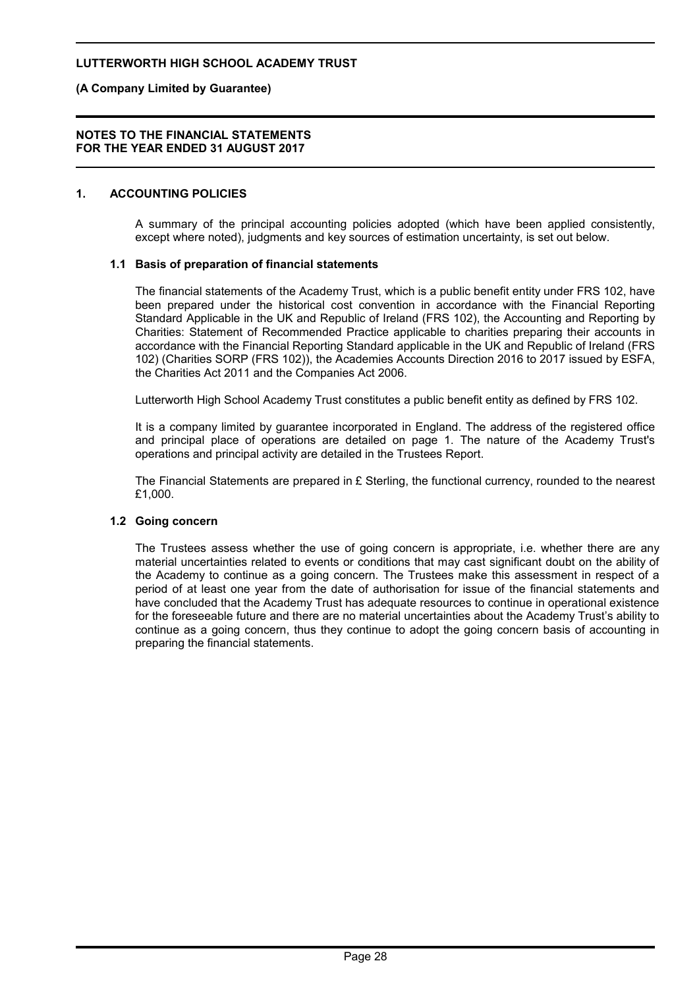#### **(A Company Limited by Guarantee)**

#### **NOTES TO THE FINANCIAL STATEMENTS FOR THE YEAR ENDED 31 AUGUST 2017**

#### **1. ACCOUNTING POLICIES**

A summary of the principal accounting policies adopted (which have been applied consistently, except where noted), judgments and key sources of estimation uncertainty, is set out below.

#### **1.1 Basis of preparation of financial statements**

The financial statements of the Academy Trust, which is a public benefit entity under FRS 102, have been prepared under the historical cost convention in accordance with the Financial Reporting Standard Applicable in the UK and Republic of Ireland (FRS 102), the Accounting and Reporting by Charities: Statement of Recommended Practice applicable to charities preparing their accounts in accordance with the Financial Reporting Standard applicable in the UK and Republic of Ireland (FRS 102) (Charities SORP (FRS 102)), the Academies Accounts Direction 2016 to 2017 issued by ESFA, the Charities Act 2011 and the Companies Act 2006.

Lutterworth High School Academy Trust constitutes a public benefit entity as defined by FRS 102.

It is a company limited by guarantee incorporated in England. The address of the registered office and principal place of operations are detailed on page 1. The nature of the Academy Trust's operations and principal activity are detailed in the Trustees Report.

The Financial Statements are prepared in £ Sterling, the functional currency, rounded to the nearest £1,000.

#### **1.2 Going concern**

The Trustees assess whether the use of going concern is appropriate, i.e. whether there are any material uncertainties related to events or conditions that may cast significant doubt on the ability of the Academy to continue as a going concern. The Trustees make this assessment in respect of a period of at least one year from the date of authorisation for issue of the financial statements and have concluded that the Academy Trust has adequate resources to continue in operational existence for the foreseeable future and there are no material uncertainties about the Academy Trust's ability to continue as a going concern, thus they continue to adopt the going concern basis of accounting in preparing the financial statements.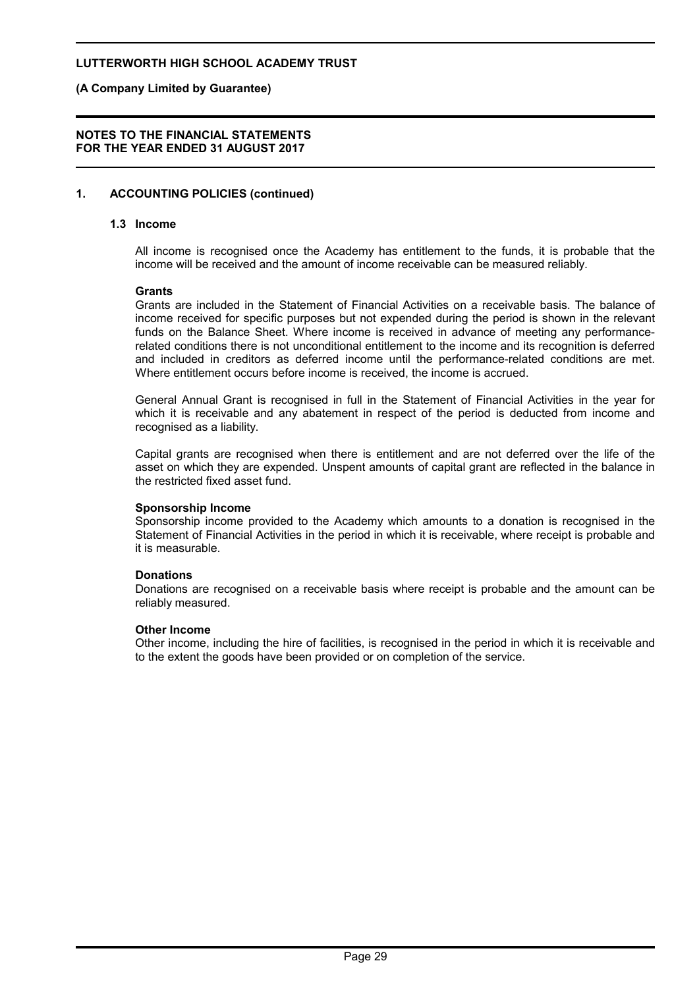### **(A Company Limited by Guarantee)**

#### **NOTES TO THE FINANCIAL STATEMENTS FOR THE YEAR ENDED 31 AUGUST 2017**

# **1. ACCOUNTING POLICIES (continued)**

### **1.3 Income**

All income is recognised once the Academy has entitlement to the funds, it is probable that the income will be received and the amount of income receivable can be measured reliably.

#### **Grants**

Grants are included in the Statement of Financial Activities on a receivable basis. The balance of income received for specific purposes but not expended during the period is shown in the relevant funds on the Balance Sheet. Where income is received in advance of meeting any performancerelated conditions there is not unconditional entitlement to the income and its recognition is deferred and included in creditors as deferred income until the performance-related conditions are met. Where entitlement occurs before income is received, the income is accrued.

General Annual Grant is recognised in full in the Statement of Financial Activities in the year for which it is receivable and any abatement in respect of the period is deducted from income and recognised as a liability.

Capital grants are recognised when there is entitlement and are not deferred over the life of the asset on which they are expended. Unspent amounts of capital grant are reflected in the balance in the restricted fixed asset fund.

#### **Sponsorship Income**

Sponsorship income provided to the Academy which amounts to a donation is recognised in the Statement of Financial Activities in the period in which it is receivable, where receipt is probable and it is measurable.

#### **Donations**

Donations are recognised on a receivable basis where receipt is probable and the amount can be reliably measured.

#### **Other Income**

Other income, including the hire of facilities, is recognised in the period in which it is receivable and to the extent the goods have been provided or on completion of the service.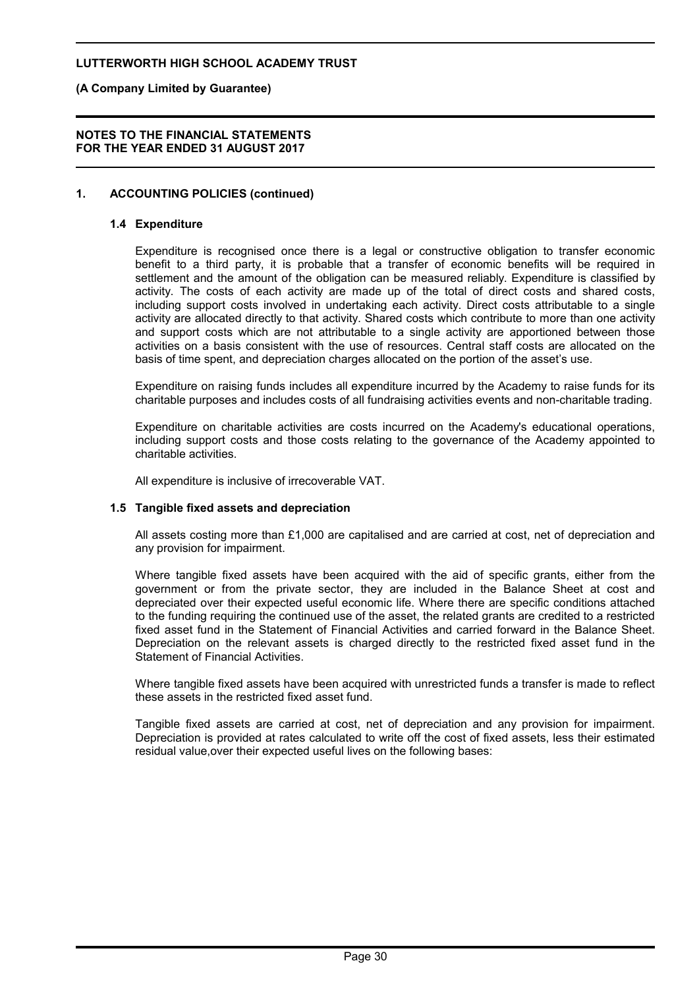### **(A Company Limited by Guarantee)**

#### **NOTES TO THE FINANCIAL STATEMENTS FOR THE YEAR ENDED 31 AUGUST 2017**

# **1. ACCOUNTING POLICIES (continued)**

#### **1.4 Expenditure**

Expenditure is recognised once there is a legal or constructive obligation to transfer economic benefit to a third party, it is probable that a transfer of economic benefits will be required in settlement and the amount of the obligation can be measured reliably. Expenditure is classified by activity. The costs of each activity are made up of the total of direct costs and shared costs, including support costs involved in undertaking each activity. Direct costs attributable to a single activity are allocated directly to that activity. Shared costs which contribute to more than one activity and support costs which are not attributable to a single activity are apportioned between those activities on a basis consistent with the use of resources. Central staff costs are allocated on the basis of time spent, and depreciation charges allocated on the portion of the asset's use.

Expenditure on raising funds includes all expenditure incurred by the Academy to raise funds for its charitable purposes and includes costs of all fundraising activities events and non-charitable trading.

Expenditure on charitable activities are costs incurred on the Academy's educational operations, including support costs and those costs relating to the governance of the Academy appointed to charitable activities.

All expenditure is inclusive of irrecoverable VAT.

#### **1.5 Tangible fixed assets and depreciation**

All assets costing more than £1,000 are capitalised and are carried at cost, net of depreciation and any provision for impairment.

Where tangible fixed assets have been acquired with the aid of specific grants, either from the government or from the private sector, they are included in the Balance Sheet at cost and depreciated over their expected useful economic life. Where there are specific conditions attached to the funding requiring the continued use of the asset, the related grants are credited to a restricted fixed asset fund in the Statement of Financial Activities and carried forward in the Balance Sheet. Depreciation on the relevant assets is charged directly to the restricted fixed asset fund in the Statement of Financial Activities.

Where tangible fixed assets have been acquired with unrestricted funds a transfer is made to reflect these assets in the restricted fixed asset fund.

Tangible fixed assets are carried at cost, net of depreciation and any provision for impairment. Depreciation is provided at rates calculated to write off the cost of fixed assets, less their estimated residual value,over their expected useful lives on the following bases: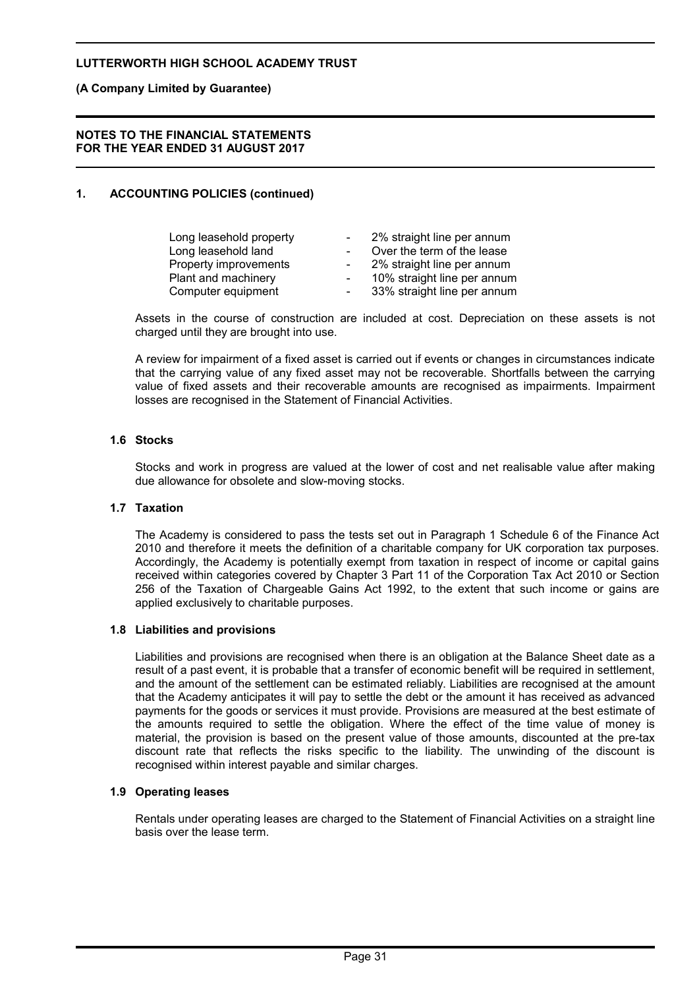### **(A Company Limited by Guarantee)**

#### **NOTES TO THE FINANCIAL STATEMENTS FOR THE YEAR ENDED 31 AUGUST 2017**

# **1. ACCOUNTING POLICIES (continued)**

| Long leasehold property | $\sim$     | 2% straight line per annum  |
|-------------------------|------------|-----------------------------|
| Long leasehold land     |            | Over the term of the lease  |
| Property improvements   | $\sim$     | 2% straight line per annum  |
| Plant and machinery     | $\sim$     | 10% straight line per annum |
| Computer equipment      | $\sim$ $-$ | 33% straight line per annum |

Assets in the course of construction are included at cost. Depreciation on these assets is not charged until they are brought into use.

A review for impairment of a fixed asset is carried out if events or changes in circumstances indicate that the carrying value of any fixed asset may not be recoverable. Shortfalls between the carrying value of fixed assets and their recoverable amounts are recognised as impairments. Impairment losses are recognised in the Statement of Financial Activities.

# **1.6 Stocks**

Stocks and work in progress are valued at the lower of cost and net realisable value after making due allowance for obsolete and slow-moving stocks.

#### **1.7 Taxation**

The Academy is considered to pass the tests set out in Paragraph 1 Schedule 6 of the Finance Act 2010 and therefore it meets the definition of a charitable company for UK corporation tax purposes. Accordingly, the Academy is potentially exempt from taxation in respect of income or capital gains received within categories covered by Chapter 3 Part 11 of the Corporation Tax Act 2010 or Section 256 of the Taxation of Chargeable Gains Act 1992, to the extent that such income or gains are applied exclusively to charitable purposes.

#### **1.8 Liabilities and provisions**

Liabilities and provisions are recognised when there is an obligation at the Balance Sheet date as a result of a past event, it is probable that a transfer of economic benefit will be required in settlement, and the amount of the settlement can be estimated reliably. Liabilities are recognised at the amount that the Academy anticipates it will pay to settle the debt or the amount it has received as advanced payments for the goods or services it must provide. Provisions are measured at the best estimate of the amounts required to settle the obligation. Where the effect of the time value of money is material, the provision is based on the present value of those amounts, discounted at the pre-tax discount rate that reflects the risks specific to the liability. The unwinding of the discount is recognised within interest payable and similar charges.

#### **1.9 Operating leases**

Rentals under operating leases are charged to the Statement of Financial Activities on a straight line basis over the lease term.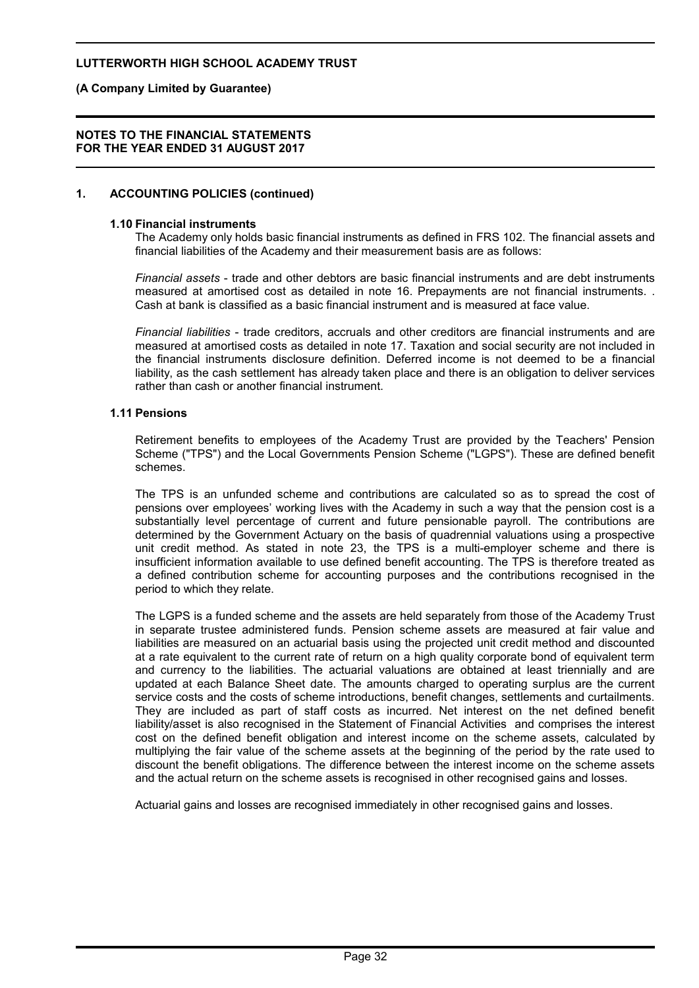### **(A Company Limited by Guarantee)**

#### **NOTES TO THE FINANCIAL STATEMENTS FOR THE YEAR ENDED 31 AUGUST 2017**

# **1. ACCOUNTING POLICIES (continued)**

#### **1.10 Financial instruments**

The Academy only holds basic financial instruments as defined in FRS 102. The financial assets and financial liabilities of the Academy and their measurement basis are as follows:

*Financial assets* - trade and other debtors are basic financial instruments and are debt instruments measured at amortised cost as detailed in note 16. Prepayments are not financial instruments. . Cash at bank is classified as a basic financial instrument and is measured at face value.

*Financial liabilities* - trade creditors, accruals and other creditors are financial instruments and are measured at amortised costs as detailed in note 17. Taxation and social security are not included in the financial instruments disclosure definition. Deferred income is not deemed to be a financial liability, as the cash settlement has already taken place and there is an obligation to deliver services rather than cash or another financial instrument.

#### **1.11 Pensions**

Retirement benefits to employees of the Academy Trust are provided by the Teachers' Pension Scheme ("TPS") and the Local Governments Pension Scheme ("LGPS"). These are defined benefit schemes.

The TPS is an unfunded scheme and contributions are calculated so as to spread the cost of pensions over employees' working lives with the Academy in such a way that the pension cost is a substantially level percentage of current and future pensionable payroll. The contributions are determined by the Government Actuary on the basis of quadrennial valuations using a prospective unit credit method. As stated in note 23, the TPS is a multi-employer scheme and there is insufficient information available to use defined benefit accounting. The TPS is therefore treated as a defined contribution scheme for accounting purposes and the contributions recognised in the period to which they relate.

The LGPS is a funded scheme and the assets are held separately from those of the Academy Trust in separate trustee administered funds. Pension scheme assets are measured at fair value and liabilities are measured on an actuarial basis using the projected unit credit method and discounted at a rate equivalent to the current rate of return on a high quality corporate bond of equivalent term and currency to the liabilities. The actuarial valuations are obtained at least triennially and are updated at each Balance Sheet date. The amounts charged to operating surplus are the current service costs and the costs of scheme introductions, benefit changes, settlements and curtailments. They are included as part of staff costs as incurred. Net interest on the net defined benefit liability/asset is also recognised in the Statement of Financial Activities and comprises the interest cost on the defined benefit obligation and interest income on the scheme assets, calculated by multiplying the fair value of the scheme assets at the beginning of the period by the rate used to discount the benefit obligations. The difference between the interest income on the scheme assets and the actual return on the scheme assets is recognised in other recognised gains and losses.

Actuarial gains and losses are recognised immediately in other recognised gains and losses.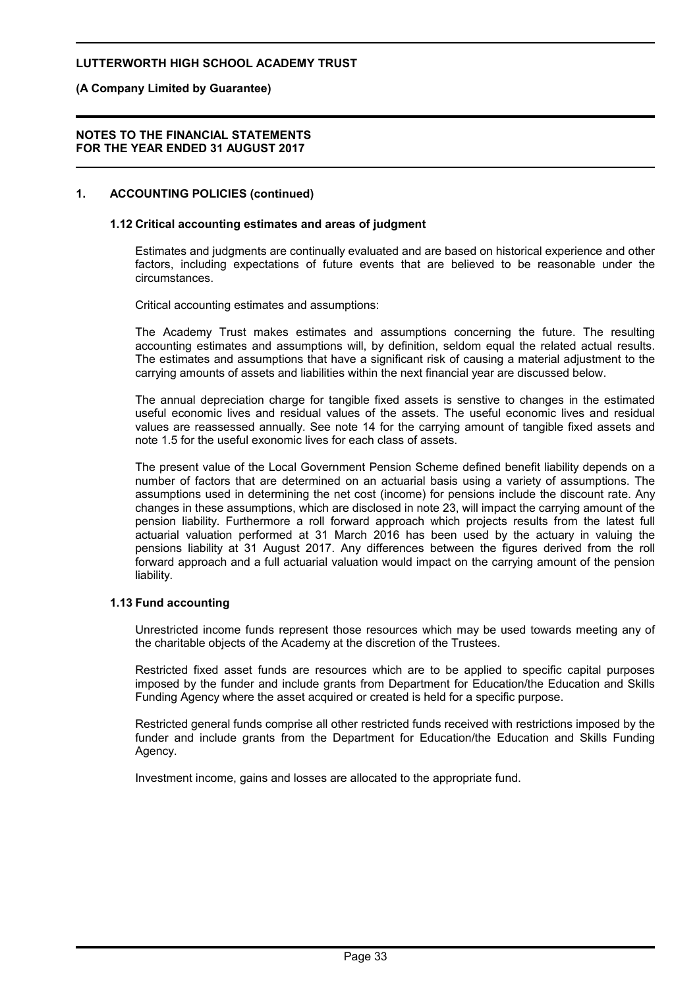# **(A Company Limited by Guarantee)**

#### **NOTES TO THE FINANCIAL STATEMENTS FOR THE YEAR ENDED 31 AUGUST 2017**

# **1. ACCOUNTING POLICIES (continued)**

#### **1.12 Critical accounting estimates and areas of judgment**

Estimates and judgments are continually evaluated and are based on historical experience and other factors, including expectations of future events that are believed to be reasonable under the circumstances.

Critical accounting estimates and assumptions:

The Academy Trust makes estimates and assumptions concerning the future. The resulting accounting estimates and assumptions will, by definition, seldom equal the related actual results. The estimates and assumptions that have a significant risk of causing a material adjustment to the carrying amounts of assets and liabilities within the next financial year are discussed below.

The annual depreciation charge for tangible fixed assets is senstive to changes in the estimated useful economic lives and residual values of the assets. The useful economic lives and residual values are reassessed annually. See note 14 for the carrying amount of tangible fixed assets and note 1.5 for the useful exonomic lives for each class of assets.

The present value of the Local Government Pension Scheme defined benefit liability depends on a number of factors that are determined on an actuarial basis using a variety of assumptions. The assumptions used in determining the net cost (income) for pensions include the discount rate. Any changes in these assumptions, which are disclosed in note 23, will impact the carrying amount of the pension liability. Furthermore a roll forward approach which projects results from the latest full actuarial valuation performed at 31 March 2016 has been used by the actuary in valuing the pensions liability at 31 August 2017. Any differences between the figures derived from the roll forward approach and a full actuarial valuation would impact on the carrying amount of the pension liability.

#### **1.13 Fund accounting**

Unrestricted income funds represent those resources which may be used towards meeting any of the charitable objects of the Academy at the discretion of the Trustees.

Restricted fixed asset funds are resources which are to be applied to specific capital purposes imposed by the funder and include grants from Department for Education/the Education and Skills Funding Agency where the asset acquired or created is held for a specific purpose.

Restricted general funds comprise all other restricted funds received with restrictions imposed by the funder and include grants from the Department for Education/the Education and Skills Funding Agency.

Investment income, gains and losses are allocated to the appropriate fund.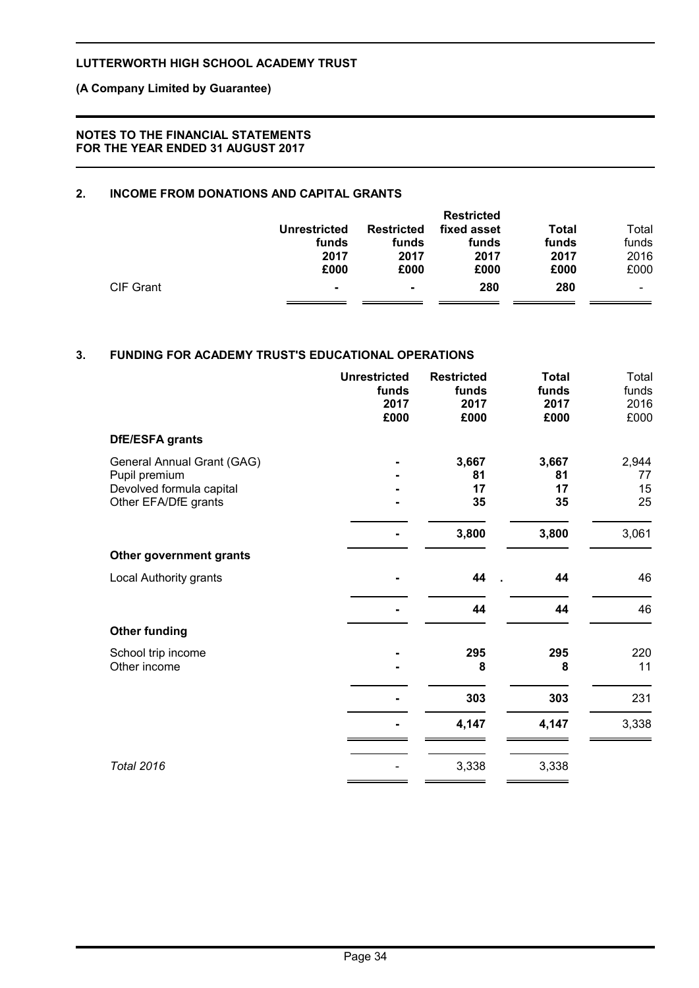# **(A Company Limited by Guarantee)**

### **NOTES TO THE FINANCIAL STATEMENTS FOR THE YEAR ENDED 31 AUGUST 2017**

# **2. INCOME FROM DONATIONS AND CAPITAL GRANTS**

|           |                |                   | <b>Restricted</b> |              |       |
|-----------|----------------|-------------------|-------------------|--------------|-------|
|           | Unrestricted   | <b>Restricted</b> | fixed asset       | <b>Total</b> | Total |
|           | funds          | funds             | funds             | funds        | funds |
|           | 2017           | 2017              | 2017              | 2017         | 2016  |
|           | £000           | £000              | £000              | £000         | £000  |
| CIF Grant | $\blacksquare$ | ۰                 | 280               | 280          |       |
|           |                |                   |                   |              |       |

# **3. FUNDING FOR ACADEMY TRUST'S EDUCATIONAL OPERATIONS**

|                                                                                                 | <b>Unrestricted</b><br>funds<br>2017<br>£000 | <b>Restricted</b><br>funds<br>2017<br>£000 | <b>Total</b><br>funds<br>2017<br>£000 | Total<br>funds<br>2016<br>£000 |
|-------------------------------------------------------------------------------------------------|----------------------------------------------|--------------------------------------------|---------------------------------------|--------------------------------|
| DfE/ESFA grants                                                                                 |                                              |                                            |                                       |                                |
| General Annual Grant (GAG)<br>Pupil premium<br>Devolved formula capital<br>Other EFA/DfE grants |                                              | 3,667<br>81<br>17<br>35                    | 3,667<br>81<br>17<br>35               | 2,944<br>77<br>15<br>25        |
|                                                                                                 |                                              | 3,800                                      | 3,800                                 | 3,061                          |
| Other government grants                                                                         |                                              |                                            |                                       |                                |
| Local Authority grants                                                                          |                                              | 44                                         | 44                                    | 46                             |
|                                                                                                 |                                              | 44                                         | 44                                    | 46                             |
| <b>Other funding</b>                                                                            |                                              |                                            |                                       |                                |
| School trip income<br>Other income                                                              |                                              | 295<br>8                                   | 295<br>8                              | 220<br>11                      |
|                                                                                                 |                                              | 303                                        | 303                                   | 231                            |
|                                                                                                 |                                              | 4,147                                      | 4,147                                 | 3,338                          |
| <b>Total 2016</b>                                                                               |                                              | 3,338                                      | 3,338                                 |                                |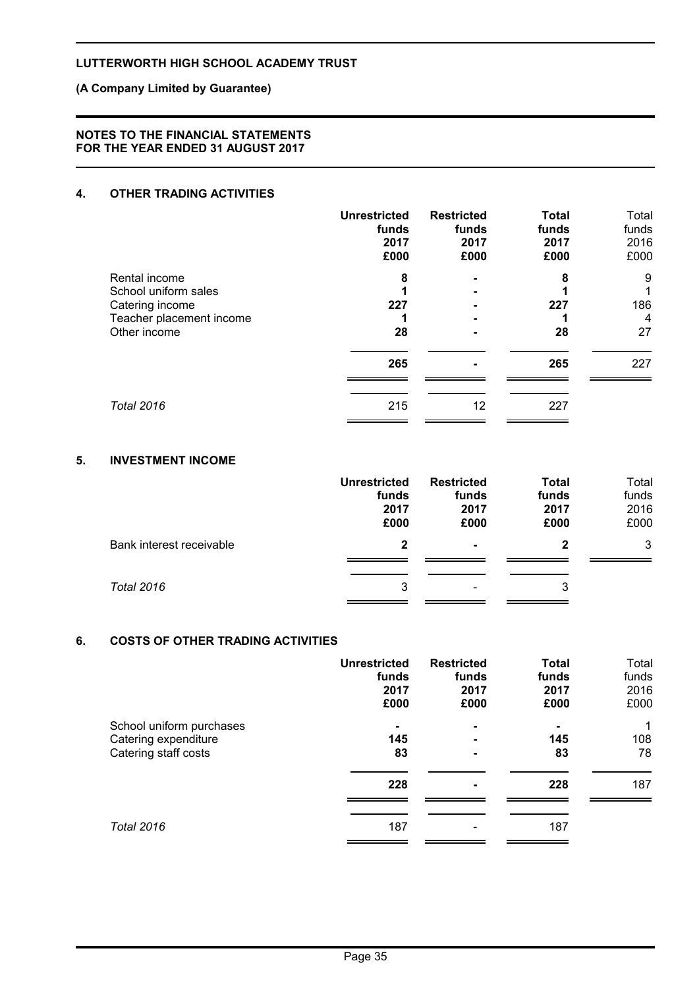# **(A Company Limited by Guarantee)**

#### **NOTES TO THE FINANCIAL STATEMENTS FOR THE YEAR ENDED 31 AUGUST 2017**

# **4. OTHER TRADING ACTIVITIES**

|                                       | <b>Unrestricted</b><br>funds<br>2017<br>£000 | <b>Restricted</b><br>funds<br>2017<br>£000 | <b>Total</b><br>funds<br>2017<br>£000 | Total<br>funds<br>2016<br>£000 |
|---------------------------------------|----------------------------------------------|--------------------------------------------|---------------------------------------|--------------------------------|
| Rental income<br>School uniform sales | 8                                            |                                            | 8                                     | 9<br>1                         |
| Catering income                       | 227                                          |                                            | 227                                   | 186                            |
| Teacher placement income              |                                              |                                            |                                       | $\overline{4}$                 |
| Other income                          | 28                                           |                                            | 28                                    | 27                             |
|                                       | 265                                          | $\overline{\phantom{0}}$                   | 265                                   | 227                            |
| <b>Total 2016</b>                     | 215                                          | 12                                         | 227                                   |                                |
|                                       |                                              |                                            |                                       |                                |

### **5. INVESTMENT INCOME**

|                          | <b>Unrestricted</b><br>funds<br>2017<br>£000 | <b>Restricted</b><br>funds<br>2017<br>£000 | <b>Total</b><br>funds<br>2017<br>£000 | Total<br>funds<br>2016<br>£000 |
|--------------------------|----------------------------------------------|--------------------------------------------|---------------------------------------|--------------------------------|
| Bank interest receivable | $\mathbf{2}$                                 | $\blacksquare$                             | 2                                     | 3                              |
| <b>Total 2016</b>        | 3                                            | $\overline{\phantom{a}}$                   | 3                                     |                                |

# **6. COSTS OF OTHER TRADING ACTIVITIES**

|                          | <b>Unrestricted</b> | <b>Restricted</b> | <b>Total</b> | Total |
|--------------------------|---------------------|-------------------|--------------|-------|
|                          | funds               | funds             | funds        | funds |
|                          | 2017                | 2017              | 2017         | 2016  |
|                          | £000                | £000              | £000         | £000  |
| School uniform purchases | $\blacksquare$      | $\blacksquare$    |              | 1     |
| Catering expenditure     | 145                 | $\blacksquare$    | 145          | 108   |
| Catering staff costs     | 83                  | $\blacksquare$    | 83           | 78    |
|                          | 228                 | $\blacksquare$    | 228          | 187   |
| <b>Total 2016</b>        | 187                 |                   | 187          |       |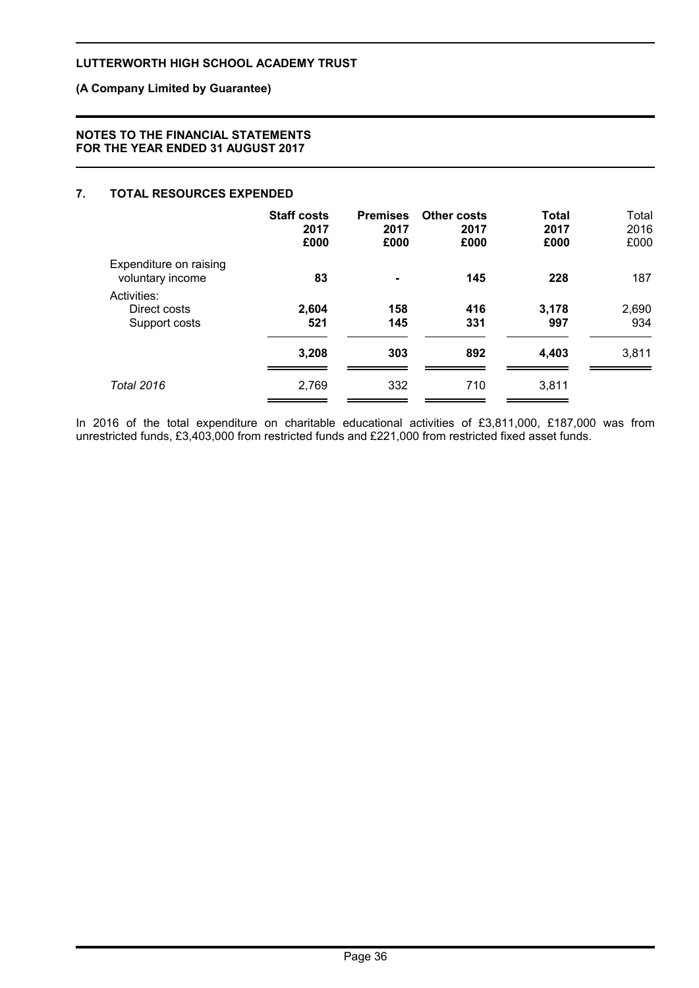# **(A Company Limited by Guarantee)**

### **NOTES TO THE FINANCIAL STATEMENTS FOR THE YEAR ENDED 31 AUGUST 2017**

# **7. TOTAL RESOURCES EXPENDED**

|                                              | <b>Staff costs</b><br>2017<br>£000 | <b>Premises</b><br>2017<br>£000 | Other costs<br>2017<br>£000 | <b>Total</b><br>2017<br>£000 | Total<br>2016<br>£000 |
|----------------------------------------------|------------------------------------|---------------------------------|-----------------------------|------------------------------|-----------------------|
| Expenditure on raising<br>voluntary income   | 83                                 | $\blacksquare$                  | 145                         | 228                          | 187                   |
| Activities:<br>Direct costs<br>Support costs | 2,604<br>521                       | 158<br>145                      | 416<br>331                  | 3,178<br>997                 | 2,690<br>934          |
|                                              | 3,208                              | 303                             | 892                         | 4,403                        | 3,811                 |
| <b>Total 2016</b>                            | 2,769                              | 332                             | 710                         | 3,811                        |                       |

In 2016 of the total expenditure on charitable educational activities of £3,811,000, £187,000 was from unrestricted funds, £3,403,000 from restricted funds and £221,000 from restricted fixed asset funds.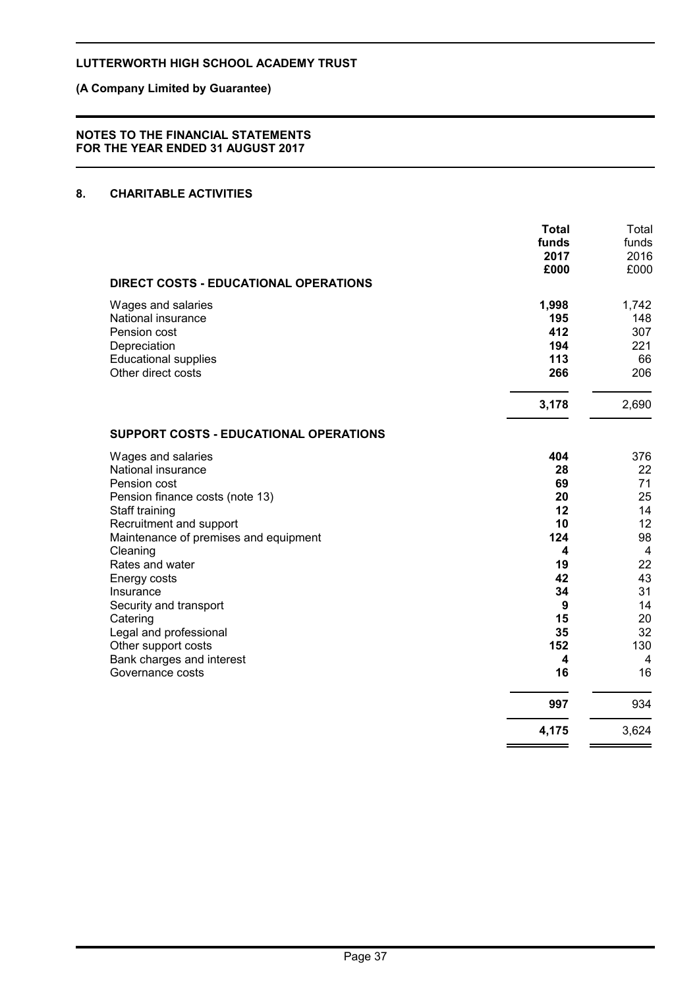# **(A Company Limited by Guarantee)**

#### **NOTES TO THE FINANCIAL STATEMENTS FOR THE YEAR ENDED 31 AUGUST 2017**

# **8. CHARITABLE ACTIVITIES**

|                                                                                                                                                                                                                                                                                                                                      | <b>Total</b><br>funds<br>2017<br>£000                                                   | Total<br>funds<br>2016<br>£000                                                                       |
|--------------------------------------------------------------------------------------------------------------------------------------------------------------------------------------------------------------------------------------------------------------------------------------------------------------------------------------|-----------------------------------------------------------------------------------------|------------------------------------------------------------------------------------------------------|
| DIRECT COSTS - EDUCATIONAL OPERATIONS                                                                                                                                                                                                                                                                                                |                                                                                         |                                                                                                      |
| Wages and salaries<br>National insurance<br>Pension cost<br>Depreciation<br><b>Educational supplies</b><br>Other direct costs                                                                                                                                                                                                        | 1,998<br>195<br>412<br>194<br>113<br>266                                                | 1,742<br>148<br>307<br>221<br>66<br>206                                                              |
|                                                                                                                                                                                                                                                                                                                                      | 3,178                                                                                   | 2,690                                                                                                |
| SUPPORT COSTS - EDUCATIONAL OPERATIONS                                                                                                                                                                                                                                                                                               |                                                                                         |                                                                                                      |
| Wages and salaries<br>National insurance<br>Pension cost<br>Pension finance costs (note 13)<br>Staff training<br>Recruitment and support<br>Maintenance of premises and equipment<br>Cleaning<br>Rates and water<br>Energy costs<br>Insurance<br>Security and transport<br>Catering<br>Legal and professional<br>Other support costs | 404<br>28<br>69<br>20<br>12<br>10<br>124<br>4<br>19<br>42<br>34<br>9<br>15<br>35<br>152 | 376<br>22<br>71<br>25<br>14<br>12<br>98<br>$\overline{4}$<br>22<br>43<br>31<br>14<br>20<br>32<br>130 |
| Bank charges and interest<br>Governance costs                                                                                                                                                                                                                                                                                        | 4<br>16                                                                                 | 4<br>16                                                                                              |
|                                                                                                                                                                                                                                                                                                                                      | 997                                                                                     | 934                                                                                                  |
|                                                                                                                                                                                                                                                                                                                                      | 4,175                                                                                   | 3,624                                                                                                |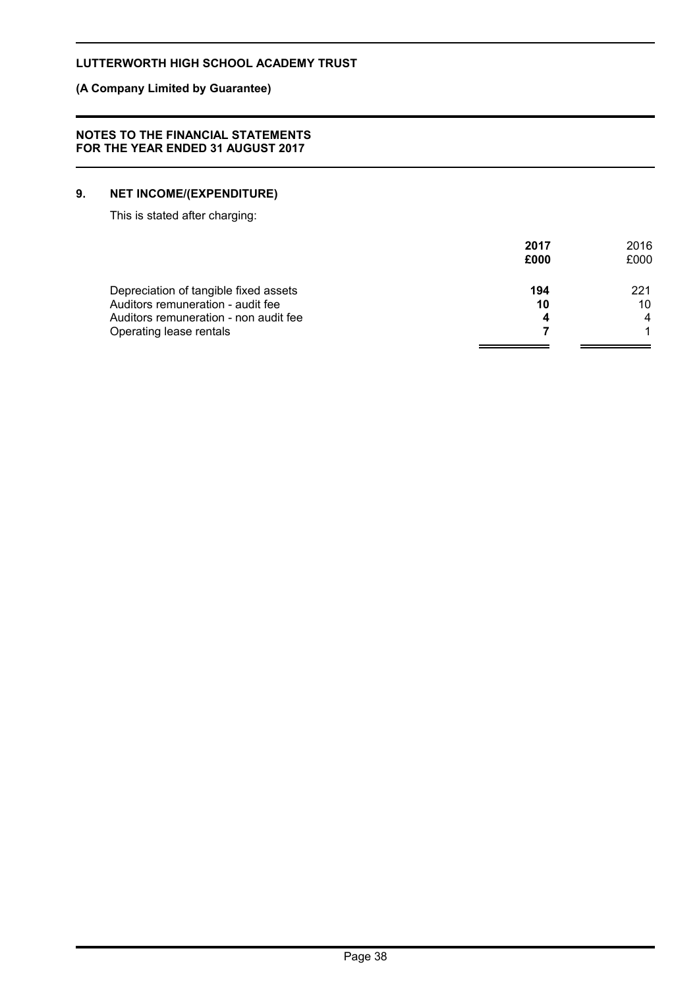# **(A Company Limited by Guarantee)**

#### **NOTES TO THE FINANCIAL STATEMENTS FOR THE YEAR ENDED 31 AUGUST 2017**

# **9. NET INCOME/(EXPENDITURE)**

This is stated after charging:

|                                       | 2017<br>£000 | 2016<br>£000 |
|---------------------------------------|--------------|--------------|
| Depreciation of tangible fixed assets | 194          | 221          |
| Auditors remuneration - audit fee     | 10           | 10           |
| Auditors remuneration - non audit fee | 4            | 4            |
| Operating lease rentals               |              |              |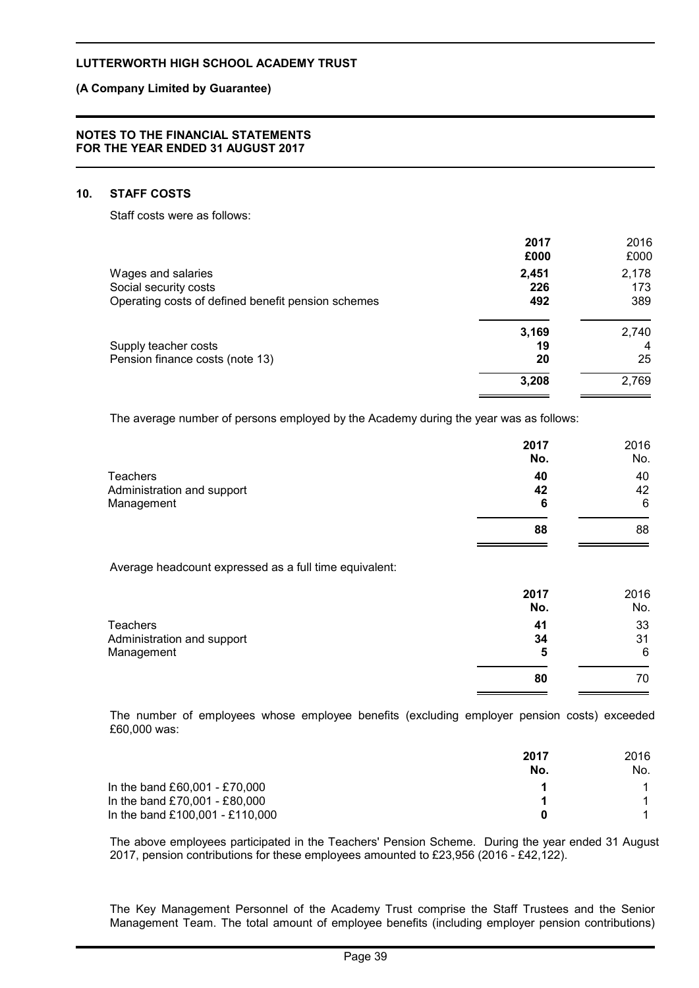### **(A Company Limited by Guarantee)**

#### **NOTES TO THE FINANCIAL STATEMENTS FOR THE YEAR ENDED 31 AUGUST 2017**

### **10. STAFF COSTS**

Staff costs were as follows:

|                                                    | 2017<br>£000 | 2016<br>£000 |
|----------------------------------------------------|--------------|--------------|
| Wages and salaries                                 | 2,451        | 2,178        |
| Social security costs                              | 226          | 173          |
| Operating costs of defined benefit pension schemes | 492          | 389          |
|                                                    | 3,169        | 2,740        |
| Supply teacher costs                               | 19           | -4           |
| Pension finance costs (note 13)                    | 20           | 25           |
|                                                    | 3,208        | 2,769        |
|                                                    |              |              |

The average number of persons employed by the Academy during the year was as follows:

|                            | 2017<br>No. | 2016<br>No. |
|----------------------------|-------------|-------------|
| <b>Teachers</b>            | 40          | 40          |
| Administration and support | 42          | 42          |
| Management                 | 6           | 6           |
|                            | 88          | 88          |

Average headcount expressed as a full time equivalent:

|                            | 2017<br>No. | 2016<br>No. |
|----------------------------|-------------|-------------|
| <b>Teachers</b>            | 41          | 33          |
| Administration and support | 34          | 31          |
| Management                 | 5           | 6           |
|                            | 80          | 70          |

The number of employees whose employee benefits (excluding employer pension costs) exceeded £60,000 was:

|                                 | 2017<br>No. | 2016<br>No. |
|---------------------------------|-------------|-------------|
| In the band £60,001 - £70,000   |             |             |
| In the band £70,001 - £80,000   |             |             |
| In the band £100,001 - £110,000 |             |             |

The above employees participated in the Teachers' Pension Scheme. During the year ended 31 August 2017, pension contributions for these employees amounted to £23,956 (2016 - £42,122).

The Key Management Personnel of the Academy Trust comprise the Staff Trustees and the Senior Management Team. The total amount of employee benefits (including employer pension contributions)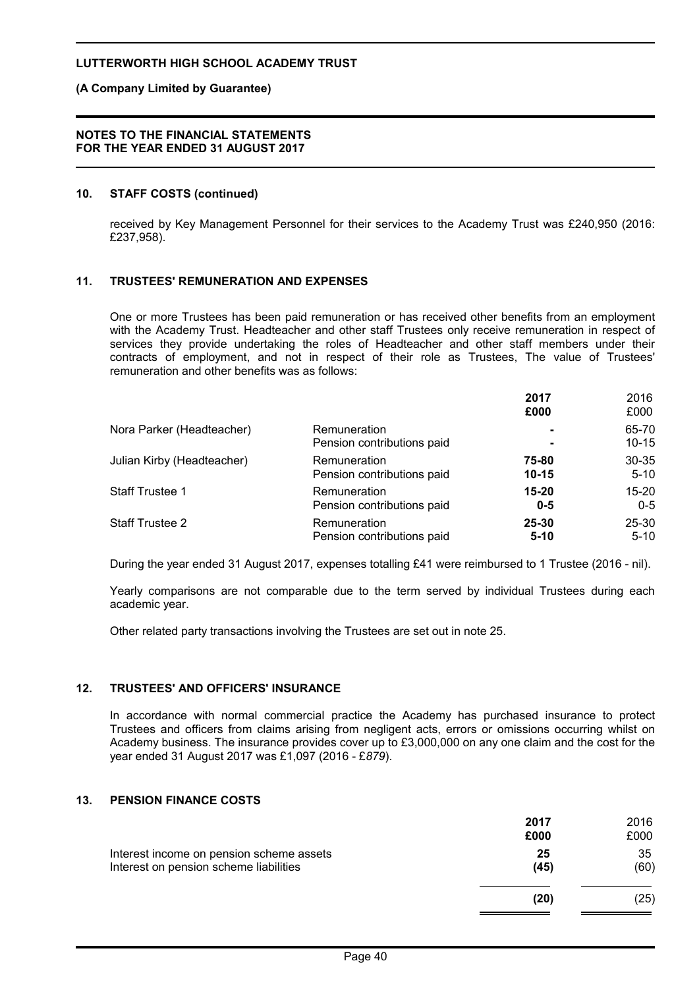### **(A Company Limited by Guarantee)**

#### **NOTES TO THE FINANCIAL STATEMENTS FOR THE YEAR ENDED 31 AUGUST 2017**

#### **10. STAFF COSTS (continued)**

received by Key Management Personnel for their services to the Academy Trust was £240,950 (2016: £237,958).

# **11. TRUSTEES' REMUNERATION AND EXPENSES**

One or more Trustees has been paid remuneration or has received other benefits from an employment with the Academy Trust. Headteacher and other staff Trustees only receive remuneration in respect of services they provide undertaking the roles of Headteacher and other staff members under their contracts of employment, and not in respect of their role as Trustees, The value of Trustees' remuneration and other benefits was as follows:

|                            |                            | 2017<br>£000   | 2016<br>£000 |
|----------------------------|----------------------------|----------------|--------------|
| Nora Parker (Headteacher)  | Remuneration               | $\blacksquare$ | 65-70        |
|                            | Pension contributions paid | $\blacksquare$ | $10 - 15$    |
| Julian Kirby (Headteacher) | Remuneration               | 75-80          | $30 - 35$    |
|                            | Pension contributions paid | $10 - 15$      | $5 - 10$     |
| <b>Staff Trustee 1</b>     | Remuneration               | $15 - 20$      | $15 - 20$    |
|                            | Pension contributions paid | $0 - 5$        | $0 - 5$      |
| <b>Staff Trustee 2</b>     | Remuneration               | $25 - 30$      | $25 - 30$    |
|                            | Pension contributions paid | $5 - 10$       | $5 - 10$     |

During the year ended 31 August 2017, expenses totalling £41 were reimbursed to 1 Trustee (2016 - nil).

Yearly comparisons are not comparable due to the term served by individual Trustees during each academic year.

Other related party transactions involving the Trustees are set out in note 25.

#### **12. TRUSTEES' AND OFFICERS' INSURANCE**

In accordance with normal commercial practice the Academy has purchased insurance to protect Trustees and officers from claims arising from negligent acts, errors or omissions occurring whilst on Academy business. The insurance provides cover up to £3,000,000 on any one claim and the cost for the year ended 31 August 2017 was £1,097 (2016 - £*879*).

#### **13. PENSION FINANCE COSTS**

|                                                                                    | 2017       | 2016       |
|------------------------------------------------------------------------------------|------------|------------|
|                                                                                    | £000       | £000       |
| Interest income on pension scheme assets<br>Interest on pension scheme liabilities | 25<br>(45) | 35<br>(60) |
|                                                                                    | (20)       | (25)       |
|                                                                                    |            |            |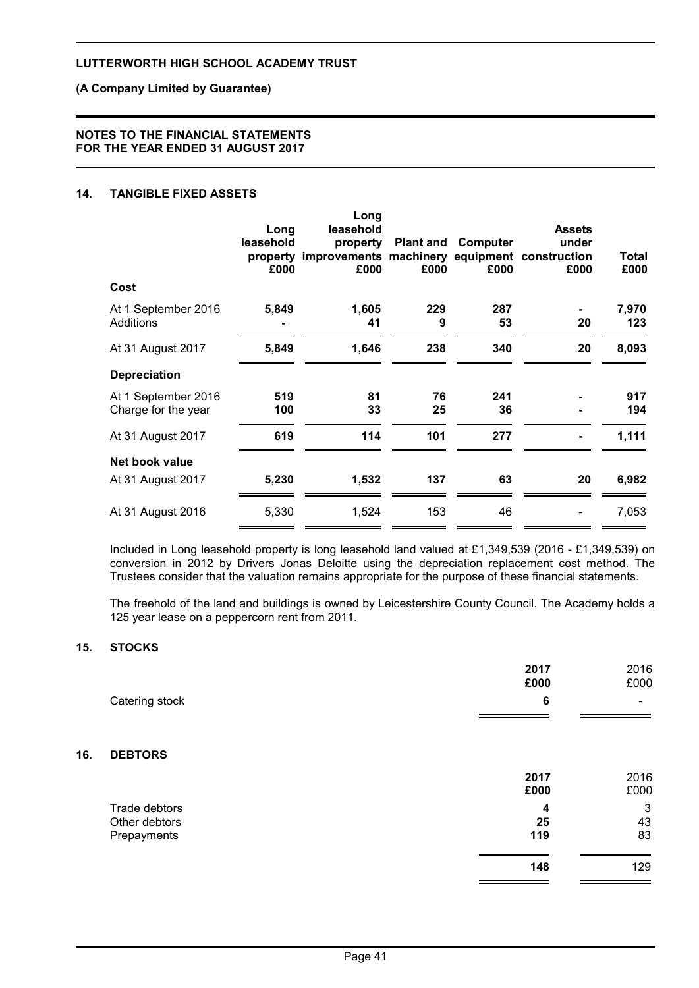# **(A Company Limited by Guarantee)**

#### **NOTES TO THE FINANCIAL STATEMENTS FOR THE YEAR ENDED 31 AUGUST 2017**

# **14. TANGIBLE FIXED ASSETS**

|                                            | Long<br>leasehold<br>property<br>£000 | Long<br>leasehold<br>property<br>improvements machinery equipment construction<br>£000 | <b>Plant and</b><br>£000 | Computer<br>£000 | <b>Assets</b><br>under<br>£000 | Total<br>£000 |
|--------------------------------------------|---------------------------------------|----------------------------------------------------------------------------------------|--------------------------|------------------|--------------------------------|---------------|
| Cost                                       |                                       |                                                                                        |                          |                  |                                |               |
| At 1 September 2016<br>Additions           | 5,849                                 | 1,605<br>41                                                                            | 229<br>9                 | 287<br>53        | 20                             | 7,970<br>123  |
| At 31 August 2017                          | 5,849                                 | 1,646                                                                                  | 238                      | 340              | 20                             | 8,093         |
| <b>Depreciation</b>                        |                                       |                                                                                        |                          |                  |                                |               |
| At 1 September 2016<br>Charge for the year | 519<br>100                            | 81<br>33                                                                               | 76<br>25                 | 241<br>36        |                                | 917<br>194    |
| At 31 August 2017                          | 619                                   | 114                                                                                    | 101                      | 277              |                                | 1,111         |
| Net book value                             |                                       |                                                                                        |                          |                  |                                |               |
| At 31 August 2017                          | 5,230                                 | 1,532                                                                                  | 137                      | 63               | 20                             | 6,982         |
| At 31 August 2016                          | 5,330                                 | 1,524                                                                                  | 153                      | 46               |                                | 7,053         |
|                                            |                                       |                                                                                        |                          |                  |                                |               |

Included in Long leasehold property is long leasehold land valued at £1,349,539 (2016 - £1,349,539) on conversion in 2012 by Drivers Jonas Deloitte using the depreciation replacement cost method. The Trustees consider that the valuation remains appropriate for the purpose of these financial statements.

The freehold of the land and buildings is owned by Leicestershire County Council. The Academy holds a 125 year lease on a peppercorn rent from 2011.

### **15. STOCKS**

**16. DEBTORS**

|                | 2017<br>£000            | 2016<br>£000                 |
|----------------|-------------------------|------------------------------|
| Catering stock | $6\phantom{1}6$         | $\qquad \qquad \blacksquare$ |
| <b>DEBTORS</b> |                         |                              |
|                | 2017<br>£000            | 2016<br>£000                 |
| Trade debtors  | $\overline{\mathbf{4}}$ | 3                            |
| Other debtors  | 25                      | 43                           |
| Prepayments    | 119                     | 83                           |
|                | 148                     | 129                          |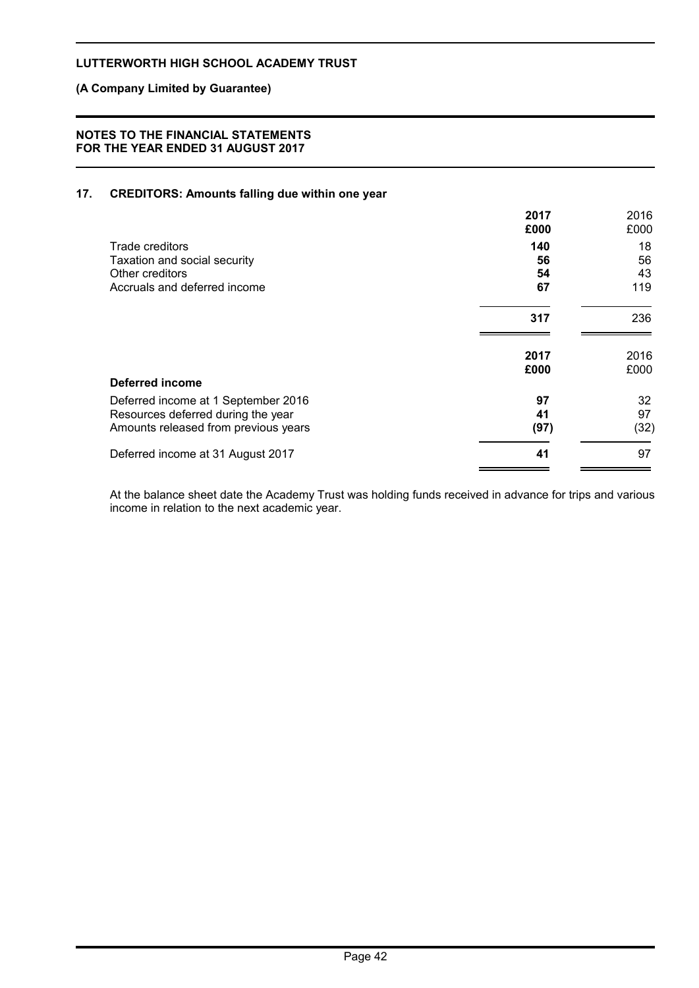# **(A Company Limited by Guarantee)**

### **NOTES TO THE FINANCIAL STATEMENTS FOR THE YEAR ENDED 31 AUGUST 2017**

# **17. CREDITORS: Amounts falling due within one year**

|                                      | 2017<br>£000 | 2016<br>£000 |
|--------------------------------------|--------------|--------------|
| Trade creditors                      | 140          | 18           |
| Taxation and social security         | 56           | 56           |
| Other creditors                      | 54           | 43           |
| Accruals and deferred income         | 67           | 119          |
|                                      | 317          | 236          |
|                                      | 2017         | 2016         |
|                                      | £000         | £000         |
| <b>Deferred income</b>               |              |              |
| Deferred income at 1 September 2016  | 97           | 32           |
| Resources deferred during the year   | 41           | 97           |
| Amounts released from previous years | (97)         | (32)         |
| Deferred income at 31 August 2017    | 41           | 97           |

At the balance sheet date the Academy Trust was holding funds received in advance for trips and various income in relation to the next academic year.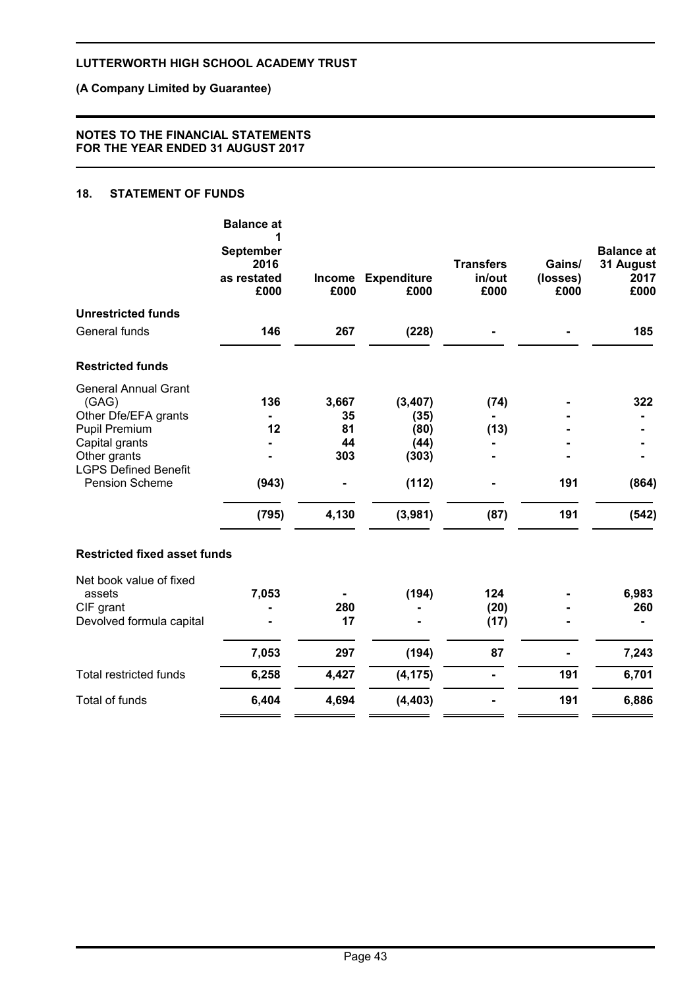# **(A Company Limited by Guarantee)**

### **NOTES TO THE FINANCIAL STATEMENTS FOR THE YEAR ENDED 31 AUGUST 2017**

# **18. STATEMENT OF FUNDS**

|                                        | <b>Balance at</b><br>1                          |          |                            |                                    |                            |                                                |
|----------------------------------------|-------------------------------------------------|----------|----------------------------|------------------------------------|----------------------------|------------------------------------------------|
|                                        | <b>September</b><br>2016<br>as restated<br>£000 | £000     | Income Expenditure<br>£000 | <b>Transfers</b><br>in/out<br>£000 | Gains/<br>(losses)<br>£000 | <b>Balance at</b><br>31 August<br>2017<br>£000 |
| <b>Unrestricted funds</b>              |                                                 |          |                            |                                    |                            |                                                |
| General funds                          | 146                                             | 267      | (228)                      |                                    |                            | 185                                            |
| <b>Restricted funds</b>                |                                                 |          |                            |                                    |                            |                                                |
| <b>General Annual Grant</b>            |                                                 |          |                            |                                    |                            |                                                |
| (GAG)                                  | 136                                             | 3,667    | (3, 407)                   | (74)                               |                            | 322                                            |
| Other Dfe/EFA grants                   | 12                                              | 35<br>81 | (35)                       |                                    |                            |                                                |
| <b>Pupil Premium</b><br>Capital grants |                                                 | 44       | (80)<br>(44)               | (13)                               |                            |                                                |
| Other grants                           |                                                 | 303      | (303)                      |                                    |                            |                                                |
| <b>LGPS Defined Benefit</b>            |                                                 |          |                            |                                    |                            |                                                |
| <b>Pension Scheme</b>                  | (943)                                           |          | (112)                      |                                    | 191                        | (864)                                          |
|                                        | (795)                                           | 4,130    | (3,981)                    | (87)                               | 191                        | (542)                                          |
| <b>Restricted fixed asset funds</b>    |                                                 |          |                            |                                    |                            |                                                |
| Net book value of fixed                |                                                 |          |                            |                                    |                            |                                                |
| assets                                 | 7,053                                           |          | (194)                      | 124                                |                            | 6,983                                          |
| CIF grant                              |                                                 | 280      |                            | (20)                               |                            | 260                                            |
| Devolved formula capital               |                                                 | 17       |                            | (17)                               |                            |                                                |
|                                        | 7,053                                           | 297      | (194)                      | 87                                 |                            | 7,243                                          |
| <b>Total restricted funds</b>          | 6,258                                           | 4,427    | (4, 175)                   |                                    | 191                        | 6,701                                          |
| <b>Total of funds</b>                  | 6,404                                           | 4,694    | (4, 403)                   |                                    | 191                        | 6,886                                          |
|                                        |                                                 |          |                            |                                    |                            |                                                |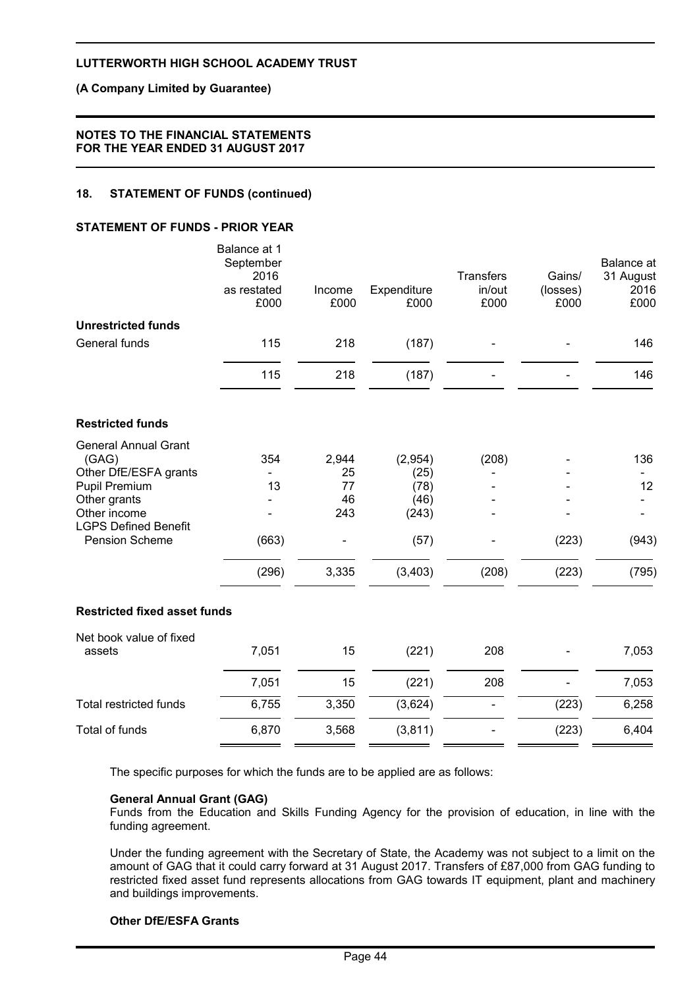### **(A Company Limited by Guarantee)**

#### **NOTES TO THE FINANCIAL STATEMENTS FOR THE YEAR ENDED 31 AUGUST 2017**

# **18. STATEMENT OF FUNDS (continued)**

### **STATEMENT OF FUNDS - PRIOR YEAR**

|                                     | Balance at 1<br>September<br>2016<br>as restated<br>£000 | Income<br>£000 | Expenditure<br>£000 | <b>Transfers</b><br>in/out<br>£000 | Gains/<br>(losses)<br>£000 | Balance at<br>31 August<br>2016<br>£000 |
|-------------------------------------|----------------------------------------------------------|----------------|---------------------|------------------------------------|----------------------------|-----------------------------------------|
| <b>Unrestricted funds</b>           |                                                          |                |                     |                                    |                            |                                         |
| General funds                       | 115                                                      | 218            | (187)               |                                    |                            | 146                                     |
|                                     | 115                                                      | 218            | (187)               |                                    |                            | 146                                     |
| <b>Restricted funds</b>             |                                                          |                |                     |                                    |                            |                                         |
| <b>General Annual Grant</b>         |                                                          |                |                     |                                    |                            |                                         |
| (GAG)<br>Other DfE/ESFA grants      | 354                                                      | 2,944<br>25    | (2,954)<br>(25)     | (208)                              |                            | 136                                     |
| Pupil Premium                       | 13                                                       | 77             | (78)                |                                    |                            | 12                                      |
| Other grants                        |                                                          | 46             | (46)                |                                    |                            |                                         |
| Other income                        |                                                          | 243            | (243)               |                                    |                            |                                         |
| <b>LGPS Defined Benefit</b>         |                                                          |                |                     |                                    |                            |                                         |
| <b>Pension Scheme</b>               | (663)                                                    |                | (57)                |                                    | (223)                      | (943)                                   |
|                                     | (296)                                                    | 3,335          | (3, 403)            | (208)                              | (223)                      | (795)                                   |
| <b>Restricted fixed asset funds</b> |                                                          |                |                     |                                    |                            |                                         |
| Net book value of fixed             |                                                          |                |                     |                                    |                            |                                         |
| assets                              | 7,051                                                    | 15             | (221)               | 208                                |                            | 7,053                                   |
|                                     | 7,051                                                    | 15             | (221)               | 208                                |                            | 7,053                                   |
| <b>Total restricted funds</b>       | 6,755                                                    | 3,350          | (3,624)             |                                    | (223)                      | 6,258                                   |
| <b>Total of funds</b>               | 6,870                                                    | 3,568          | (3,811)             |                                    | (223)                      | 6,404                                   |
|                                     |                                                          |                |                     |                                    |                            |                                         |

The specific purposes for which the funds are to be applied are as follows:

#### **General Annual Grant (GAG)**

Funds from the Education and Skills Funding Agency for the provision of education, in line with the funding agreement.

Under the funding agreement with the Secretary of State, the Academy was not subject to a limit on the amount of GAG that it could carry forward at 31 August 2017. Transfers of £87,000 from GAG funding to restricted fixed asset fund represents allocations from GAG towards IT equipment, plant and machinery and buildings improvements.

#### **Other DfE/ESFA Grants**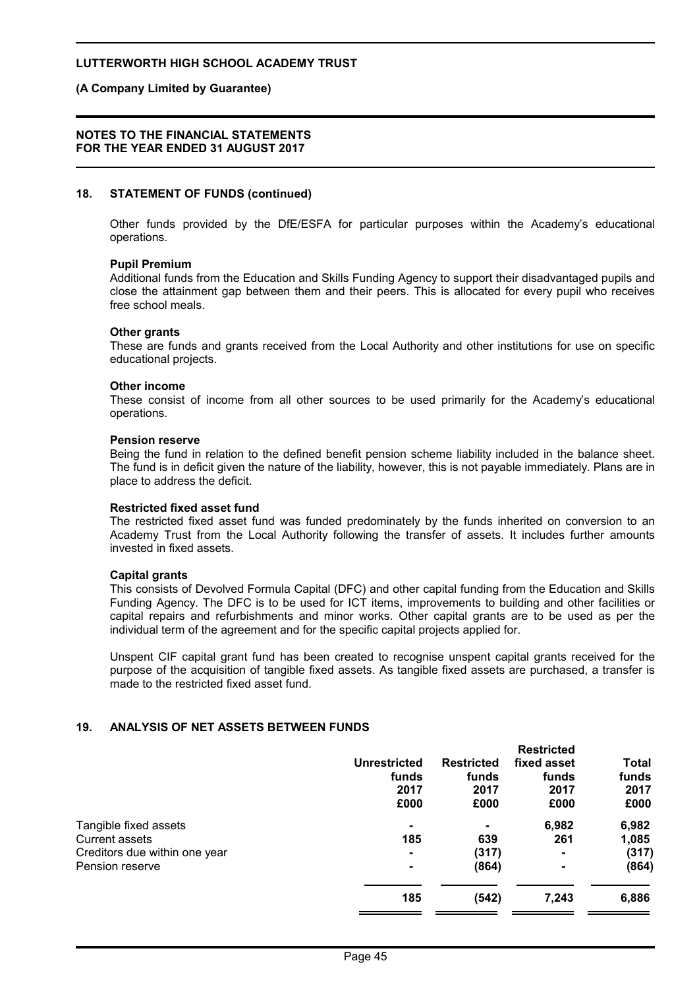#### **(A Company Limited by Guarantee)**

#### **NOTES TO THE FINANCIAL STATEMENTS FOR THE YEAR ENDED 31 AUGUST 2017**

#### **18. STATEMENT OF FUNDS (continued)**

Other funds provided by the DfE/ESFA for particular purposes within the Academy's educational operations.

#### **Pupil Premium**

Additional funds from the Education and Skills Funding Agency to support their disadvantaged pupils and close the attainment gap between them and their peers. This is allocated for every pupil who receives free school meals.

#### **Other grants**

These are funds and grants received from the Local Authority and other institutions for use on specific educational projects.

#### **Other income**

These consist of income from all other sources to be used primarily for the Academy's educational operations.

#### **Pension reserve**

Being the fund in relation to the defined benefit pension scheme liability included in the balance sheet. The fund is in deficit given the nature of the liability, however, this is not payable immediately. Plans are in place to address the deficit.

#### **Restricted fixed asset fund**

The restricted fixed asset fund was funded predominately by the funds inherited on conversion to an Academy Trust from the Local Authority following the transfer of assets. It includes further amounts invested in fixed assets.

#### **Capital grants**

This consists of Devolved Formula Capital (DFC) and other capital funding from the Education and Skills Funding Agency. The DFC is to be used for ICT items, improvements to building and other facilities or capital repairs and refurbishments and minor works. Other capital grants are to be used as per the individual term of the agreement and for the specific capital projects applied for.

Unspent CIF capital grant fund has been created to recognise unspent capital grants received for the purpose of the acquisition of tangible fixed assets. As tangible fixed assets are purchased, a transfer is made to the restricted fixed asset fund.

#### **19. ANALYSIS OF NET ASSETS BETWEEN FUNDS**

|                               |                     |                   | <b>Restricted</b> |       |
|-------------------------------|---------------------|-------------------|-------------------|-------|
|                               | <b>Unrestricted</b> | <b>Restricted</b> | fixed asset       | Total |
|                               | funds               | funds             | funds             | funds |
|                               | 2017                | 2017              | 2017              | 2017  |
|                               | £000                | £000              | £000              | £000  |
| Tangible fixed assets         | $\blacksquare$      | $\blacksquare$    | 6,982             | 6,982 |
| <b>Current assets</b>         | 185                 | 639               | 261               | 1,085 |
| Creditors due within one year | $\blacksquare$      | (317)             |                   | (317) |
| Pension reserve               | $\blacksquare$      | (864)             | $\blacksquare$    | (864) |
|                               |                     |                   |                   |       |
|                               | 185                 | (542)             | 7,243             | 6,886 |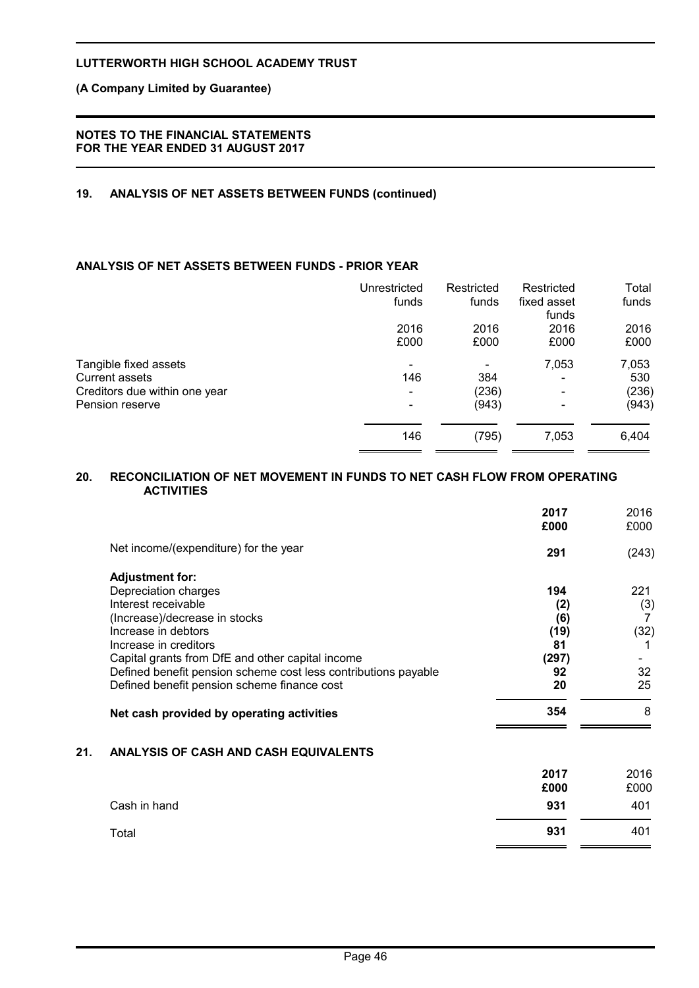# **(A Company Limited by Guarantee)**

### **NOTES TO THE FINANCIAL STATEMENTS FOR THE YEAR ENDED 31 AUGUST 2017**

# **19. ANALYSIS OF NET ASSETS BETWEEN FUNDS (continued)**

# **ANALYSIS OF NET ASSETS BETWEEN FUNDS - PRIOR YEAR**

|                                                        | Unrestricted<br>funds | Restricted<br>funds | Restricted<br>fixed asset<br>funds | Total<br>funds |
|--------------------------------------------------------|-----------------------|---------------------|------------------------------------|----------------|
|                                                        | 2016<br>£000          | 2016<br>£000        | 2016<br>£000                       | 2016<br>£000   |
| Tangible fixed assets                                  |                       |                     | 7,053                              | 7,053          |
| <b>Current assets</b><br>Creditors due within one year | 146                   | 384<br>(236)        | -                                  | 530<br>(236)   |
| Pension reserve                                        |                       | (943)               |                                    | (943)          |
|                                                        | 146                   | (795)               | 7,053                              | 6,404          |

#### **20. RECONCILIATION OF NET MOVEMENT IN FUNDS TO NET CASH FLOW FROM OPERATING ACTIVITIES**

|     |                                                                                                                    | 2017<br>£000 | 2016<br>£000 |
|-----|--------------------------------------------------------------------------------------------------------------------|--------------|--------------|
|     | Net income/(expenditure) for the year                                                                              | 291          | (243)        |
|     | <b>Adjustment for:</b>                                                                                             |              |              |
|     | Depreciation charges                                                                                               | 194          | 221          |
|     | Interest receivable                                                                                                | (2)          | (3)          |
|     | (Increase)/decrease in stocks                                                                                      | (6)          | 7            |
|     | Increase in debtors                                                                                                | (19)         | (32)         |
|     | Increase in creditors                                                                                              | 81           |              |
|     | Capital grants from DfE and other capital income<br>Defined benefit pension scheme cost less contributions payable | (297)<br>92  | 32           |
|     | Defined benefit pension scheme finance cost                                                                        | 20           | 25           |
|     |                                                                                                                    |              |              |
|     | Net cash provided by operating activities                                                                          | 354          | 8            |
| 21. | ANALYSIS OF CASH AND CASH EQUIVALENTS                                                                              |              |              |
|     |                                                                                                                    | 2017         | 2016         |
|     |                                                                                                                    | £000         | £000         |
|     | Cash in hand                                                                                                       | 931          | 401          |
|     | Total                                                                                                              | 931          | 401          |
|     |                                                                                                                    |              |              |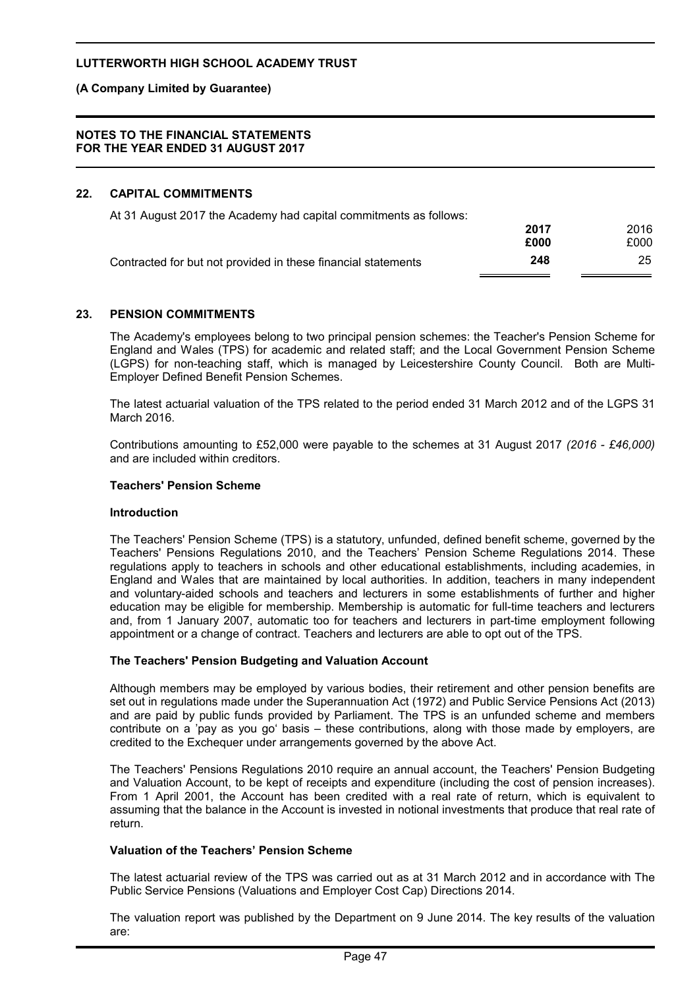# **(A Company Limited by Guarantee)**

#### **NOTES TO THE FINANCIAL STATEMENTS FOR THE YEAR ENDED 31 AUGUST 2017**

### **22. CAPITAL COMMITMENTS**

At 31 August 2017 the Academy had capital commitments as follows:

|                                                               | 2017 | 2016 |
|---------------------------------------------------------------|------|------|
|                                                               | £000 | £000 |
| Contracted for but not provided in these financial statements | 248  | 25   |

#### **23. PENSION COMMITMENTS**

The Academy's employees belong to two principal pension schemes: the Teacher's Pension Scheme for England and Wales (TPS) for academic and related staff; and the Local Government Pension Scheme (LGPS) for non-teaching staff, which is managed by Leicestershire County Council. Both are Multi-Employer Defined Benefit Pension Schemes.

The latest actuarial valuation of the TPS related to the period ended 31 March 2012 and of the LGPS 31 March 2016.

Contributions amounting to £52,000 were payable to the schemes at 31 August 2017 *(2016 - £46,000)* and are included within creditors.

#### **Teachers' Pension Scheme**

#### **Introduction**

The Teachers' Pension Scheme (TPS) is a statutory, unfunded, defined benefit scheme, governed by the Teachers' Pensions Regulations 2010, and the Teachers' Pension Scheme Regulations 2014. These regulations apply to teachers in schools and other educational establishments, including academies, in England and Wales that are maintained by local authorities. In addition, teachers in many independent and voluntary-aided schools and teachers and lecturers in some establishments of further and higher education may be eligible for membership. Membership is automatic for full-time teachers and lecturers and, from 1 January 2007, automatic too for teachers and lecturers in part-time employment following appointment or a change of contract. Teachers and lecturers are able to opt out of the TPS.

#### **The Teachers' Pension Budgeting and Valuation Account**

Although members may be employed by various bodies, their retirement and other pension benefits are set out in regulations made under the Superannuation Act (1972) and Public Service Pensions Act (2013) and are paid by public funds provided by Parliament. The TPS is an unfunded scheme and members contribute on a 'pay as you go' basis – these contributions, along with those made by employers, are credited to the Exchequer under arrangements governed by the above Act.

The Teachers' Pensions Regulations 2010 require an annual account, the Teachers' Pension Budgeting and Valuation Account, to be kept of receipts and expenditure (including the cost of pension increases). From 1 April 2001, the Account has been credited with a real rate of return, which is equivalent to assuming that the balance in the Account is invested in notional investments that produce that real rate of return.

#### **Valuation of the Teachers' Pension Scheme**

The latest actuarial review of the TPS was carried out as at 31 March 2012 and in accordance with The Public Service Pensions (Valuations and Employer Cost Cap) Directions 2014.

The valuation report was published by the Department on 9 June 2014. The key results of the valuation are: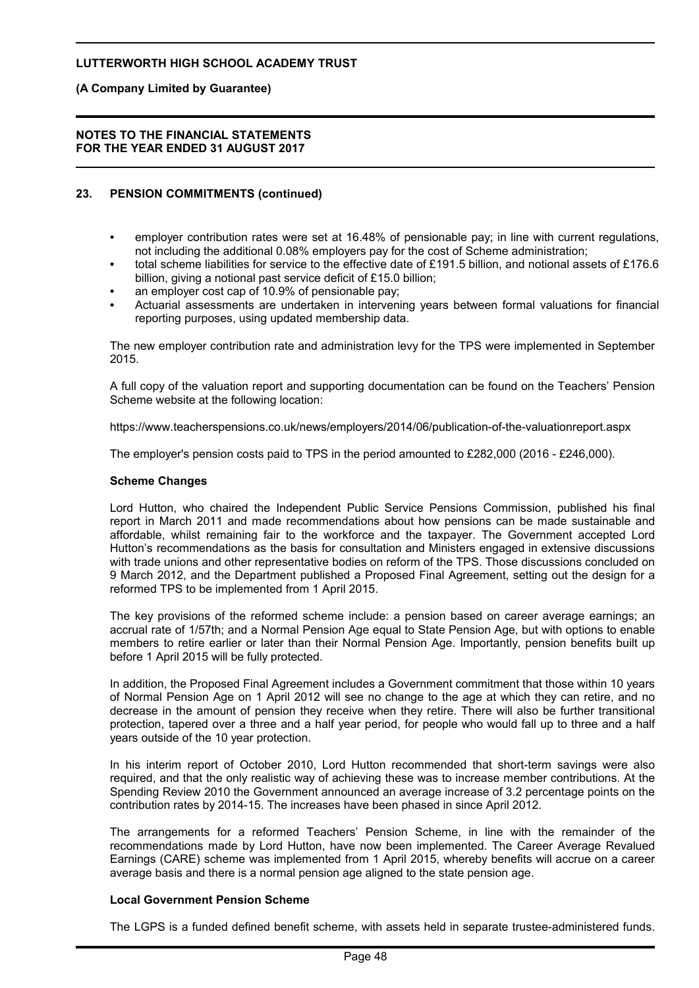### **(A Company Limited by Guarantee)**

#### **NOTES TO THE FINANCIAL STATEMENTS FOR THE YEAR ENDED 31 AUGUST 2017**

# **23. PENSION COMMITMENTS (continued)**

- employer contribution rates were set at 16.48% of pensionable pay; in line with current regulations, not including the additional 0.08% employers pay for the cost of Scheme administration;
- total scheme liabilities for service to the effective date of £191.5 billion, and notional assets of £176.6 billion, giving a notional past service deficit of £15.0 billion;
- an employer cost cap of 10.9% of pensionable pay;
- Actuarial assessments are undertaken in intervening years between formal valuations for financial reporting purposes, using updated membership data.

The new employer contribution rate and administration levy for the TPS were implemented in September 2015.

A full copy of the valuation report and supporting documentation can be found on the Teachers' Pension Scheme website at the following location:

https://www.teacherspensions.co.uk/news/employers/2014/06/publication-of-the-valuationreport.aspx

The employer's pension costs paid to TPS in the period amounted to £282,000 (2016 - £246,000).

#### **Scheme Changes**

Lord Hutton, who chaired the Independent Public Service Pensions Commission, published his final report in March 2011 and made recommendations about how pensions can be made sustainable and affordable, whilst remaining fair to the workforce and the taxpayer. The Government accepted Lord Hutton's recommendations as the basis for consultation and Ministers engaged in extensive discussions with trade unions and other representative bodies on reform of the TPS. Those discussions concluded on 9 March 2012, and the Department published a Proposed Final Agreement, setting out the design for a reformed TPS to be implemented from 1 April 2015.

The key provisions of the reformed scheme include: a pension based on career average earnings; an accrual rate of 1/57th; and a Normal Pension Age equal to State Pension Age, but with options to enable members to retire earlier or later than their Normal Pension Age. Importantly, pension benefits built up before 1 April 2015 will be fully protected.

In addition, the Proposed Final Agreement includes a Government commitment that those within 10 years of Normal Pension Age on 1 April 2012 will see no change to the age at which they can retire, and no decrease in the amount of pension they receive when they retire. There will also be further transitional protection, tapered over a three and a half year period, for people who would fall up to three and a half years outside of the 10 year protection.

In his interim report of October 2010, Lord Hutton recommended that short-term savings were also required, and that the only realistic way of achieving these was to increase member contributions. At the Spending Review 2010 the Government announced an average increase of 3.2 percentage points on the contribution rates by 2014-15. The increases have been phased in since April 2012.

The arrangements for a reformed Teachers' Pension Scheme, in line with the remainder of the recommendations made by Lord Hutton, have now been implemented. The Career Average Revalued Earnings (CARE) scheme was implemented from 1 April 2015, whereby benefits will accrue on a career average basis and there is a normal pension age aligned to the state pension age.

#### **Local Government Pension Scheme**

The LGPS is a funded defined benefit scheme, with assets held in separate trustee-administered funds.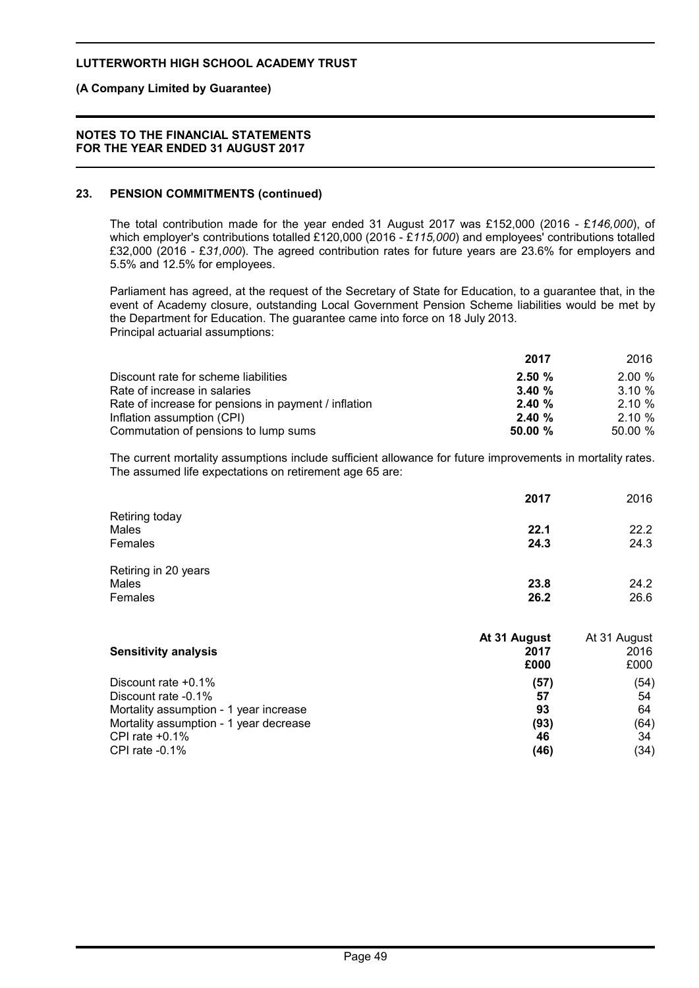### **(A Company Limited by Guarantee)**

#### **NOTES TO THE FINANCIAL STATEMENTS FOR THE YEAR ENDED 31 AUGUST 2017**

### **23. PENSION COMMITMENTS (continued)**

The total contribution made for the year ended 31 August 2017 was £152,000 (2016 - £*146,000*), of which employer's contributions totalled £120,000 (2016 - £*115,000*) and employees' contributions totalled £32,000 (2016 - £*31,000*). The agreed contribution rates for future years are 23.6% for employers and 5.5% and 12.5% for employees.

Parliament has agreed, at the request of the Secretary of State for Education, to a guarantee that, in the event of Academy closure, outstanding Local Government Pension Scheme liabilities would be met by the Department for Education. The guarantee came into force on 18 July 2013. Principal actuarial assumptions:

|                                                      | 2017   | 2016      |
|------------------------------------------------------|--------|-----------|
| Discount rate for scheme liabilities                 | 2.50%  | 2.00%     |
| Rate of increase in salaries                         | 3.40%  | $3.10 \%$ |
| Rate of increase for pensions in payment / inflation | 2.40%  | 2.10%     |
| Inflation assumption (CPI)                           | 2.40%  | 2.10%     |
| Commutation of pensions to lump sums                 | 50.00% | 50.00 %   |

The current mortality assumptions include sufficient allowance for future improvements in mortality rates. The assumed life expectations on retirement age 65 are:

|                                          | 2017         | 2016         |
|------------------------------------------|--------------|--------------|
| Retiring today<br>Males<br>Females       | 22.1<br>24.3 | 22.2<br>24.3 |
| Retiring in 20 years<br>Males<br>Females | 23.8<br>26.2 | 24.2<br>26.6 |

| <b>Sensitivity analysis</b>                                                      | At 31 August<br>2017<br>£000 | At 31 August<br>2016<br>£000 |
|----------------------------------------------------------------------------------|------------------------------|------------------------------|
| Discount rate $+0.1\%$                                                           | (57)                         | (54)                         |
| Discount rate -0.1%                                                              | 57                           | 54                           |
| Mortality assumption - 1 year increase<br>Mortality assumption - 1 year decrease | 93<br>(93)                   | 64<br>(64)                   |
| CPI rate $+0.1\%$                                                                | 46                           | 34                           |
| CPI rate $-0.1\%$                                                                | (46)                         | (34)                         |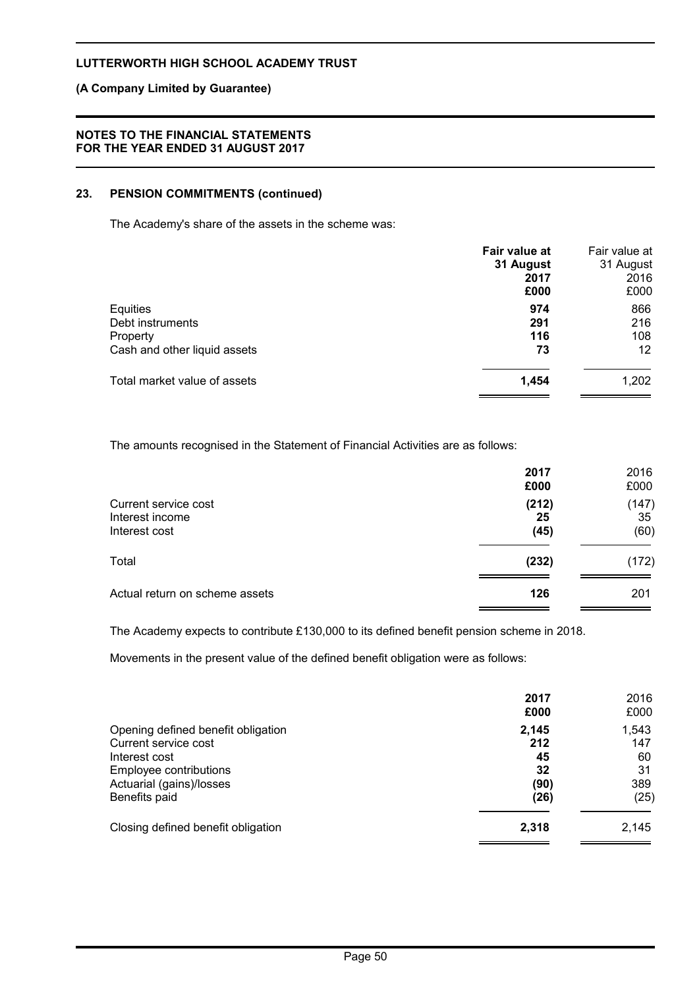### **(A Company Limited by Guarantee)**

## **NOTES TO THE FINANCIAL STATEMENTS FOR THE YEAR ENDED 31 AUGUST 2017**

# **23. PENSION COMMITMENTS (continued)**

The Academy's share of the assets in the scheme was:

|                              | Fair value at<br>31 August<br>2017<br>£000 | Fair value at<br>31 August<br>2016<br>£000 |
|------------------------------|--------------------------------------------|--------------------------------------------|
| Equities                     | 974                                        | 866                                        |
| Debt instruments             | 291                                        | 216                                        |
| Property                     | 116                                        | 108                                        |
| Cash and other liquid assets | 73                                         | 12                                         |
| Total market value of assets | 1,454                                      | 1,202                                      |

The amounts recognised in the Statement of Financial Activities are as follows:

|                                                          | 2017<br>£000        | 2016<br>£000        |
|----------------------------------------------------------|---------------------|---------------------|
| Current service cost<br>Interest income<br>Interest cost | (212)<br>25<br>(45) | (147)<br>35<br>(60) |
| Total                                                    | (232)               | (172)               |
| Actual return on scheme assets                           | 126                 | 201                 |

The Academy expects to contribute £130,000 to its defined benefit pension scheme in 2018.

Movements in the present value of the defined benefit obligation were as follows:

|                                                            | 2017<br>£000 | 2016<br>£000 |
|------------------------------------------------------------|--------------|--------------|
| Opening defined benefit obligation<br>Current service cost | 2,145<br>212 | 1,543<br>147 |
| Interest cost                                              | 45           | 60           |
| Employee contributions<br>Actuarial (gains)/losses         | 32<br>(90)   | 31<br>389    |
| Benefits paid                                              | (26)         | (25)         |
| Closing defined benefit obligation                         | 2,318        | 2,145        |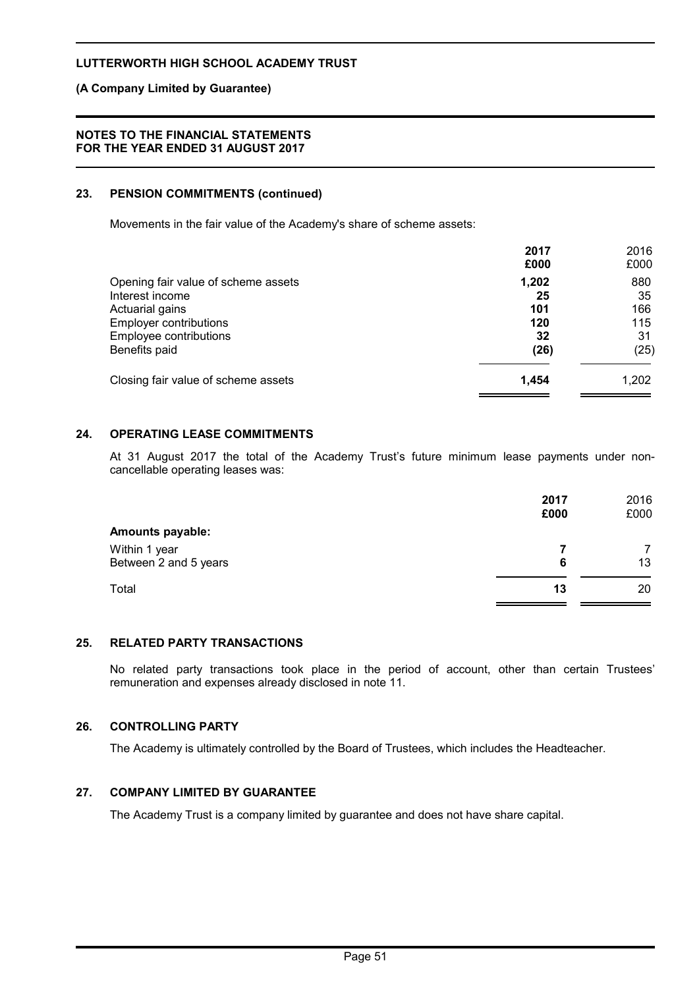### **(A Company Limited by Guarantee)**

#### **NOTES TO THE FINANCIAL STATEMENTS FOR THE YEAR ENDED 31 AUGUST 2017**

### **23. PENSION COMMITMENTS (continued)**

Movements in the fair value of the Academy's share of scheme assets:

|                                     | 2017<br>£000 | 2016<br>£000 |
|-------------------------------------|--------------|--------------|
| Opening fair value of scheme assets | 1,202        | 880          |
| Interest income                     | 25           | 35           |
| Actuarial gains                     | 101          | 166          |
| <b>Employer contributions</b>       | 120          | 115          |
| Employee contributions              | 32           | 31           |
| Benefits paid                       | (26)         | (25)         |
| Closing fair value of scheme assets | 1,454        | 1,202        |

# **24. OPERATING LEASE COMMITMENTS**

At 31 August 2017 the total of the Academy Trust's future minimum lease payments under noncancellable operating leases was:

|                                        | 2017<br>£000 | 2016<br>£000 |
|----------------------------------------|--------------|--------------|
| <b>Amounts payable:</b>                |              |              |
| Within 1 year<br>Between 2 and 5 years | 6            | 13           |
| Total                                  | 13           | 20           |

### **25. RELATED PARTY TRANSACTIONS**

No related party transactions took place in the period of account, other than certain Trustees' remuneration and expenses already disclosed in note 11.

# **26. CONTROLLING PARTY**

The Academy is ultimately controlled by the Board of Trustees, which includes the Headteacher.

# **27. COMPANY LIMITED BY GUARANTEE**

The Academy Trust is a company limited by guarantee and does not have share capital.